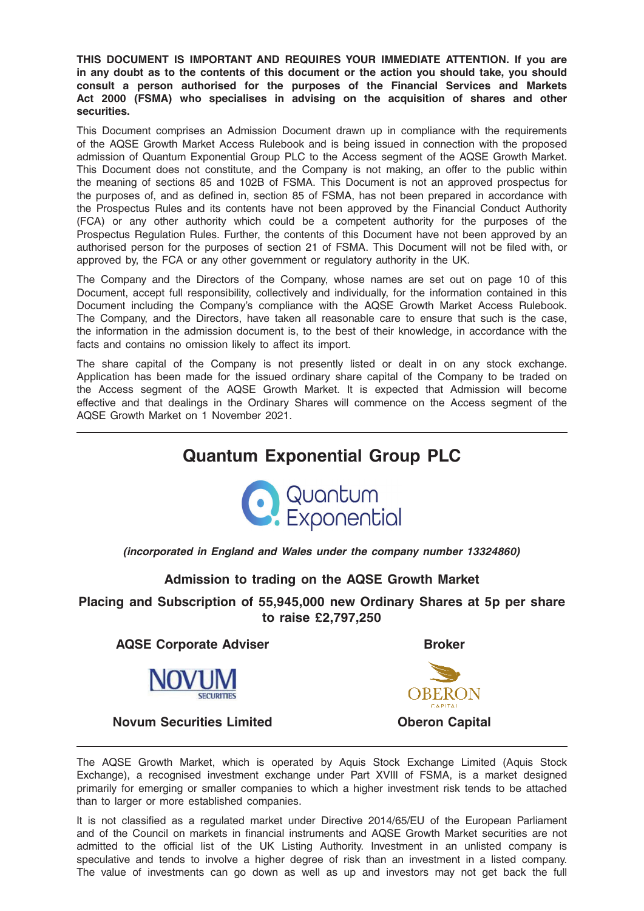THIS DOCUMENT IS IMPORTANT AND REQUIRES YOUR IMMEDIATE ATTENTION. If you are in any doubt as to the contents of this document or the action you should take, you should consult a person authorised for the purposes of the Financial Services and Markets Act 2000 (FSMA) who specialises in advising on the acquisition of shares and other securities.

This Document comprises an Admission Document drawn up in compliance with the requirements of the AQSE Growth Market Access Rulebook and is being issued in connection with the proposed admission of Quantum Exponential Group PLC to the Access segment of the AQSE Growth Market. This Document does not constitute, and the Company is not making, an offer to the public within the meaning of sections 85 and 102B of FSMA. This Document is not an approved prospectus for the purposes of, and as defined in, section 85 of FSMA, has not been prepared in accordance with the Prospectus Rules and its contents have not been approved by the Financial Conduct Authority (FCA) or any other authority which could be a competent authority for the purposes of the Prospectus Regulation Rules. Further, the contents of this Document have not been approved by an authorised person for the purposes of section 21 of FSMA. This Document will not be filed with, or approved by, the FCA or any other government or regulatory authority in the UK.

The Company and the Directors of the Company, whose names are set out on page 10 of this Document, accept full responsibility, collectively and individually, for the information contained in this Document including the Company's compliance with the AQSE Growth Market Access Rulebook. The Company, and the Directors, have taken all reasonable care to ensure that such is the case, the information in the admission document is, to the best of their knowledge, in accordance with the facts and contains no omission likely to affect its import.

The share capital of the Company is not presently listed or dealt in on any stock exchange. Application has been made for the issued ordinary share capital of the Company to be traded on the Access segment of the AQSE Growth Market. It is expected that Admission will become effective and that dealings in the Ordinary Shares will commence on the Access segment of the AQSE Growth Market on 1 November 2021.

# Quantum Exponential Group PLC



(incorporated in England and Wales under the company number 13324860)

Admission to trading on the AQSE Growth Market

Placing and Subscription of 55,945,000 new Ordinary Shares at 5p per share to raise £2,797,250

AQSE Corporate Adviser **Broker** Broker

Novum Securities Limited **Oberon Capital** 



The AQSE Growth Market, which is operated by Aquis Stock Exchange Limited (Aquis Stock Exchange), a recognised investment exchange under Part XVIII of FSMA, is a market designed primarily for emerging or smaller companies to which a higher investment risk tends to be attached than to larger or more established companies.

It is not classified as a regulated market under Directive 2014/65/EU of the European Parliament and of the Council on markets in financial instruments and AQSE Growth Market securities are not admitted to the official list of the UK Listing Authority. Investment in an unlisted company is speculative and tends to involve a higher degree of risk than an investment in a listed company. The value of investments can go down as well as up and investors may not get back the full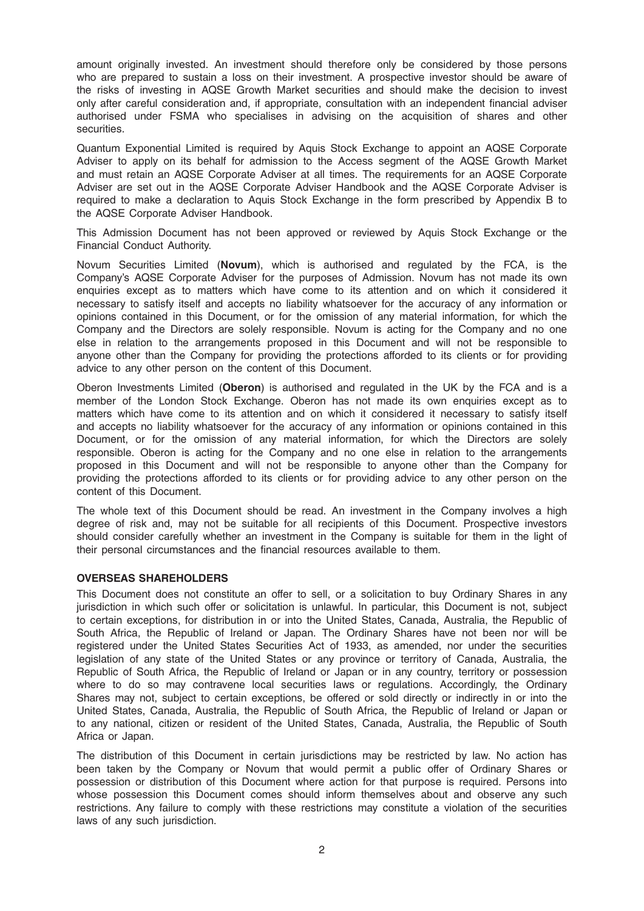amount originally invested. An investment should therefore only be considered by those persons who are prepared to sustain a loss on their investment. A prospective investor should be aware of the risks of investing in AQSE Growth Market securities and should make the decision to invest only after careful consideration and, if appropriate, consultation with an independent financial adviser authorised under FSMA who specialises in advising on the acquisition of shares and other securities.

Quantum Exponential Limited is required by Aquis Stock Exchange to appoint an AQSE Corporate Adviser to apply on its behalf for admission to the Access segment of the AQSE Growth Market and must retain an AQSE Corporate Adviser at all times. The requirements for an AQSE Corporate Adviser are set out in the AQSE Corporate Adviser Handbook and the AQSE Corporate Adviser is required to make a declaration to Aquis Stock Exchange in the form prescribed by Appendix B to the AQSE Corporate Adviser Handbook.

This Admission Document has not been approved or reviewed by Aquis Stock Exchange or the Financial Conduct Authority.

Novum Securities Limited (Novum), which is authorised and regulated by the FCA, is the Company's AQSE Corporate Adviser for the purposes of Admission. Novum has not made its own enquiries except as to matters which have come to its attention and on which it considered it necessary to satisfy itself and accepts no liability whatsoever for the accuracy of any information or opinions contained in this Document, or for the omission of any material information, for which the Company and the Directors are solely responsible. Novum is acting for the Company and no one else in relation to the arrangements proposed in this Document and will not be responsible to anyone other than the Company for providing the protections afforded to its clients or for providing advice to any other person on the content of this Document.

Oberon Investments Limited (Oberon) is authorised and regulated in the UK by the FCA and is a member of the London Stock Exchange. Oberon has not made its own enquiries except as to matters which have come to its attention and on which it considered it necessary to satisfy itself and accepts no liability whatsoever for the accuracy of any information or opinions contained in this Document, or for the omission of any material information, for which the Directors are solely responsible. Oberon is acting for the Company and no one else in relation to the arrangements proposed in this Document and will not be responsible to anyone other than the Company for providing the protections afforded to its clients or for providing advice to any other person on the content of this Document.

The whole text of this Document should be read. An investment in the Company involves a high degree of risk and, may not be suitable for all recipients of this Document. Prospective investors should consider carefully whether an investment in the Company is suitable for them in the light of their personal circumstances and the financial resources available to them.

### OVERSEAS SHAREHOLDERS

This Document does not constitute an offer to sell, or a solicitation to buy Ordinary Shares in any jurisdiction in which such offer or solicitation is unlawful. In particular, this Document is not, subject to certain exceptions, for distribution in or into the United States, Canada, Australia, the Republic of South Africa, the Republic of Ireland or Japan. The Ordinary Shares have not been nor will be registered under the United States Securities Act of 1933, as amended, nor under the securities legislation of any state of the United States or any province or territory of Canada, Australia, the Republic of South Africa, the Republic of Ireland or Japan or in any country, territory or possession where to do so may contravene local securities laws or regulations. Accordingly, the Ordinary Shares may not, subject to certain exceptions, be offered or sold directly or indirectly in or into the United States, Canada, Australia, the Republic of South Africa, the Republic of Ireland or Japan or to any national, citizen or resident of the United States, Canada, Australia, the Republic of South Africa or Japan.

The distribution of this Document in certain jurisdictions may be restricted by law. No action has been taken by the Company or Novum that would permit a public offer of Ordinary Shares or possession or distribution of this Document where action for that purpose is required. Persons into whose possession this Document comes should inform themselves about and observe any such restrictions. Any failure to comply with these restrictions may constitute a violation of the securities laws of any such jurisdiction.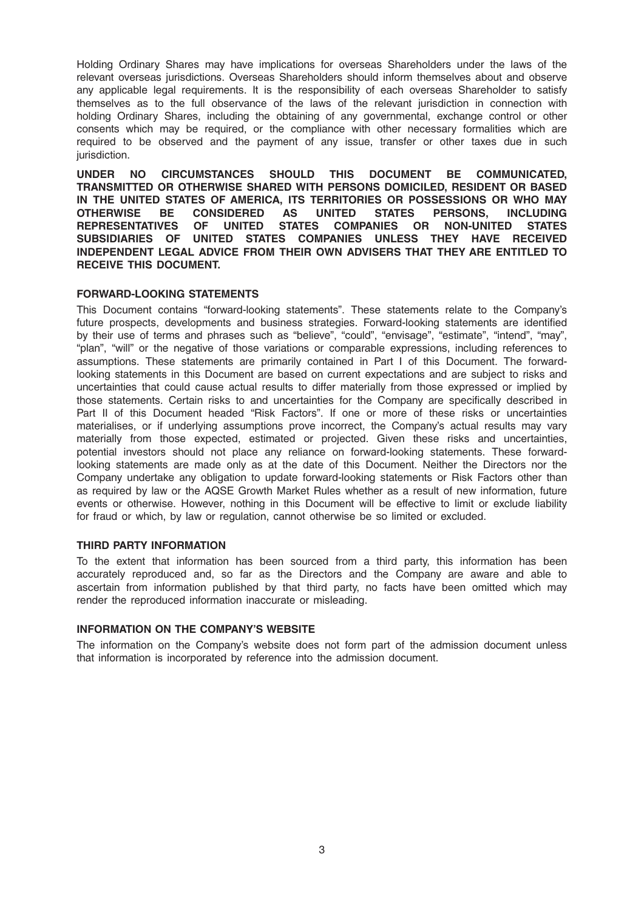Holding Ordinary Shares may have implications for overseas Shareholders under the laws of the relevant overseas jurisdictions. Overseas Shareholders should inform themselves about and observe any applicable legal requirements. It is the responsibility of each overseas Shareholder to satisfy themselves as to the full observance of the laws of the relevant jurisdiction in connection with holding Ordinary Shares, including the obtaining of any governmental, exchange control or other consents which may be required, or the compliance with other necessary formalities which are required to be observed and the payment of any issue, transfer or other taxes due in such jurisdiction.

UNDER NO CIRCUMSTANCES SHOULD THIS DOCUMENT BE COMMUNICATED, TRANSMITTED OR OTHERWISE SHARED WITH PERSONS DOMICILED, RESIDENT OR BASED IN THE UNITED STATES OF AMERICA, ITS TERRITORIES OR POSSESSIONS OR WHO MAY OTHERWISE BE CONSIDERED AS UNITED STATES PERSONS, INCLUDING REPRESENTATIVES OF UNITED STATES COMPANIES OR NON-UNITED STATES SUBSIDIARIES OF UNITED STATES COMPANIES UNLESS THEY HAVE RECEIVED INDEPENDENT LEGAL ADVICE FROM THEIR OWN ADVISERS THAT THEY ARE ENTITLED TO RECEIVE THIS DOCUMENT.

# FORWARD-LOOKING STATEMENTS

This Document contains "forward-looking statements". These statements relate to the Company's future prospects, developments and business strategies. Forward-looking statements are identified by their use of terms and phrases such as "believe", "could", "envisage", "estimate", "intend", "may", "plan", "will" or the negative of those variations or comparable expressions, including references to assumptions. These statements are primarily contained in Part I of this Document. The forwardlooking statements in this Document are based on current expectations and are subject to risks and uncertainties that could cause actual results to differ materially from those expressed or implied by those statements. Certain risks to and uncertainties for the Company are specifically described in Part II of this Document headed "Risk Factors". If one or more of these risks or uncertainties materialises, or if underlying assumptions prove incorrect, the Company's actual results may vary materially from those expected, estimated or projected. Given these risks and uncertainties, potential investors should not place any reliance on forward-looking statements. These forwardlooking statements are made only as at the date of this Document. Neither the Directors nor the Company undertake any obligation to update forward-looking statements or Risk Factors other than as required by law or the AQSE Growth Market Rules whether as a result of new information, future events or otherwise. However, nothing in this Document will be effective to limit or exclude liability for fraud or which, by law or regulation, cannot otherwise be so limited or excluded.

# THIRD PARTY INFORMATION

To the extent that information has been sourced from a third party, this information has been accurately reproduced and, so far as the Directors and the Company are aware and able to ascertain from information published by that third party, no facts have been omitted which may render the reproduced information inaccurate or misleading.

### INFORMATION ON THE COMPANY'S WEBSITE

The information on the Company's website does not form part of the admission document unless that information is incorporated by reference into the admission document.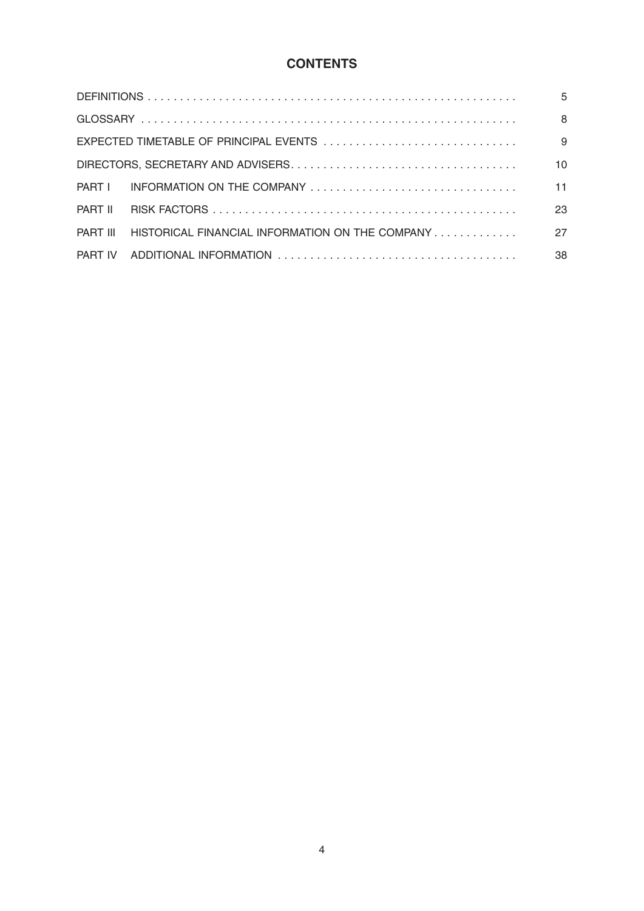# **CONTENTS**

|                                                                                                          | 5  |
|----------------------------------------------------------------------------------------------------------|----|
|                                                                                                          | 8  |
|                                                                                                          | 9  |
|                                                                                                          | 10 |
|                                                                                                          | 11 |
|                                                                                                          | 23 |
| $\blacksquare$ HISTORICAL FINANCIAL INFORMATION ON THE COMPANY $\ldots \ldots \ldots \ldots$<br>PART III | 27 |
|                                                                                                          | 38 |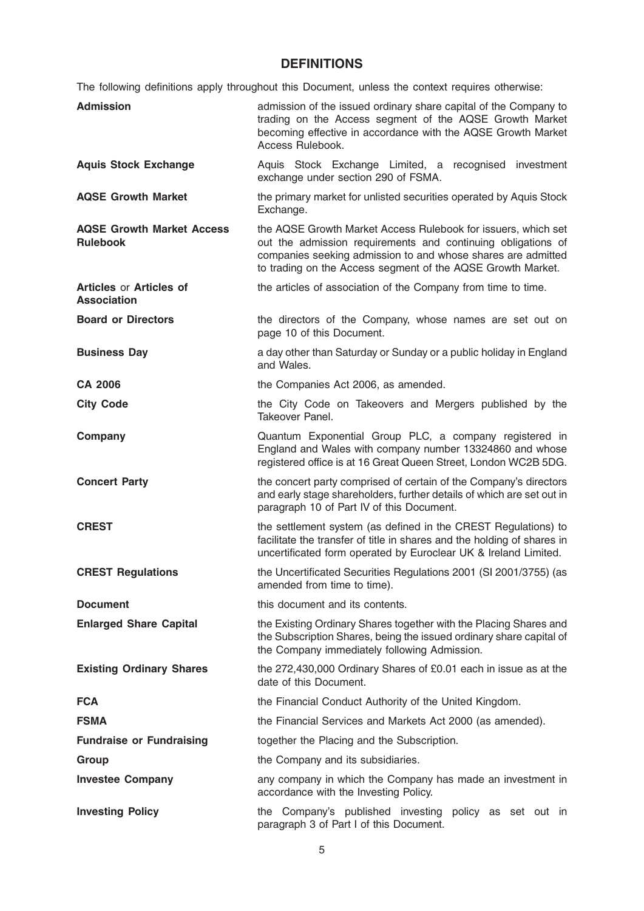# **DEFINITIONS**

The following definitions apply throughout this Document, unless the context requires otherwise:

| <b>Admission</b>                                     | admission of the issued ordinary share capital of the Company to<br>trading on the Access segment of the AQSE Growth Market<br>becoming effective in accordance with the AQSE Growth Market<br>Access Rulebook.                                              |
|------------------------------------------------------|--------------------------------------------------------------------------------------------------------------------------------------------------------------------------------------------------------------------------------------------------------------|
| <b>Aquis Stock Exchange</b>                          | Aquis Stock Exchange Limited, a recognised investment<br>exchange under section 290 of FSMA.                                                                                                                                                                 |
| <b>AQSE Growth Market</b>                            | the primary market for unlisted securities operated by Aquis Stock<br>Exchange.                                                                                                                                                                              |
| <b>AQSE Growth Market Access</b><br><b>Rulebook</b>  | the AQSE Growth Market Access Rulebook for issuers, which set<br>out the admission requirements and continuing obligations of<br>companies seeking admission to and whose shares are admitted<br>to trading on the Access segment of the AQSE Growth Market. |
| <b>Articles or Articles of</b><br><b>Association</b> | the articles of association of the Company from time to time.                                                                                                                                                                                                |
| <b>Board or Directors</b>                            | the directors of the Company, whose names are set out on<br>page 10 of this Document.                                                                                                                                                                        |
| <b>Business Day</b>                                  | a day other than Saturday or Sunday or a public holiday in England<br>and Wales.                                                                                                                                                                             |
| <b>CA 2006</b>                                       | the Companies Act 2006, as amended.                                                                                                                                                                                                                          |
| <b>City Code</b>                                     | the City Code on Takeovers and Mergers published by the<br>Takeover Panel.                                                                                                                                                                                   |
| Company                                              | Quantum Exponential Group PLC, a company registered in<br>England and Wales with company number 13324860 and whose<br>registered office is at 16 Great Queen Street, London WC2B 5DG.                                                                        |
| <b>Concert Party</b>                                 | the concert party comprised of certain of the Company's directors<br>and early stage shareholders, further details of which are set out in<br>paragraph 10 of Part IV of this Document.                                                                      |
| <b>CREST</b>                                         | the settlement system (as defined in the CREST Regulations) to<br>facilitate the transfer of title in shares and the holding of shares in<br>uncertificated form operated by Euroclear UK & Ireland Limited.                                                 |
| <b>CREST Regulations</b>                             | the Uncertificated Securities Regulations 2001 (SI 2001/3755) (as<br>amended from time to time).                                                                                                                                                             |
| <b>Document</b>                                      | this document and its contents.                                                                                                                                                                                                                              |
| <b>Enlarged Share Capital</b>                        | the Existing Ordinary Shares together with the Placing Shares and<br>the Subscription Shares, being the issued ordinary share capital of<br>the Company immediately following Admission.                                                                     |
| <b>Existing Ordinary Shares</b>                      | the 272,430,000 Ordinary Shares of £0.01 each in issue as at the<br>date of this Document.                                                                                                                                                                   |
| <b>FCA</b>                                           | the Financial Conduct Authority of the United Kingdom.                                                                                                                                                                                                       |
| <b>FSMA</b>                                          | the Financial Services and Markets Act 2000 (as amended).                                                                                                                                                                                                    |
| <b>Fundraise or Fundraising</b>                      | together the Placing and the Subscription.                                                                                                                                                                                                                   |
| Group                                                | the Company and its subsidiaries.                                                                                                                                                                                                                            |
| <b>Investee Company</b>                              | any company in which the Company has made an investment in<br>accordance with the Investing Policy.                                                                                                                                                          |
| <b>Investing Policy</b>                              | the Company's published investing policy as set out in<br>paragraph 3 of Part I of this Document.                                                                                                                                                            |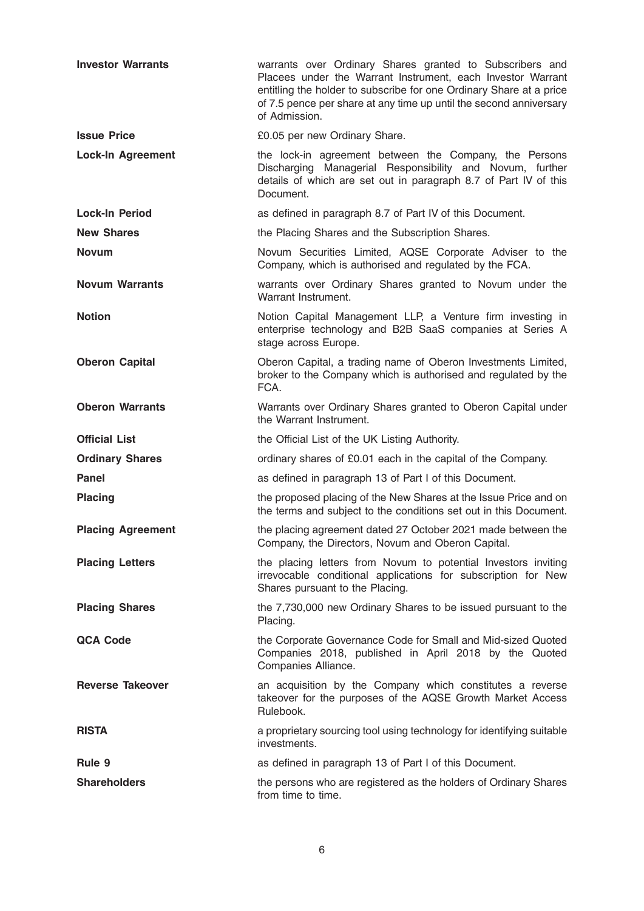| <b>Investor Warrants</b> | warrants over Ordinary Shares granted to Subscribers and<br>Placees under the Warrant Instrument, each Investor Warrant<br>entitling the holder to subscribe for one Ordinary Share at a price<br>of 7.5 pence per share at any time up until the second anniversary<br>of Admission. |
|--------------------------|---------------------------------------------------------------------------------------------------------------------------------------------------------------------------------------------------------------------------------------------------------------------------------------|
| <b>Issue Price</b>       | £0.05 per new Ordinary Share.                                                                                                                                                                                                                                                         |
| <b>Lock-In Agreement</b> | the lock-in agreement between the Company, the Persons<br>Discharging Managerial Responsibility and Novum, further<br>details of which are set out in paragraph 8.7 of Part IV of this<br>Document.                                                                                   |
| <b>Lock-In Period</b>    | as defined in paragraph 8.7 of Part IV of this Document.                                                                                                                                                                                                                              |
| <b>New Shares</b>        | the Placing Shares and the Subscription Shares.                                                                                                                                                                                                                                       |
| <b>Novum</b>             | Novum Securities Limited, AQSE Corporate Adviser to the<br>Company, which is authorised and regulated by the FCA.                                                                                                                                                                     |
| <b>Novum Warrants</b>    | warrants over Ordinary Shares granted to Novum under the<br>Warrant Instrument.                                                                                                                                                                                                       |
| <b>Notion</b>            | Notion Capital Management LLP, a Venture firm investing in<br>enterprise technology and B2B SaaS companies at Series A<br>stage across Europe.                                                                                                                                        |
| <b>Oberon Capital</b>    | Oberon Capital, a trading name of Oberon Investments Limited,<br>broker to the Company which is authorised and regulated by the<br>FCA.                                                                                                                                               |
| <b>Oberon Warrants</b>   | Warrants over Ordinary Shares granted to Oberon Capital under<br>the Warrant Instrument.                                                                                                                                                                                              |
|                          |                                                                                                                                                                                                                                                                                       |
| <b>Official List</b>     | the Official List of the UK Listing Authority.                                                                                                                                                                                                                                        |
| <b>Ordinary Shares</b>   | ordinary shares of £0.01 each in the capital of the Company.                                                                                                                                                                                                                          |
| Panel                    | as defined in paragraph 13 of Part I of this Document.                                                                                                                                                                                                                                |
| <b>Placing</b>           | the proposed placing of the New Shares at the Issue Price and on<br>the terms and subject to the conditions set out in this Document.                                                                                                                                                 |
| <b>Placing Agreement</b> | the placing agreement dated 27 October 2021 made between the<br>Company, the Directors, Novum and Oberon Capital.                                                                                                                                                                     |
| <b>Placing Letters</b>   | the placing letters from Novum to potential Investors inviting<br>irrevocable conditional applications for subscription for New<br>Shares pursuant to the Placing.                                                                                                                    |
| <b>Placing Shares</b>    | the 7,730,000 new Ordinary Shares to be issued pursuant to the<br>Placing.                                                                                                                                                                                                            |
| <b>QCA Code</b>          | the Corporate Governance Code for Small and Mid-sized Quoted<br>Companies 2018, published in April 2018 by the Quoted<br>Companies Alliance.                                                                                                                                          |
| <b>Reverse Takeover</b>  | an acquisition by the Company which constitutes a reverse<br>takeover for the purposes of the AQSE Growth Market Access<br>Rulebook.                                                                                                                                                  |
| <b>RISTA</b>             | a proprietary sourcing tool using technology for identifying suitable<br>investments.                                                                                                                                                                                                 |
| Rule 9                   | as defined in paragraph 13 of Part I of this Document.                                                                                                                                                                                                                                |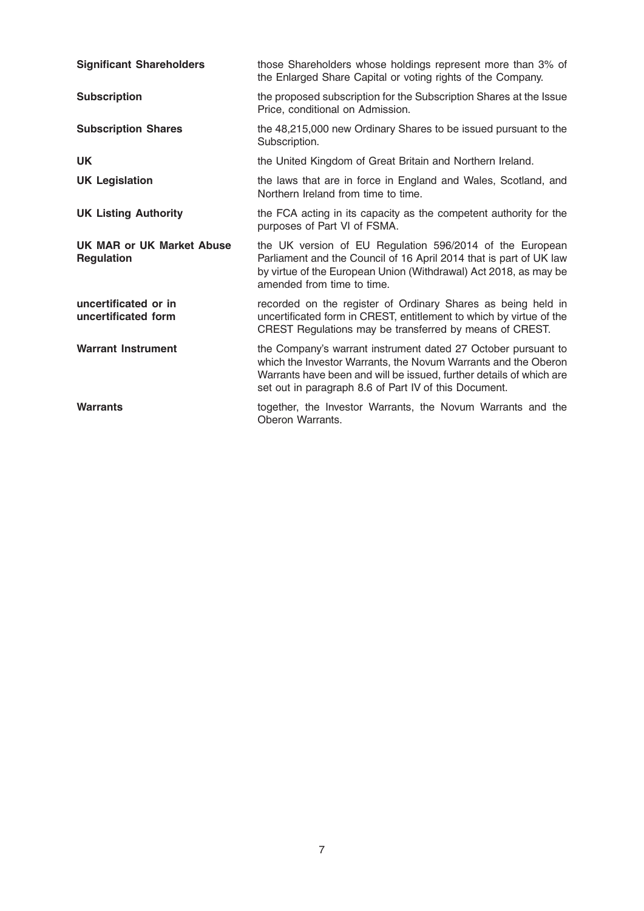| <b>Significant Shareholders</b>                | those Shareholders whose holdings represent more than 3% of<br>the Enlarged Share Capital or voting rights of the Company.                                                                                                                                      |
|------------------------------------------------|-----------------------------------------------------------------------------------------------------------------------------------------------------------------------------------------------------------------------------------------------------------------|
| <b>Subscription</b>                            | the proposed subscription for the Subscription Shares at the Issue<br>Price, conditional on Admission.                                                                                                                                                          |
| <b>Subscription Shares</b>                     | the 48,215,000 new Ordinary Shares to be issued pursuant to the<br>Subscription.                                                                                                                                                                                |
| <b>UK</b>                                      | the United Kingdom of Great Britain and Northern Ireland.                                                                                                                                                                                                       |
| <b>UK Legislation</b>                          | the laws that are in force in England and Wales, Scotland, and<br>Northern Ireland from time to time.                                                                                                                                                           |
| <b>UK Listing Authority</b>                    | the FCA acting in its capacity as the competent authority for the<br>purposes of Part VI of FSMA.                                                                                                                                                               |
| UK MAR or UK Market Abuse<br><b>Regulation</b> | the UK version of EU Regulation 596/2014 of the European<br>Parliament and the Council of 16 April 2014 that is part of UK law<br>by virtue of the European Union (Withdrawal) Act 2018, as may be<br>amended from time to time.                                |
| uncertificated or in<br>uncertificated form    | recorded on the register of Ordinary Shares as being held in<br>uncertificated form in CREST, entitlement to which by virtue of the<br>CREST Regulations may be transferred by means of CREST.                                                                  |
| <b>Warrant Instrument</b>                      | the Company's warrant instrument dated 27 October pursuant to<br>which the Investor Warrants, the Novum Warrants and the Oberon<br>Warrants have been and will be issued, further details of which are<br>set out in paragraph 8.6 of Part IV of this Document. |
| <b>Warrants</b>                                | together, the Investor Warrants, the Novum Warrants and the<br>Oberon Warrants.                                                                                                                                                                                 |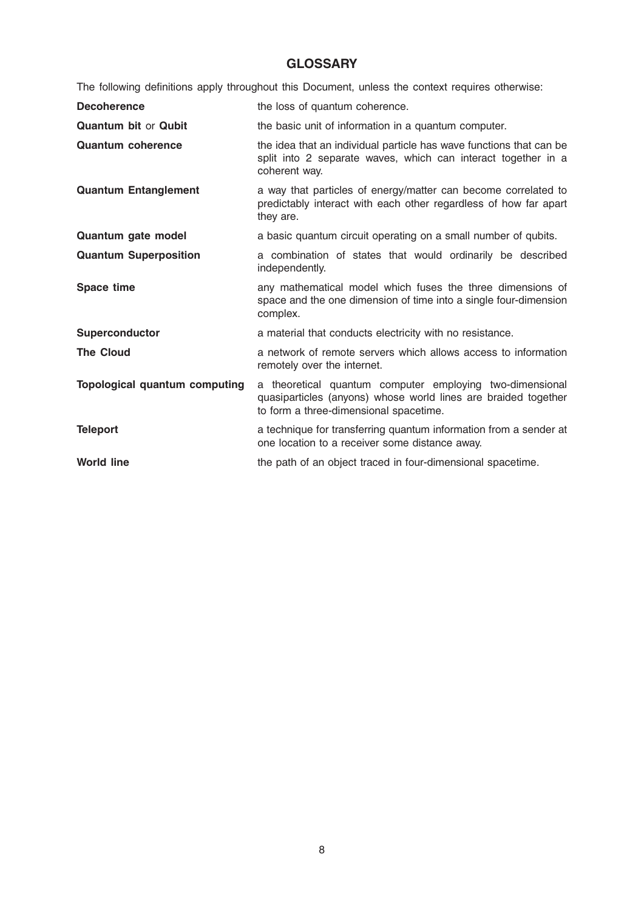# **GLOSSARY**

The following definitions apply throughout this Document, unless the context requires otherwise:

| <b>Decoherence</b>                   | the loss of quantum coherence.                                                                                                                                       |
|--------------------------------------|----------------------------------------------------------------------------------------------------------------------------------------------------------------------|
| <b>Quantum bit or Qubit</b>          | the basic unit of information in a quantum computer.                                                                                                                 |
| <b>Quantum coherence</b>             | the idea that an individual particle has wave functions that can be<br>split into 2 separate waves, which can interact together in a<br>coherent way.                |
| <b>Quantum Entanglement</b>          | a way that particles of energy/matter can become correlated to<br>predictably interact with each other regardless of how far apart<br>they are.                      |
| Quantum gate model                   | a basic quantum circuit operating on a small number of qubits.                                                                                                       |
| <b>Quantum Superposition</b>         | a combination of states that would ordinarily be described<br>independently.                                                                                         |
| Space time                           | any mathematical model which fuses the three dimensions of<br>space and the one dimension of time into a single four-dimension<br>complex.                           |
| <b>Superconductor</b>                | a material that conducts electricity with no resistance.                                                                                                             |
| <b>The Cloud</b>                     | a network of remote servers which allows access to information<br>remotely over the internet.                                                                        |
| <b>Topological quantum computing</b> | a theoretical quantum computer employing two-dimensional<br>quasiparticles (anyons) whose world lines are braided together<br>to form a three-dimensional spacetime. |
| <b>Teleport</b>                      | a technique for transferring quantum information from a sender at<br>one location to a receiver some distance away.                                                  |
| <b>World line</b>                    | the path of an object traced in four-dimensional spacetime.                                                                                                          |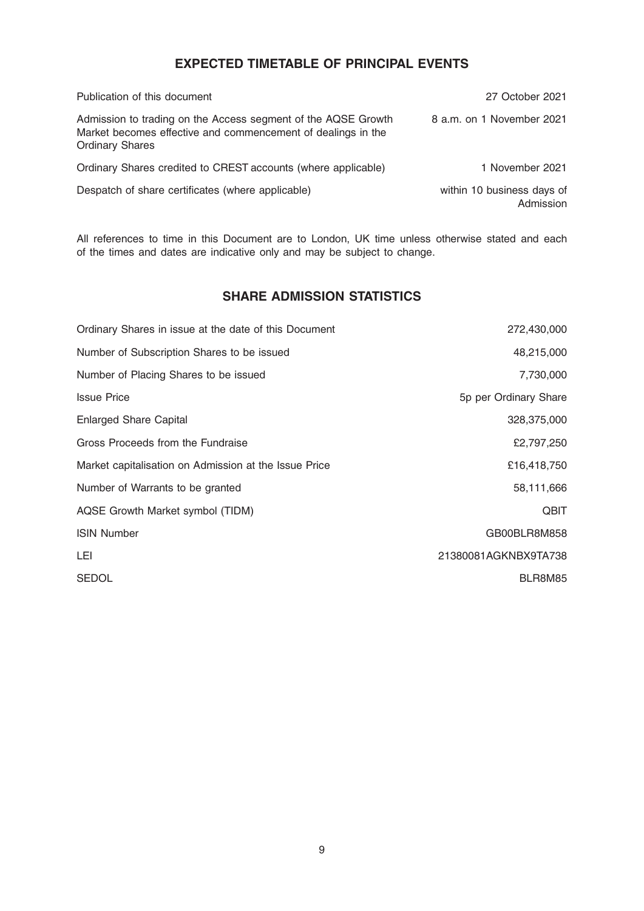# EXPECTED TIMETABLE OF PRINCIPAL EVENTS

| Publication of this document                                                                                                                            | 27 October 2021                         |
|---------------------------------------------------------------------------------------------------------------------------------------------------------|-----------------------------------------|
| Admission to trading on the Access segment of the AQSE Growth<br>Market becomes effective and commencement of dealings in the<br><b>Ordinary Shares</b> | 8 a.m. on 1 November 2021               |
| Ordinary Shares credited to CREST accounts (where applicable)                                                                                           | 1 November 2021                         |
| Despatch of share certificates (where applicable)                                                                                                       | within 10 business days of<br>Admission |

All references to time in this Document are to London, UK time unless otherwise stated and each of the times and dates are indicative only and may be subject to change.

# SHARE ADMISSION STATISTICS

| Ordinary Shares in issue at the date of this Document | 272,430,000           |
|-------------------------------------------------------|-----------------------|
| Number of Subscription Shares to be issued            | 48,215,000            |
| Number of Placing Shares to be issued                 | 7,730,000             |
| <b>Issue Price</b>                                    | 5p per Ordinary Share |
| <b>Enlarged Share Capital</b>                         | 328,375,000           |
| Gross Proceeds from the Fundraise                     | £2,797,250            |
| Market capitalisation on Admission at the Issue Price | £16,418,750           |
| Number of Warrants to be granted                      | 58,111,666            |
| AQSE Growth Market symbol (TIDM)                      | <b>QBIT</b>           |
| <b>ISIN Number</b>                                    | GB00BLR8M858          |
| LEI                                                   | 21380081AGKNBX9TA738  |
| <b>SEDOL</b>                                          | BLR8M85               |
|                                                       |                       |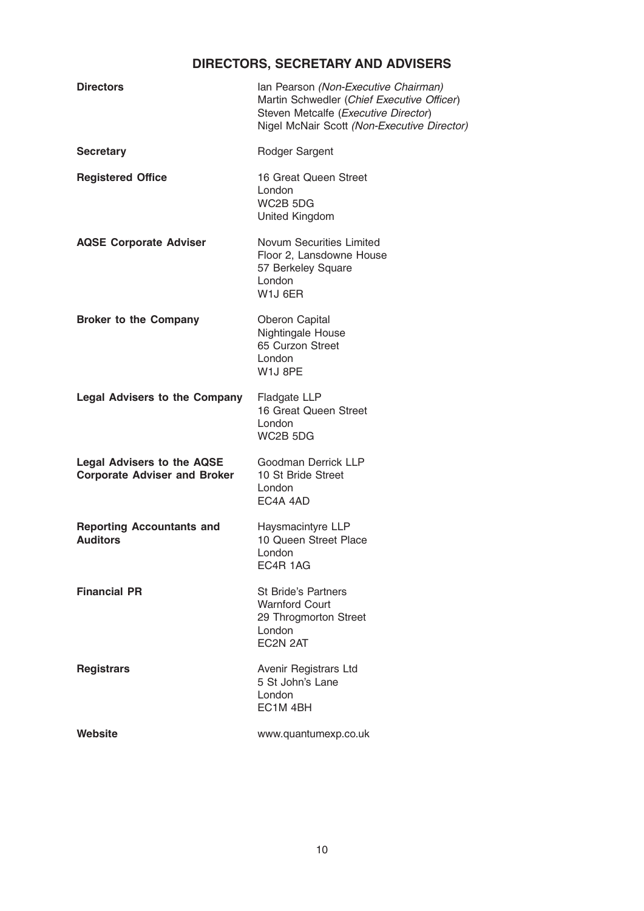# DIRECTORS, SECRETARY AND ADVISERS

| <b>Directors</b>                                                         | Ian Pearson (Non-Executive Chairman)<br>Martin Schwedler (Chief Executive Officer)<br>Steven Metcalfe (Executive Director)<br>Nigel McNair Scott (Non-Executive Director) |
|--------------------------------------------------------------------------|---------------------------------------------------------------------------------------------------------------------------------------------------------------------------|
| <b>Secretary</b>                                                         | Rodger Sargent                                                                                                                                                            |
| <b>Registered Office</b>                                                 | 16 Great Queen Street<br>London<br>WC2B 5DG<br>United Kingdom                                                                                                             |
| <b>AQSE Corporate Adviser</b>                                            | <b>Novum Securities Limited</b><br>Floor 2, Lansdowne House<br>57 Berkeley Square<br>London<br>W1J 6ER                                                                    |
| <b>Broker to the Company</b>                                             | Oberon Capital<br>Nightingale House<br>65 Curzon Street<br>London<br>W1J 8PE                                                                                              |
| <b>Legal Advisers to the Company</b>                                     | Fladgate LLP<br>16 Great Queen Street<br>London<br>WC2B 5DG                                                                                                               |
| <b>Legal Advisers to the AQSE</b><br><b>Corporate Adviser and Broker</b> | Goodman Derrick LLP<br>10 St Bride Street<br>London<br>EC4A 4AD                                                                                                           |
| <b>Reporting Accountants and</b><br><b>Auditors</b>                      | Haysmacintyre LLP<br>10 Queen Street Place<br>London<br>EC4R 1AG                                                                                                          |
| <b>Financial PR</b>                                                      | <b>St Bride's Partners</b><br><b>Warnford Court</b><br>29 Throgmorton Street<br>London<br>EC2N 2AT                                                                        |
| <b>Registrars</b>                                                        | Avenir Registrars Ltd<br>5 St John's Lane<br>London<br>EC <sub>1</sub> M <sub>4</sub> BH                                                                                  |
| Website                                                                  | www.quantumexp.co.uk                                                                                                                                                      |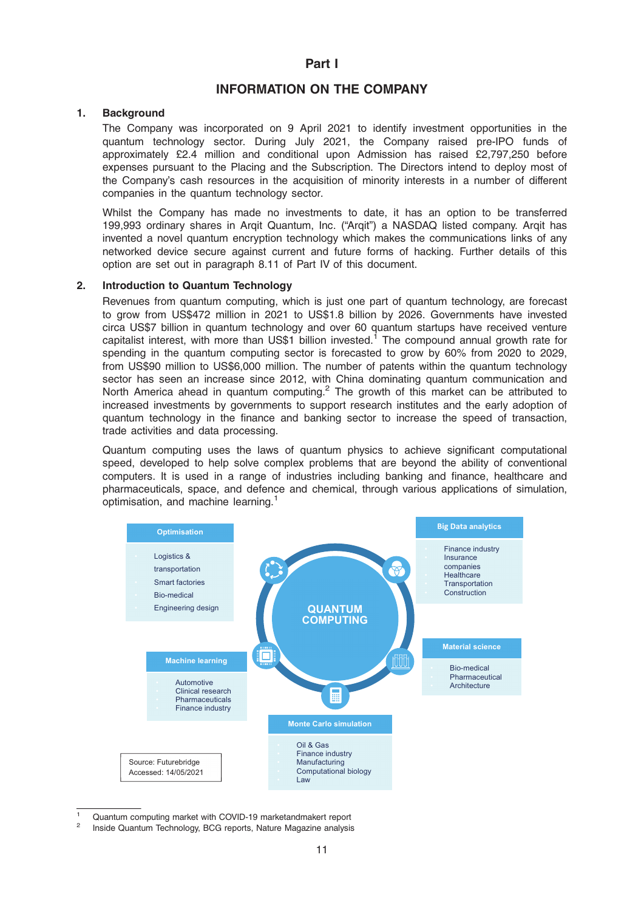# INFORMATION ON THE COMPANY

# 1. Background

The Company was incorporated on 9 April 2021 to identify investment opportunities in the quantum technology sector. During July 2021, the Company raised pre-IPO funds of approximately £2.4 million and conditional upon Admission has raised £2,797,250 before expenses pursuant to the Placing and the Subscription. The Directors intend to deploy most of the Company's cash resources in the acquisition of minority interests in a number of different companies in the quantum technology sector.

Whilst the Company has made no investments to date, it has an option to be transferred 199,993 ordinary shares in Arqit Quantum, Inc. ("Arqit") a NASDAQ listed company. Arqit has invented a novel quantum encryption technology which makes the communications links of any networked device secure against current and future forms of hacking. Further details of this option are set out in paragraph 8.11 of Part IV of this document.

### 2. Introduction to Quantum Technology

Revenues from quantum computing, which is just one part of quantum technology, are forecast to grow from US\$472 million in 2021 to US\$1.8 billion by 2026. Governments have invested circa US\$7 billion in quantum technology and over 60 quantum startups have received venture capitalist interest, with more than US\$1 billion invested.<sup>1</sup> The compound annual growth rate for spending in the quantum computing sector is forecasted to grow by 60% from 2020 to 2029, from US\$90 million to US\$6,000 million. The number of patents within the quantum technology sector has seen an increase since 2012, with China dominating quantum communication and North America ahead in quantum computing.<sup>2</sup> The growth of this market can be attributed to increased investments by governments to support research institutes and the early adoption of quantum technology in the finance and banking sector to increase the speed of transaction, trade activities and data processing.

Quantum computing uses the laws of quantum physics to achieve significant computational speed, developed to help solve complex problems that are beyond the ability of conventional computers. It is used in a range of industries including banking and finance, healthcare and pharmaceuticals, space, and defence and chemical, through various applications of simulation, optimisation, and machine learning.<sup>1</sup>



<sup>1</sup> Quantum computing market with COVID-19 marketandmakert report

<sup>2</sup> Inside Quantum Technology, BCG reports, Nature Magazine analysis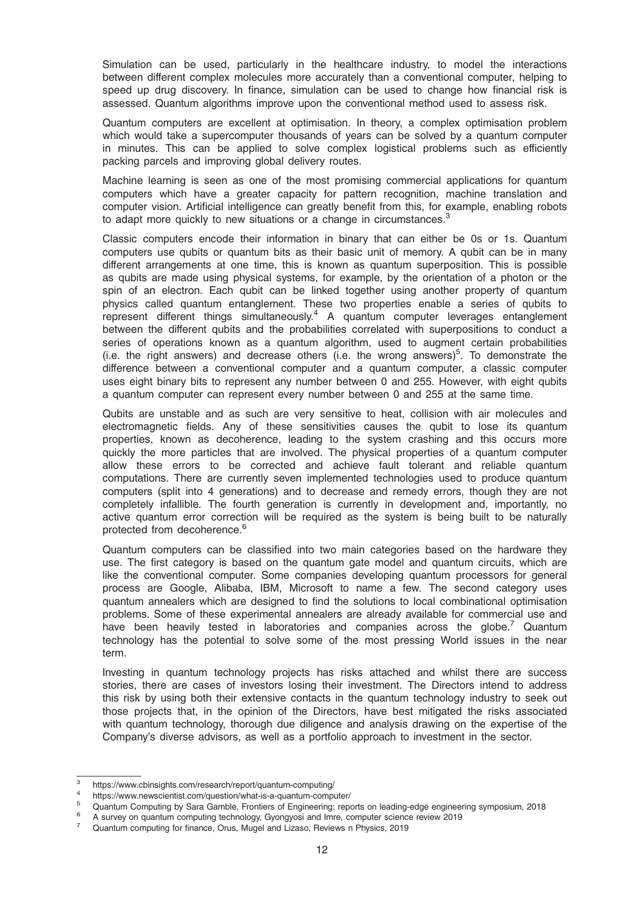Simulation can be used, particularly in the healthcare industry, to model the interactions between different complex molecules more accurately than a conventional computer, helping to speed up drug discovery. In finance, simulation can be used to change how financial risk is assessed. Quantum algorithms improve upon the conventional method used to assess risk.

Quantum computers are excellent at optimisation. In theory, a complex optimisation problem which would take a supercomputer thousands of years can be solved by a quantum computer in minutes. This can be applied to solve complex logistical problems such as efficiently packing parcels and improving global delivery routes.

Machine learning is seen as one of the most promising commercial applications for quantum computers which have a greater capacity for pattern recognition, machine translation and computer vision. Artificial intelligence can greatly benefit from this, for example, enabling robots to adapt more quickly to new situations or a change in circumstances. $3$ 

Classic computers encode their information in binary that can either be 0s or 1s. Quantum computers use qubits or quantum bits as their basic unit of memory. A qubit can be in many different arrangements at one time, this is known as quantum superposition. This is possible as qubits are made using physical systems, for example, by the orientation of a photon or the spin of an electron. Each qubit can be linked together using another property of quantum physics called quantum entanglement. These two properties enable a series of qubits to represent different things simultaneously.<sup>4</sup> A quantum computer leverages entanglement between the different qubits and the probabilities correlated with superpositions to conduct a series of operations known as a quantum algorithm, used to augment certain probabilities (i.e. the right answers) and decrease others (i.e. the wrong answers)<sup>5</sup>. To demonstrate the difference between a conventional computer and a quantum computer, a classic computer uses eight binary bits to represent any number between 0 and 255. However, with eight qubits a quantum computer can represent every number between 0 and 255 at the same time.

Qubits are unstable and as such are very sensitive to heat, collision with air molecules and electromagnetic fields. Any of these sensitivities causes the qubit to lose its quantum properties, known as decoherence, leading to the system crashing and this occurs more quickly the more particles that are involved. The physical properties of a quantum computer allow these errors to be corrected and achieve fault tolerant and reliable quantum computations. There are currently seven implemented technologies used to produce quantum computers (split into 4 generations) and to decrease and remedy errors, though they are not completely infallible. The fourth generation is currently in development and, importantly, no active quantum error correction will be required as the system is being built to be naturally protected from decoherence.<sup>6</sup>

Quantum computers can be classified into two main categories based on the hardware they use. The first category is based on the quantum gate model and quantum circuits, which are like the conventional computer. Some companies developing quantum processors for general process are Google, Alibaba, IBM, Microsoft to name a few. The second category uses quantum annealers which are designed to find the solutions to local combinational optimisation problems. Some of these experimental annealers are already available for commercial use and have been heavily tested in laboratories and companies across the globe.<sup>7</sup> Quantum technology has the potential to solve some of the most pressing World issues in the near term.

Investing in quantum technology projects has risks attached and whilst there are success stories, there are cases of investors losing their investment. The Directors intend to address this risk by using both their extensive contacts in the quantum technology industry to seek out those projects that, in the opinion of the Directors, have best mitigated the risks associated with quantum technology, thorough due diligence and analysis drawing on the expertise of the Company's diverse advisors, as well as a portfolio approach to investment in the sector.

<sup>&</sup>lt;sup>3</sup><br>https://www.cbinsights.com/research/report/quantum-computing/<br><sup>4</sup><br>https://www.newscientist.com/question/what-is-a-quantum-computer/<br><sup>5</sup><br>Quantum Computing by Sara Gamble, Frontiers of Engineering: reports on leading-edg

<sup>7</sup> Quantum computing for finance, Orus, Mugel and Lizaso, Reviews n Physics, 2019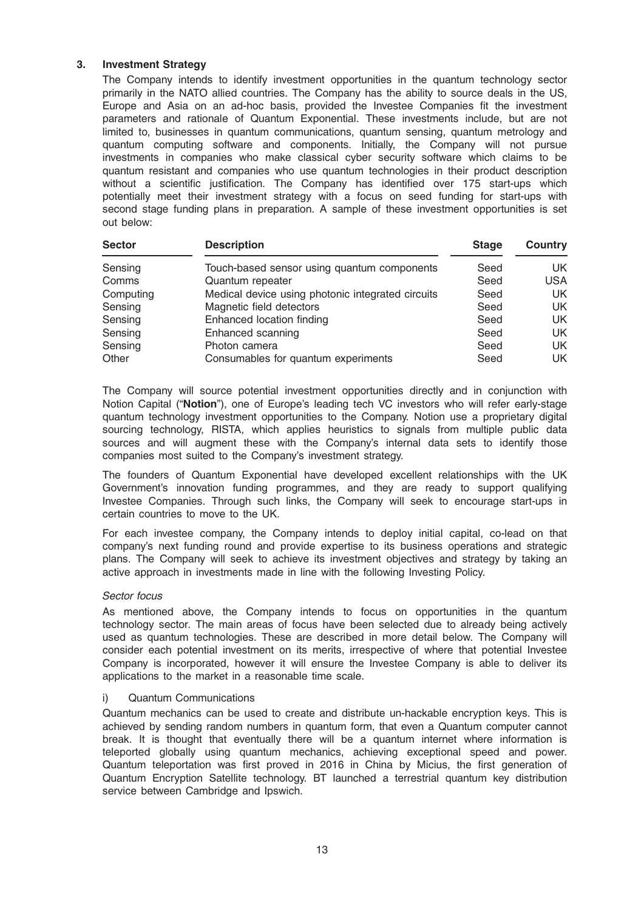# 3. Investment Strategy

The Company intends to identify investment opportunities in the quantum technology sector primarily in the NATO allied countries. The Company has the ability to source deals in the US, Europe and Asia on an ad-hoc basis, provided the Investee Companies fit the investment parameters and rationale of Quantum Exponential. These investments include, but are not limited to, businesses in quantum communications, quantum sensing, quantum metrology and quantum computing software and components. Initially, the Company will not pursue investments in companies who make classical cyber security software which claims to be quantum resistant and companies who use quantum technologies in their product description without a scientific justification. The Company has identified over 175 start-ups which potentially meet their investment strategy with a focus on seed funding for start-ups with second stage funding plans in preparation. A sample of these investment opportunities is set out below:

| <b>Sector</b> | <b>Description</b>                                | <b>Stage</b> | Country    |
|---------------|---------------------------------------------------|--------------|------------|
| Sensing       | Touch-based sensor using quantum components       | Seed         | UK.        |
| Comms         | Quantum repeater                                  | Seed         | <b>USA</b> |
| Computing     | Medical device using photonic integrated circuits | Seed         | UK.        |
| Sensing       | Magnetic field detectors                          | Seed         | UK.        |
| Sensing       | Enhanced location finding                         | Seed         | <b>UK</b>  |
| Sensing       | Enhanced scanning                                 | Seed         | <b>UK</b>  |
| Sensing       | Photon camera                                     | Seed         | UK.        |
| Other         | Consumables for quantum experiments               | Seed         | UK.        |

The Company will source potential investment opportunities directly and in conjunction with Notion Capital ("Notion"), one of Europe's leading tech VC investors who will refer early-stage quantum technology investment opportunities to the Company. Notion use a proprietary digital sourcing technology, RISTA, which applies heuristics to signals from multiple public data sources and will augment these with the Company's internal data sets to identify those companies most suited to the Company's investment strategy.

The founders of Quantum Exponential have developed excellent relationships with the UK Government's innovation funding programmes, and they are ready to support qualifying Investee Companies. Through such links, the Company will seek to encourage start-ups in certain countries to move to the UK.

For each investee company, the Company intends to deploy initial capital, co-lead on that company's next funding round and provide expertise to its business operations and strategic plans. The Company will seek to achieve its investment objectives and strategy by taking an active approach in investments made in line with the following Investing Policy.

### Sector focus

As mentioned above, the Company intends to focus on opportunities in the quantum technology sector. The main areas of focus have been selected due to already being actively used as quantum technologies. These are described in more detail below. The Company will consider each potential investment on its merits, irrespective of where that potential Investee Company is incorporated, however it will ensure the Investee Company is able to deliver its applications to the market in a reasonable time scale.

### i) Quantum Communications

Quantum mechanics can be used to create and distribute un-hackable encryption keys. This is achieved by sending random numbers in quantum form, that even a Quantum computer cannot break. It is thought that eventually there will be a quantum internet where information is teleported globally using quantum mechanics, achieving exceptional speed and power. Quantum teleportation was first proved in 2016 in China by Micius, the first generation of Quantum Encryption Satellite technology. BT launched a terrestrial quantum key distribution service between Cambridge and Ipswich.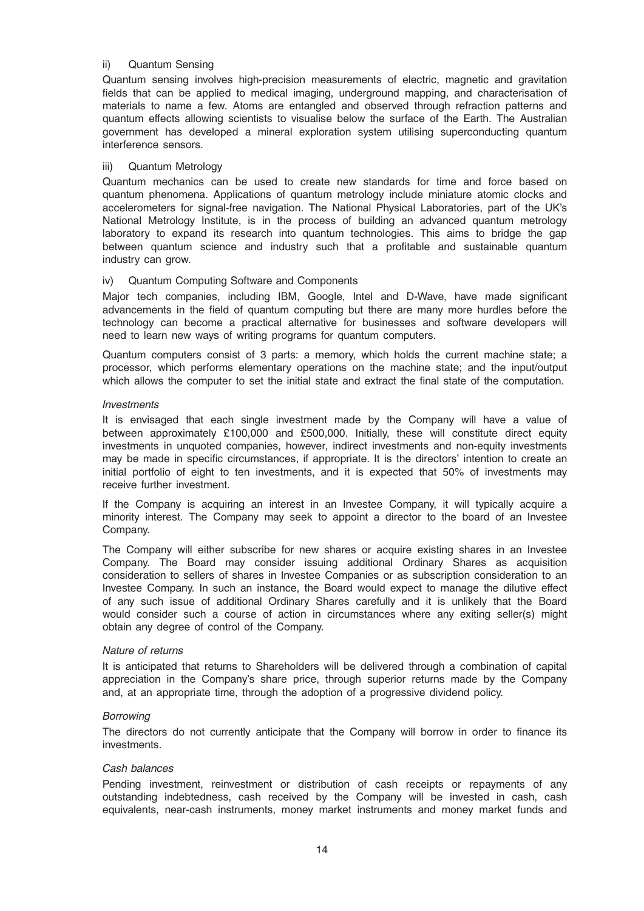# ii) Quantum Sensing

Quantum sensing involves high-precision measurements of electric, magnetic and gravitation fields that can be applied to medical imaging, underground mapping, and characterisation of materials to name a few. Atoms are entangled and observed through refraction patterns and quantum effects allowing scientists to visualise below the surface of the Earth. The Australian government has developed a mineral exploration system utilising superconducting quantum interference sensors.

### iii) Quantum Metrology

Quantum mechanics can be used to create new standards for time and force based on quantum phenomena. Applications of quantum metrology include miniature atomic clocks and accelerometers for signal-free navigation. The National Physical Laboratories, part of the UK's National Metrology Institute, is in the process of building an advanced quantum metrology laboratory to expand its research into quantum technologies. This aims to bridge the gap between quantum science and industry such that a profitable and sustainable quantum industry can grow.

# iv) Quantum Computing Software and Components

Major tech companies, including IBM, Google, Intel and D-Wave, have made significant advancements in the field of quantum computing but there are many more hurdles before the technology can become a practical alternative for businesses and software developers will need to learn new ways of writing programs for quantum computers.

Quantum computers consist of 3 parts: a memory, which holds the current machine state; a processor, which performs elementary operations on the machine state; and the input/output which allows the computer to set the initial state and extract the final state of the computation.

### Investments

It is envisaged that each single investment made by the Company will have a value of between approximately £100,000 and £500,000. Initially, these will constitute direct equity investments in unquoted companies, however, indirect investments and non-equity investments may be made in specific circumstances, if appropriate. It is the directors' intention to create an initial portfolio of eight to ten investments, and it is expected that 50% of investments may receive further investment.

If the Company is acquiring an interest in an Investee Company, it will typically acquire a minority interest. The Company may seek to appoint a director to the board of an Investee Company.

The Company will either subscribe for new shares or acquire existing shares in an Investee Company. The Board may consider issuing additional Ordinary Shares as acquisition consideration to sellers of shares in Investee Companies or as subscription consideration to an Investee Company. In such an instance, the Board would expect to manage the dilutive effect of any such issue of additional Ordinary Shares carefully and it is unlikely that the Board would consider such a course of action in circumstances where any exiting seller(s) might obtain any degree of control of the Company.

### Nature of returns

It is anticipated that returns to Shareholders will be delivered through a combination of capital appreciation in the Company's share price, through superior returns made by the Company and, at an appropriate time, through the adoption of a progressive dividend policy.

### Borrowing

The directors do not currently anticipate that the Company will borrow in order to finance its investments.

### Cash balances

Pending investment, reinvestment or distribution of cash receipts or repayments of any outstanding indebtedness, cash received by the Company will be invested in cash, cash equivalents, near-cash instruments, money market instruments and money market funds and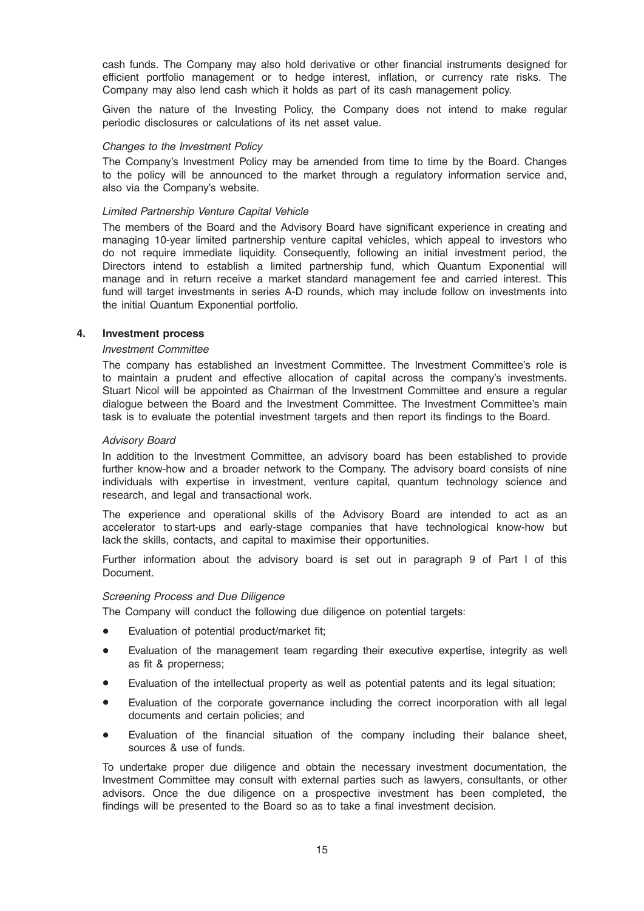cash funds. The Company may also hold derivative or other financial instruments designed for efficient portfolio management or to hedge interest, inflation, or currency rate risks. The Company may also lend cash which it holds as part of its cash management policy.

Given the nature of the Investing Policy, the Company does not intend to make regular periodic disclosures or calculations of its net asset value.

### Changes to the Investment Policy

The Company's Investment Policy may be amended from time to time by the Board. Changes to the policy will be announced to the market through a regulatory information service and, also via the Company's website.

### Limited Partnership Venture Capital Vehicle

The members of the Board and the Advisory Board have significant experience in creating and managing 10-year limited partnership venture capital vehicles, which appeal to investors who do not require immediate liquidity. Consequently, following an initial investment period, the Directors intend to establish a limited partnership fund, which Quantum Exponential will manage and in return receive a market standard management fee and carried interest. This fund will target investments in series A-D rounds, which may include follow on investments into the initial Quantum Exponential portfolio.

#### 4. Investment process

### Investment Committee

The company has established an Investment Committee. The Investment Committee's role is to maintain a prudent and effective allocation of capital across the company's investments. Stuart Nicol will be appointed as Chairman of the Investment Committee and ensure a regular dialogue between the Board and the Investment Committee. The Investment Committee's main task is to evaluate the potential investment targets and then report its findings to the Board.

#### Advisory Board

In addition to the Investment Committee, an advisory board has been established to provide further know-how and a broader network to the Company. The advisory board consists of nine individuals with expertise in investment, venture capital, quantum technology science and research, and legal and transactional work.

The experience and operational skills of the Advisory Board are intended to act as an accelerator to start-ups and early-stage companies that have technological know-how but lack the skills, contacts, and capital to maximise their opportunities.

Further information about the advisory board is set out in paragraph 9 of Part I of this Document.

### Screening Process and Due Diligence

The Company will conduct the following due diligence on potential targets:

- Evaluation of potential product/market fit;
- \* Evaluation of the management team regarding their executive expertise, integrity as well as fit & properness;
- Evaluation of the intellectual property as well as potential patents and its legal situation;
- Evaluation of the corporate governance including the correct incorporation with all legal documents and certain policies; and
- Evaluation of the financial situation of the company including their balance sheet, sources & use of funds.

To undertake proper due diligence and obtain the necessary investment documentation, the Investment Committee may consult with external parties such as lawyers, consultants, or other advisors. Once the due diligence on a prospective investment has been completed, the findings will be presented to the Board so as to take a final investment decision.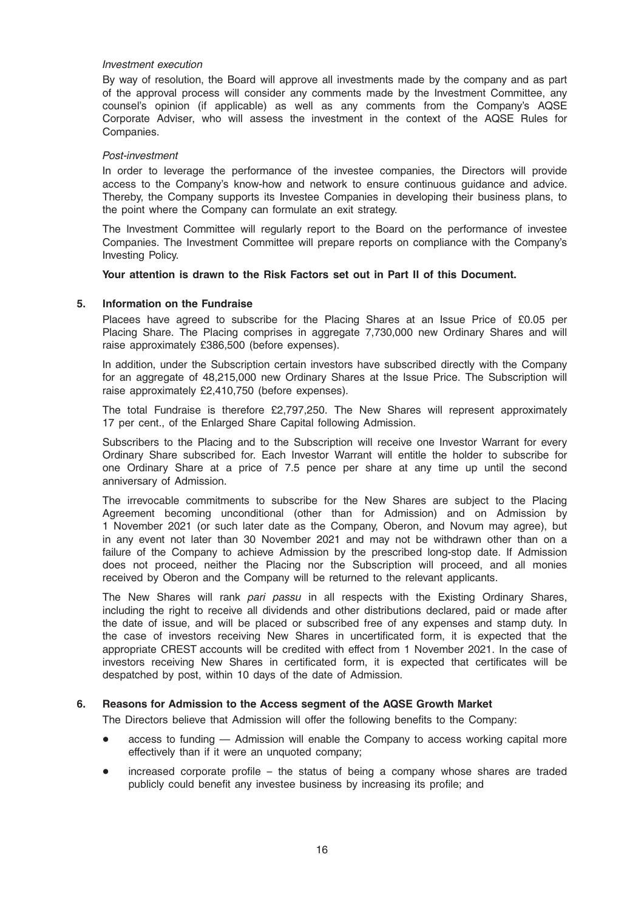### Investment execution

By way of resolution, the Board will approve all investments made by the company and as part of the approval process will consider any comments made by the Investment Committee, any counsel's opinion (if applicable) as well as any comments from the Company's AQSE Corporate Adviser, who will assess the investment in the context of the AQSE Rules for Companies.

### Post-investment

In order to leverage the performance of the investee companies, the Directors will provide access to the Company's know-how and network to ensure continuous guidance and advice. Thereby, the Company supports its Investee Companies in developing their business plans, to the point where the Company can formulate an exit strategy.

The Investment Committee will regularly report to the Board on the performance of investee Companies. The Investment Committee will prepare reports on compliance with the Company's Investing Policy.

# Your attention is drawn to the Risk Factors set out in Part II of this Document.

# 5. Information on the Fundraise

Placees have agreed to subscribe for the Placing Shares at an Issue Price of £0.05 per Placing Share. The Placing comprises in aggregate 7,730,000 new Ordinary Shares and will raise approximately £386,500 (before expenses).

In addition, under the Subscription certain investors have subscribed directly with the Company for an aggregate of 48,215,000 new Ordinary Shares at the Issue Price. The Subscription will raise approximately £2,410,750 (before expenses).

The total Fundraise is therefore £2,797,250. The New Shares will represent approximately 17 per cent., of the Enlarged Share Capital following Admission.

Subscribers to the Placing and to the Subscription will receive one Investor Warrant for every Ordinary Share subscribed for. Each Investor Warrant will entitle the holder to subscribe for one Ordinary Share at a price of 7.5 pence per share at any time up until the second anniversary of Admission.

The irrevocable commitments to subscribe for the New Shares are subject to the Placing Agreement becoming unconditional (other than for Admission) and on Admission by 1 November 2021 (or such later date as the Company, Oberon, and Novum may agree), but in any event not later than 30 November 2021 and may not be withdrawn other than on a failure of the Company to achieve Admission by the prescribed long-stop date. If Admission does not proceed, neither the Placing nor the Subscription will proceed, and all monies received by Oberon and the Company will be returned to the relevant applicants.

The New Shares will rank pari passu in all respects with the Existing Ordinary Shares, including the right to receive all dividends and other distributions declared, paid or made after the date of issue, and will be placed or subscribed free of any expenses and stamp duty. In the case of investors receiving New Shares in uncertificated form, it is expected that the appropriate CREST accounts will be credited with effect from 1 November 2021. In the case of investors receiving New Shares in certificated form, it is expected that certificates will be despatched by post, within 10 days of the date of Admission.

# 6. Reasons for Admission to the Access segment of the AQSE Growth Market

The Directors believe that Admission will offer the following benefits to the Company:

- access to funding Admission will enable the Company to access working capital more effectively than if it were an unquoted company;
- increased corporate profile the status of being a company whose shares are traded publicly could benefit any investee business by increasing its profile; and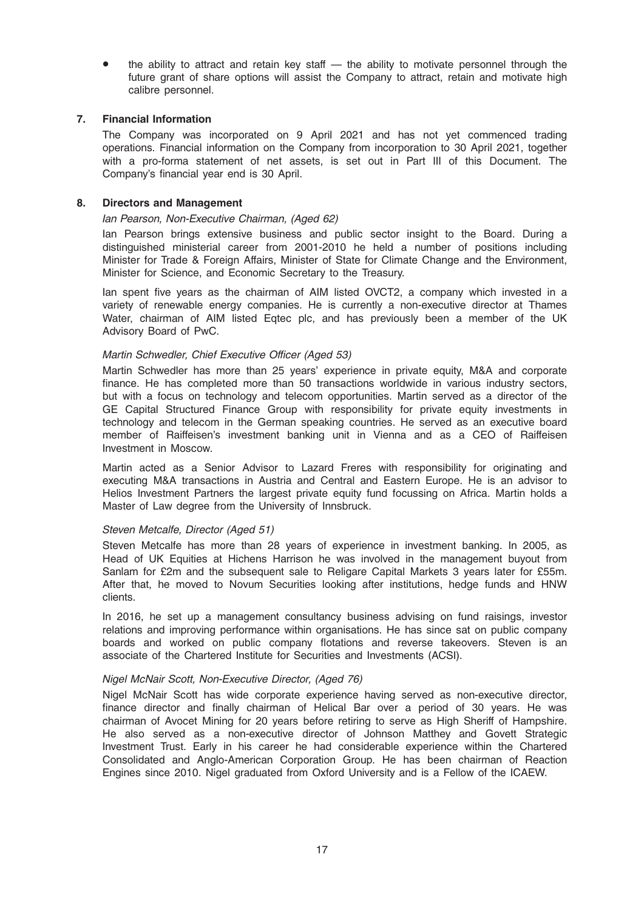the ability to attract and retain key staff — the ability to motivate personnel through the future grant of share options will assist the Company to attract, retain and motivate high calibre personnel.

# 7. Financial Information

The Company was incorporated on 9 April 2021 and has not yet commenced trading operations. Financial information on the Company from incorporation to 30 April 2021, together with a pro-forma statement of net assets, is set out in Part III of this Document. The Company's financial year end is 30 April.

# 8. Directors and Management

### Ian Pearson, Non-Executive Chairman, (Aged 62)

Ian Pearson brings extensive business and public sector insight to the Board. During a distinguished ministerial career from 2001-2010 he held a number of positions including Minister for Trade & Foreign Affairs, Minister of State for Climate Change and the Environment, Minister for Science, and Economic Secretary to the Treasury.

Ian spent five years as the chairman of AIM listed OVCT2, a company which invested in a variety of renewable energy companies. He is currently a non-executive director at Thames Water, chairman of AIM listed Eqtec plc, and has previously been a member of the UK Advisory Board of PwC.

# Martin Schwedler, Chief Executive Officer (Aged 53)

Martin Schwedler has more than 25 years' experience in private equity, M&A and corporate finance. He has completed more than 50 transactions worldwide in various industry sectors, but with a focus on technology and telecom opportunities. Martin served as a director of the GE Capital Structured Finance Group with responsibility for private equity investments in technology and telecom in the German speaking countries. He served as an executive board member of Raiffeisen's investment banking unit in Vienna and as a CEO of Raiffeisen Investment in Moscow.

Martin acted as a Senior Advisor to Lazard Freres with responsibility for originating and executing M&A transactions in Austria and Central and Eastern Europe. He is an advisor to Helios Investment Partners the largest private equity fund focussing on Africa. Martin holds a Master of Law degree from the University of Innsbruck.

### Steven Metcalfe, Director (Aged 51)

Steven Metcalfe has more than 28 years of experience in investment banking. In 2005, as Head of UK Equities at Hichens Harrison he was involved in the management buyout from Sanlam for £2m and the subsequent sale to Religare Capital Markets 3 years later for £55m. After that, he moved to Novum Securities looking after institutions, hedge funds and HNW clients.

In 2016, he set up a management consultancy business advising on fund raisings, investor relations and improving performance within organisations. He has since sat on public company boards and worked on public company flotations and reverse takeovers. Steven is an associate of the Chartered Institute for Securities and Investments (ACSI).

### Nigel McNair Scott, Non-Executive Director, (Aged 76)

Nigel McNair Scott has wide corporate experience having served as non-executive director, finance director and finally chairman of Helical Bar over a period of 30 years. He was chairman of Avocet Mining for 20 years before retiring to serve as High Sheriff of Hampshire. He also served as a non-executive director of Johnson Matthey and Govett Strategic Investment Trust. Early in his career he had considerable experience within the Chartered Consolidated and Anglo-American Corporation Group. He has been chairman of Reaction Engines since 2010. Nigel graduated from Oxford University and is a Fellow of the ICAEW.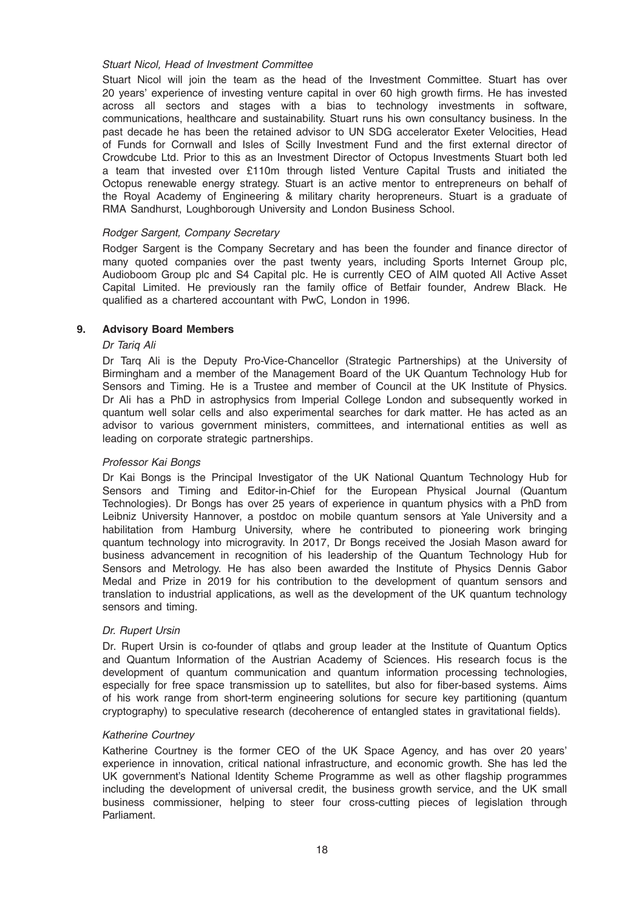# Stuart Nicol, Head of Investment Committee

Stuart Nicol will join the team as the head of the Investment Committee. Stuart has over 20 years' experience of investing venture capital in over 60 high growth firms. He has invested across all sectors and stages with a bias to technology investments in software, communications, healthcare and sustainability. Stuart runs his own consultancy business. In the past decade he has been the retained advisor to UN SDG accelerator Exeter Velocities, Head of Funds for Cornwall and Isles of Scilly Investment Fund and the first external director of Crowdcube Ltd. Prior to this as an Investment Director of Octopus Investments Stuart both led a team that invested over £110m through listed Venture Capital Trusts and initiated the Octopus renewable energy strategy. Stuart is an active mentor to entrepreneurs on behalf of the Royal Academy of Engineering & military charity heropreneurs. Stuart is a graduate of RMA Sandhurst, Loughborough University and London Business School.

# Rodger Sargent, Company Secretary

Rodger Sargent is the Company Secretary and has been the founder and finance director of many quoted companies over the past twenty years, including Sports Internet Group plc, Audioboom Group plc and S4 Capital plc. He is currently CEO of AIM quoted All Active Asset Capital Limited. He previously ran the family office of Betfair founder, Andrew Black. He qualified as a chartered accountant with PwC, London in 1996.

# 9. Advisory Board Members

### Dr Tariq Ali

Dr Tarq Ali is the Deputy Pro-Vice-Chancellor (Strategic Partnerships) at the University of Birmingham and a member of the Management Board of the UK Quantum Technology Hub for Sensors and Timing. He is a Trustee and member of Council at the UK Institute of Physics. Dr Ali has a PhD in astrophysics from Imperial College London and subsequently worked in quantum well solar cells and also experimental searches for dark matter. He has acted as an advisor to various government ministers, committees, and international entities as well as leading on corporate strategic partnerships.

### Professor Kai Bongs

Dr Kai Bongs is the Principal Investigator of the UK National Quantum Technology Hub for Sensors and Timing and Editor-in-Chief for the European Physical Journal (Quantum Technologies). Dr Bongs has over 25 years of experience in quantum physics with a PhD from Leibniz University Hannover, a postdoc on mobile quantum sensors at Yale University and a habilitation from Hamburg University, where he contributed to pioneering work bringing quantum technology into microgravity. In 2017, Dr Bongs received the Josiah Mason award for business advancement in recognition of his leadership of the Quantum Technology Hub for Sensors and Metrology. He has also been awarded the Institute of Physics Dennis Gabor Medal and Prize in 2019 for his contribution to the development of quantum sensors and translation to industrial applications, as well as the development of the UK quantum technology sensors and timing.

### Dr. Rupert Ursin

Dr. Rupert Ursin is co-founder of qtlabs and group leader at the Institute of Quantum Optics and Quantum Information of the Austrian Academy of Sciences. His research focus is the development of quantum communication and quantum information processing technologies, especially for free space transmission up to satellites, but also for fiber-based systems. Aims of his work range from short-term engineering solutions for secure key partitioning (quantum cryptography) to speculative research (decoherence of entangled states in gravitational fields).

### Katherine Courtney

Katherine Courtney is the former CEO of the UK Space Agency, and has over 20 years' experience in innovation, critical national infrastructure, and economic growth. She has led the UK government's National Identity Scheme Programme as well as other flagship programmes including the development of universal credit, the business growth service, and the UK small business commissioner, helping to steer four cross-cutting pieces of legislation through Parliament.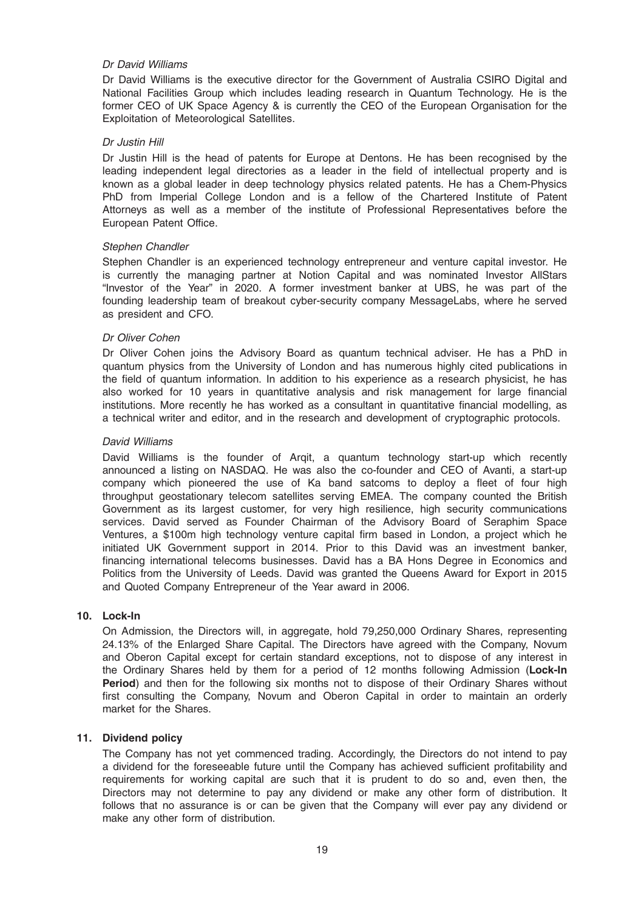# Dr David Williams

Dr David Williams is the executive director for the Government of Australia CSIRO Digital and National Facilities Group which includes leading research in Quantum Technology. He is the former CEO of UK Space Agency & is currently the CEO of the European Organisation for the Exploitation of Meteorological Satellites.

### Dr Justin Hill

Dr Justin Hill is the head of patents for Europe at Dentons. He has been recognised by the leading independent legal directories as a leader in the field of intellectual property and is known as a global leader in deep technology physics related patents. He has a Chem-Physics PhD from Imperial College London and is a fellow of the Chartered Institute of Patent Attorneys as well as a member of the institute of Professional Representatives before the European Patent Office.

### Stephen Chandler

Stephen Chandler is an experienced technology entrepreneur and venture capital investor. He is currently the managing partner at Notion Capital and was nominated Investor AllStars "Investor of the Year" in 2020. A former investment banker at UBS, he was part of the founding leadership team of breakout cyber-security company MessageLabs, where he served as president and CFO.

#### Dr Oliver Cohen

Dr Oliver Cohen joins the Advisory Board as quantum technical adviser. He has a PhD in quantum physics from the University of London and has numerous highly cited publications in the field of quantum information. In addition to his experience as a research physicist, he has also worked for 10 years in quantitative analysis and risk management for large financial institutions. More recently he has worked as a consultant in quantitative financial modelling, as a technical writer and editor, and in the research and development of cryptographic protocols.

#### David Williams

David Williams is the founder of Arqit, a quantum technology start-up which recently announced a listing on NASDAQ. He was also the co-founder and CEO of Avanti, a start-up company which pioneered the use of Ka band satcoms to deploy a fleet of four high throughput geostationary telecom satellites serving EMEA. The company counted the British Government as its largest customer, for very high resilience, high security communications services. David served as Founder Chairman of the Advisory Board of Seraphim Space Ventures, a \$100m high technology venture capital firm based in London, a project which he initiated UK Government support in 2014. Prior to this David was an investment banker, financing international telecoms businesses. David has a BA Hons Degree in Economics and Politics from the University of Leeds. David was granted the Queens Award for Export in 2015 and Quoted Company Entrepreneur of the Year award in 2006.

# 10. Lock-In

On Admission, the Directors will, in aggregate, hold 79,250,000 Ordinary Shares, representing 24.13% of the Enlarged Share Capital. The Directors have agreed with the Company, Novum and Oberon Capital except for certain standard exceptions, not to dispose of any interest in the Ordinary Shares held by them for a period of 12 months following Admission (Lock-In Period) and then for the following six months not to dispose of their Ordinary Shares without first consulting the Company, Novum and Oberon Capital in order to maintain an orderly market for the Shares.

# 11. Dividend policy

The Company has not yet commenced trading. Accordingly, the Directors do not intend to pay a dividend for the foreseeable future until the Company has achieved sufficient profitability and requirements for working capital are such that it is prudent to do so and, even then, the Directors may not determine to pay any dividend or make any other form of distribution. It follows that no assurance is or can be given that the Company will ever pay any dividend or make any other form of distribution.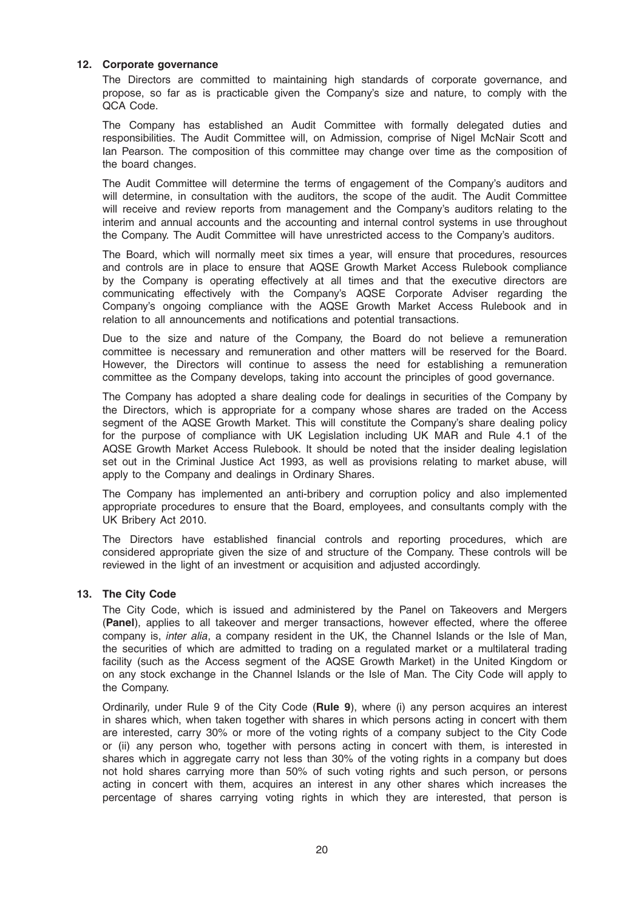# 12. Corporate governance

The Directors are committed to maintaining high standards of corporate governance, and propose, so far as is practicable given the Company's size and nature, to comply with the QCA Code.

The Company has established an Audit Committee with formally delegated duties and responsibilities. The Audit Committee will, on Admission, comprise of Nigel McNair Scott and Ian Pearson. The composition of this committee may change over time as the composition of the board changes.

The Audit Committee will determine the terms of engagement of the Company's auditors and will determine, in consultation with the auditors, the scope of the audit. The Audit Committee will receive and review reports from management and the Company's auditors relating to the interim and annual accounts and the accounting and internal control systems in use throughout the Company. The Audit Committee will have unrestricted access to the Company's auditors.

The Board, which will normally meet six times a year, will ensure that procedures, resources and controls are in place to ensure that AQSE Growth Market Access Rulebook compliance by the Company is operating effectively at all times and that the executive directors are communicating effectively with the Company's AQSE Corporate Adviser regarding the Company's ongoing compliance with the AQSE Growth Market Access Rulebook and in relation to all announcements and notifications and potential transactions.

Due to the size and nature of the Company, the Board do not believe a remuneration committee is necessary and remuneration and other matters will be reserved for the Board. However, the Directors will continue to assess the need for establishing a remuneration committee as the Company develops, taking into account the principles of good governance.

The Company has adopted a share dealing code for dealings in securities of the Company by the Directors, which is appropriate for a company whose shares are traded on the Access segment of the AQSE Growth Market. This will constitute the Company's share dealing policy for the purpose of compliance with UK Legislation including UK MAR and Rule 4.1 of the AQSE Growth Market Access Rulebook. It should be noted that the insider dealing legislation set out in the Criminal Justice Act 1993, as well as provisions relating to market abuse, will apply to the Company and dealings in Ordinary Shares.

The Company has implemented an anti-bribery and corruption policy and also implemented appropriate procedures to ensure that the Board, employees, and consultants comply with the UK Bribery Act 2010.

The Directors have established financial controls and reporting procedures, which are considered appropriate given the size of and structure of the Company. These controls will be reviewed in the light of an investment or acquisition and adjusted accordingly.

# 13. The City Code

The City Code, which is issued and administered by the Panel on Takeovers and Mergers (Panel), applies to all takeover and merger transactions, however effected, where the offeree company is, inter alia, a company resident in the UK, the Channel Islands or the Isle of Man, the securities of which are admitted to trading on a regulated market or a multilateral trading facility (such as the Access segment of the AQSE Growth Market) in the United Kingdom or on any stock exchange in the Channel Islands or the Isle of Man. The City Code will apply to the Company.

Ordinarily, under Rule 9 of the City Code (Rule 9), where (i) any person acquires an interest in shares which, when taken together with shares in which persons acting in concert with them are interested, carry 30% or more of the voting rights of a company subject to the City Code or (ii) any person who, together with persons acting in concert with them, is interested in shares which in aggregate carry not less than 30% of the voting rights in a company but does not hold shares carrying more than 50% of such voting rights and such person, or persons acting in concert with them, acquires an interest in any other shares which increases the percentage of shares carrying voting rights in which they are interested, that person is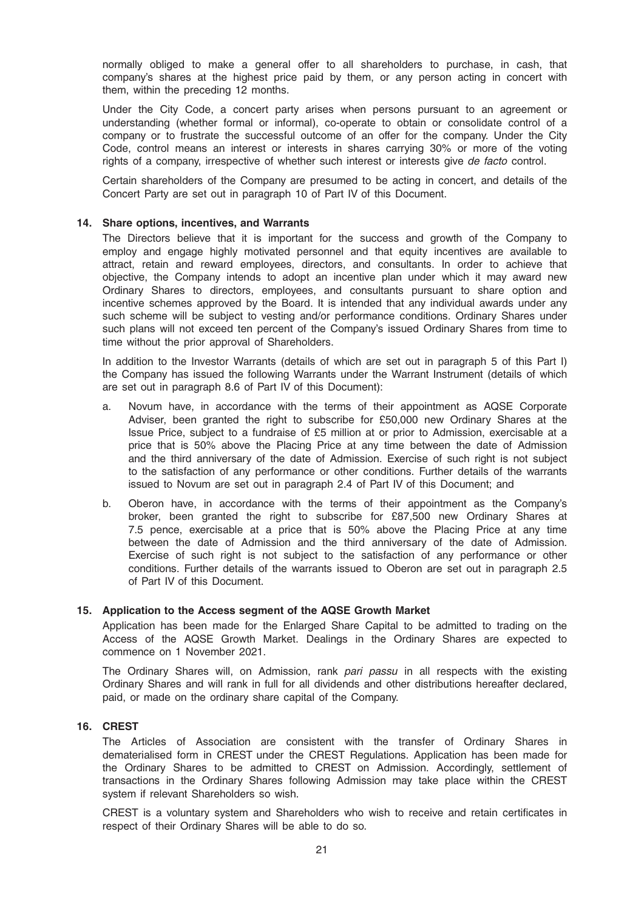normally obliged to make a general offer to all shareholders to purchase, in cash, that company's shares at the highest price paid by them, or any person acting in concert with them, within the preceding 12 months.

Under the City Code, a concert party arises when persons pursuant to an agreement or understanding (whether formal or informal), co-operate to obtain or consolidate control of a company or to frustrate the successful outcome of an offer for the company. Under the City Code, control means an interest or interests in shares carrying 30% or more of the voting rights of a company, irrespective of whether such interest or interests give de facto control.

Certain shareholders of the Company are presumed to be acting in concert, and details of the Concert Party are set out in paragraph 10 of Part IV of this Document.

### 14. Share options, incentives, and Warrants

The Directors believe that it is important for the success and growth of the Company to employ and engage highly motivated personnel and that equity incentives are available to attract, retain and reward employees, directors, and consultants. In order to achieve that objective, the Company intends to adopt an incentive plan under which it may award new Ordinary Shares to directors, employees, and consultants pursuant to share option and incentive schemes approved by the Board. It is intended that any individual awards under any such scheme will be subject to vesting and/or performance conditions. Ordinary Shares under such plans will not exceed ten percent of the Company's issued Ordinary Shares from time to time without the prior approval of Shareholders.

In addition to the Investor Warrants (details of which are set out in paragraph 5 of this Part I) the Company has issued the following Warrants under the Warrant Instrument (details of which are set out in paragraph 8.6 of Part IV of this Document):

- a. Novum have, in accordance with the terms of their appointment as AQSE Corporate Adviser, been granted the right to subscribe for £50,000 new Ordinary Shares at the Issue Price, subject to a fundraise of £5 million at or prior to Admission, exercisable at a price that is 50% above the Placing Price at any time between the date of Admission and the third anniversary of the date of Admission. Exercise of such right is not subject to the satisfaction of any performance or other conditions. Further details of the warrants issued to Novum are set out in paragraph 2.4 of Part IV of this Document; and
- b. Oberon have, in accordance with the terms of their appointment as the Company's broker, been granted the right to subscribe for £87,500 new Ordinary Shares at 7.5 pence, exercisable at a price that is 50% above the Placing Price at any time between the date of Admission and the third anniversary of the date of Admission. Exercise of such right is not subject to the satisfaction of any performance or other conditions. Further details of the warrants issued to Oberon are set out in paragraph 2.5 of Part IV of this Document.

### 15. Application to the Access segment of the AQSE Growth Market

Application has been made for the Enlarged Share Capital to be admitted to trading on the Access of the AQSE Growth Market. Dealings in the Ordinary Shares are expected to commence on 1 November 2021.

The Ordinary Shares will, on Admission, rank pari passu in all respects with the existing Ordinary Shares and will rank in full for all dividends and other distributions hereafter declared, paid, or made on the ordinary share capital of the Company.

#### 16. CREST

The Articles of Association are consistent with the transfer of Ordinary Shares in dematerialised form in CREST under the CREST Regulations. Application has been made for the Ordinary Shares to be admitted to CREST on Admission. Accordingly, settlement of transactions in the Ordinary Shares following Admission may take place within the CREST system if relevant Shareholders so wish.

CREST is a voluntary system and Shareholders who wish to receive and retain certificates in respect of their Ordinary Shares will be able to do so.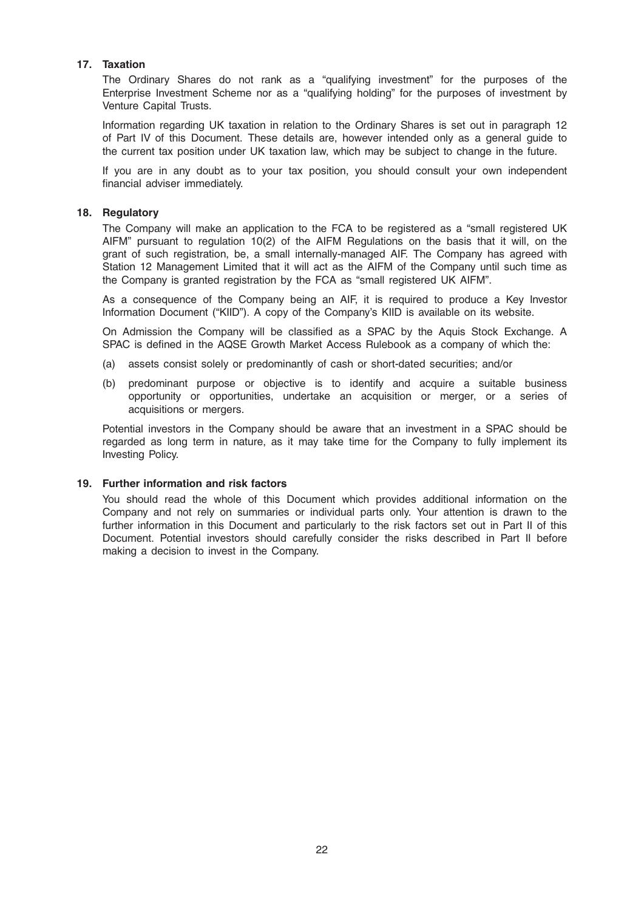# 17. Taxation

The Ordinary Shares do not rank as a "qualifying investment" for the purposes of the Enterprise Investment Scheme nor as a "qualifying holding" for the purposes of investment by Venture Capital Trusts.

Information regarding UK taxation in relation to the Ordinary Shares is set out in paragraph 12 of Part IV of this Document. These details are, however intended only as a general guide to the current tax position under UK taxation law, which may be subject to change in the future.

If you are in any doubt as to your tax position, you should consult your own independent financial adviser immediately.

### 18. Regulatory

The Company will make an application to the FCA to be registered as a "small registered UK AIFM" pursuant to regulation 10(2) of the AIFM Regulations on the basis that it will, on the grant of such registration, be, a small internally-managed AIF. The Company has agreed with Station 12 Management Limited that it will act as the AIFM of the Company until such time as the Company is granted registration by the FCA as "small registered UK AIFM".

As a consequence of the Company being an AIF, it is required to produce a Key Investor Information Document ("KIID"). A copy of the Company's KIID is available on its website.

On Admission the Company will be classified as a SPAC by the Aquis Stock Exchange. A SPAC is defined in the AQSE Growth Market Access Rulebook as a company of which the:

- (a) assets consist solely or predominantly of cash or short-dated securities; and/or
- (b) predominant purpose or objective is to identify and acquire a suitable business opportunity or opportunities, undertake an acquisition or merger, or a series of acquisitions or mergers.

Potential investors in the Company should be aware that an investment in a SPAC should be regarded as long term in nature, as it may take time for the Company to fully implement its Investing Policy.

### 19. Further information and risk factors

You should read the whole of this Document which provides additional information on the Company and not rely on summaries or individual parts only. Your attention is drawn to the further information in this Document and particularly to the risk factors set out in Part II of this Document. Potential investors should carefully consider the risks described in Part II before making a decision to invest in the Company.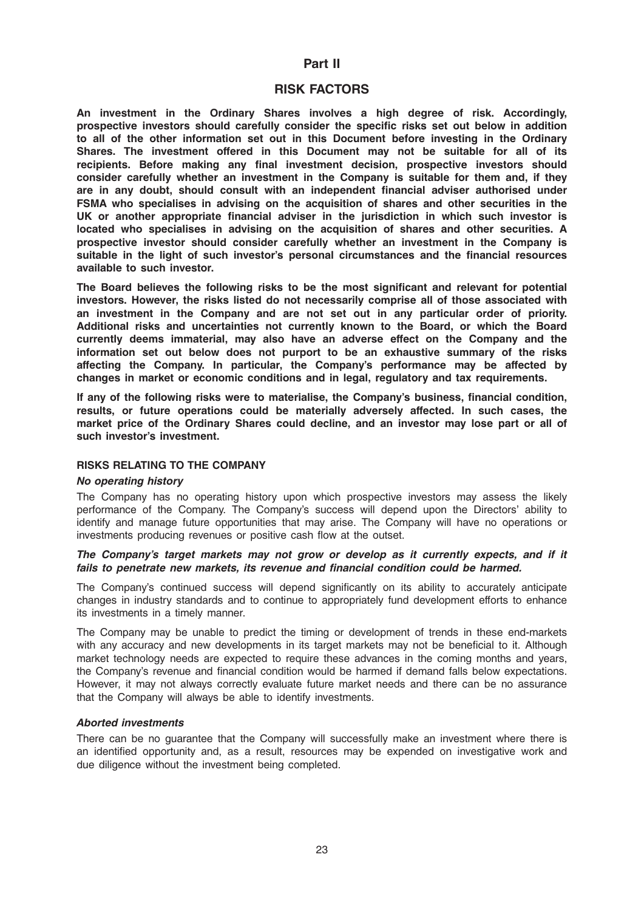# Part II

# RISK FACTORS

An investment in the Ordinary Shares involves a high degree of risk. Accordingly, prospective investors should carefully consider the specific risks set out below in addition to all of the other information set out in this Document before investing in the Ordinary Shares. The investment offered in this Document may not be suitable for all of its recipients. Before making any final investment decision, prospective investors should consider carefully whether an investment in the Company is suitable for them and, if they are in any doubt, should consult with an independent financial adviser authorised under FSMA who specialises in advising on the acquisition of shares and other securities in the UK or another appropriate financial adviser in the jurisdiction in which such investor is located who specialises in advising on the acquisition of shares and other securities. A prospective investor should consider carefully whether an investment in the Company is suitable in the light of such investor's personal circumstances and the financial resources available to such investor.

The Board believes the following risks to be the most significant and relevant for potential investors. However, the risks listed do not necessarily comprise all of those associated with an investment in the Company and are not set out in any particular order of priority. Additional risks and uncertainties not currently known to the Board, or which the Board currently deems immaterial, may also have an adverse effect on the Company and the information set out below does not purport to be an exhaustive summary of the risks affecting the Company. In particular, the Company's performance may be affected by changes in market or economic conditions and in legal, regulatory and tax requirements.

If any of the following risks were to materialise, the Company's business, financial condition, results, or future operations could be materially adversely affected. In such cases, the market price of the Ordinary Shares could decline, and an investor may lose part or all of such investor's investment.

### RISKS RELATING TO THE COMPANY

#### No operating history

The Company has no operating history upon which prospective investors may assess the likely performance of the Company. The Company's success will depend upon the Directors' ability to identify and manage future opportunities that may arise. The Company will have no operations or investments producing revenues or positive cash flow at the outset.

### The Company's target markets may not grow or develop as it currently expects, and if it fails to penetrate new markets, its revenue and financial condition could be harmed.

The Company's continued success will depend significantly on its ability to accurately anticipate changes in industry standards and to continue to appropriately fund development efforts to enhance its investments in a timely manner.

The Company may be unable to predict the timing or development of trends in these end-markets with any accuracy and new developments in its target markets may not be beneficial to it. Although market technology needs are expected to require these advances in the coming months and years, the Company's revenue and financial condition would be harmed if demand falls below expectations. However, it may not always correctly evaluate future market needs and there can be no assurance that the Company will always be able to identify investments.

### Aborted investments

There can be no guarantee that the Company will successfully make an investment where there is an identified opportunity and, as a result, resources may be expended on investigative work and due diligence without the investment being completed.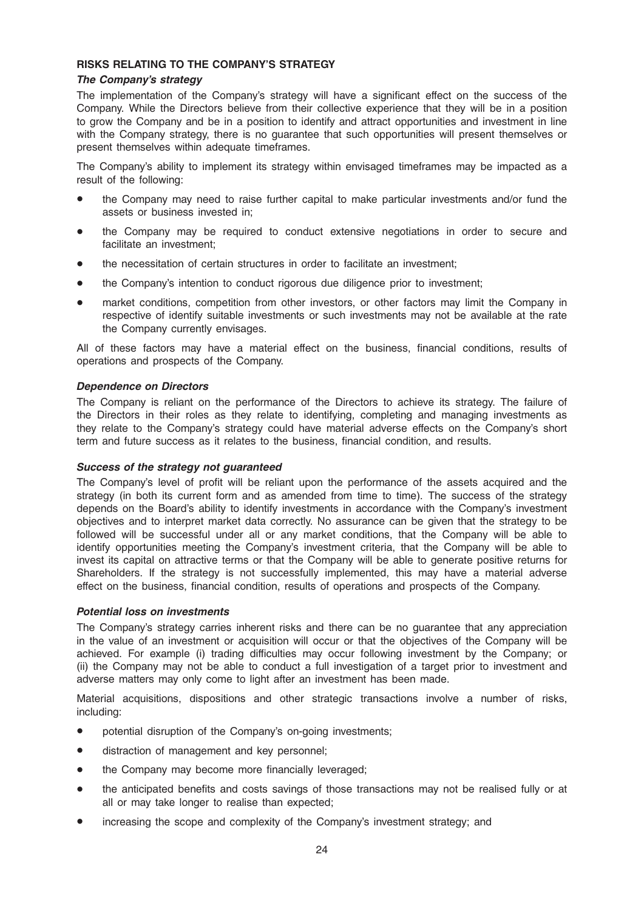# RISKS RELATING TO THE COMPANY'S STRATEGY

# The Company's strategy

The implementation of the Company's strategy will have a significant effect on the success of the Company. While the Directors believe from their collective experience that they will be in a position to grow the Company and be in a position to identify and attract opportunities and investment in line with the Company strategy, there is no guarantee that such opportunities will present themselves or present themselves within adequate timeframes.

The Company's ability to implement its strategy within envisaged timeframes may be impacted as a result of the following:

- the Company may need to raise further capital to make particular investments and/or fund the assets or business invested in;
- the Company may be required to conduct extensive negotiations in order to secure and facilitate an investment;
- the necessitation of certain structures in order to facilitate an investment;
- the Company's intention to conduct rigorous due diligence prior to investment;
- market conditions, competition from other investors, or other factors may limit the Company in respective of identify suitable investments or such investments may not be available at the rate the Company currently envisages.

All of these factors may have a material effect on the business, financial conditions, results of operations and prospects of the Company.

# Dependence on Directors

The Company is reliant on the performance of the Directors to achieve its strategy. The failure of the Directors in their roles as they relate to identifying, completing and managing investments as they relate to the Company's strategy could have material adverse effects on the Company's short term and future success as it relates to the business, financial condition, and results.

### Success of the strategy not guaranteed

The Company's level of profit will be reliant upon the performance of the assets acquired and the strategy (in both its current form and as amended from time to time). The success of the strategy depends on the Board's ability to identify investments in accordance with the Company's investment objectives and to interpret market data correctly. No assurance can be given that the strategy to be followed will be successful under all or any market conditions, that the Company will be able to identify opportunities meeting the Company's investment criteria, that the Company will be able to invest its capital on attractive terms or that the Company will be able to generate positive returns for Shareholders. If the strategy is not successfully implemented, this may have a material adverse effect on the business, financial condition, results of operations and prospects of the Company.

### Potential loss on investments

The Company's strategy carries inherent risks and there can be no guarantee that any appreciation in the value of an investment or acquisition will occur or that the objectives of the Company will be achieved. For example (i) trading difficulties may occur following investment by the Company; or (ii) the Company may not be able to conduct a full investigation of a target prior to investment and adverse matters may only come to light after an investment has been made.

Material acquisitions, dispositions and other strategic transactions involve a number of risks, including:

- potential disruption of the Company's on-going investments;
- distraction of management and key personnel;
- the Company may become more financially leveraged;
- the anticipated benefits and costs savings of those transactions may not be realised fully or at all or may take longer to realise than expected;
- increasing the scope and complexity of the Company's investment strategy; and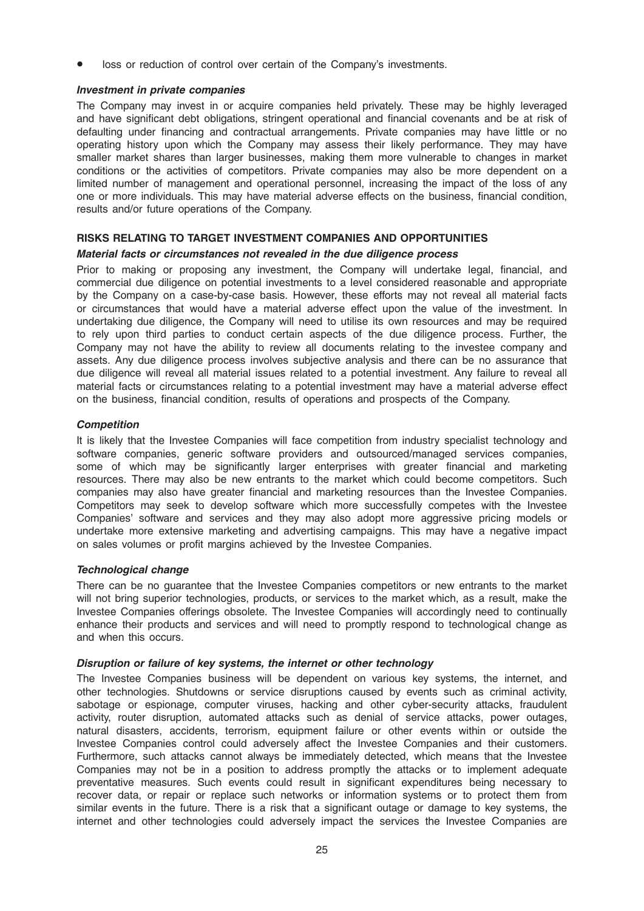loss or reduction of control over certain of the Company's investments.

# Investment in private companies

The Company may invest in or acquire companies held privately. These may be highly leveraged and have significant debt obligations, stringent operational and financial covenants and be at risk of defaulting under financing and contractual arrangements. Private companies may have little or no operating history upon which the Company may assess their likely performance. They may have smaller market shares than larger businesses, making them more vulnerable to changes in market conditions or the activities of competitors. Private companies may also be more dependent on a limited number of management and operational personnel, increasing the impact of the loss of any one or more individuals. This may have material adverse effects on the business, financial condition, results and/or future operations of the Company.

# RISKS RELATING TO TARGET INVESTMENT COMPANIES AND OPPORTUNITIES

# Material facts or circumstances not revealed in the due diligence process

Prior to making or proposing any investment, the Company will undertake legal, financial, and commercial due diligence on potential investments to a level considered reasonable and appropriate by the Company on a case-by-case basis. However, these efforts may not reveal all material facts or circumstances that would have a material adverse effect upon the value of the investment. In undertaking due diligence, the Company will need to utilise its own resources and may be required to rely upon third parties to conduct certain aspects of the due diligence process. Further, the Company may not have the ability to review all documents relating to the investee company and assets. Any due diligence process involves subjective analysis and there can be no assurance that due diligence will reveal all material issues related to a potential investment. Any failure to reveal all material facts or circumstances relating to a potential investment may have a material adverse effect on the business, financial condition, results of operations and prospects of the Company.

# **Competition**

It is likely that the Investee Companies will face competition from industry specialist technology and software companies, generic software providers and outsourced/managed services companies, some of which may be significantly larger enterprises with greater financial and marketing resources. There may also be new entrants to the market which could become competitors. Such companies may also have greater financial and marketing resources than the Investee Companies. Competitors may seek to develop software which more successfully competes with the Investee Companies' software and services and they may also adopt more aggressive pricing models or undertake more extensive marketing and advertising campaigns. This may have a negative impact on sales volumes or profit margins achieved by the Investee Companies.

# Technological change

There can be no guarantee that the Investee Companies competitors or new entrants to the market will not bring superior technologies, products, or services to the market which, as a result, make the Investee Companies offerings obsolete. The Investee Companies will accordingly need to continually enhance their products and services and will need to promptly respond to technological change as and when this occurs.

### Disruption or failure of key systems, the internet or other technology

The Investee Companies business will be dependent on various key systems, the internet, and other technologies. Shutdowns or service disruptions caused by events such as criminal activity, sabotage or espionage, computer viruses, hacking and other cyber-security attacks, fraudulent activity, router disruption, automated attacks such as denial of service attacks, power outages, natural disasters, accidents, terrorism, equipment failure or other events within or outside the Investee Companies control could adversely affect the Investee Companies and their customers. Furthermore, such attacks cannot always be immediately detected, which means that the Investee Companies may not be in a position to address promptly the attacks or to implement adequate preventative measures. Such events could result in significant expenditures being necessary to recover data, or repair or replace such networks or information systems or to protect them from similar events in the future. There is a risk that a significant outage or damage to key systems, the internet and other technologies could adversely impact the services the Investee Companies are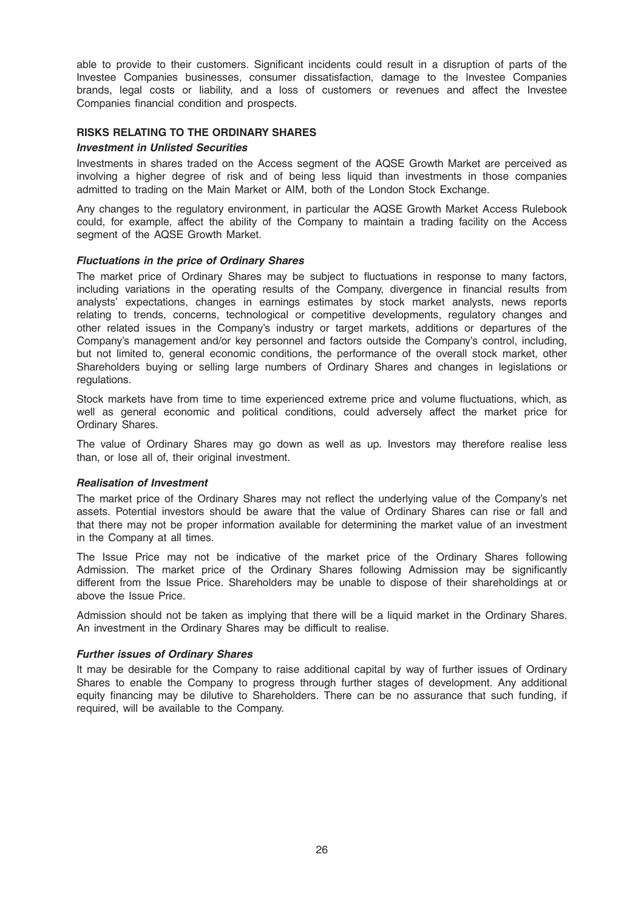able to provide to their customers. Significant incidents could result in a disruption of parts of the Investee Companies businesses, consumer dissatisfaction, damage to the Investee Companies brands, legal costs or liability, and a loss of customers or revenues and affect the Investee Companies financial condition and prospects.

# RISKS RELATING TO THE ORDINARY SHARES

### Investment in Unlisted Securities

Investments in shares traded on the Access segment of the AQSE Growth Market are perceived as involving a higher degree of risk and of being less liquid than investments in those companies admitted to trading on the Main Market or AIM, both of the London Stock Exchange.

Any changes to the regulatory environment, in particular the AQSE Growth Market Access Rulebook could, for example, affect the ability of the Company to maintain a trading facility on the Access segment of the AQSE Growth Market.

### Fluctuations in the price of Ordinary Shares

The market price of Ordinary Shares may be subject to fluctuations in response to many factors, including variations in the operating results of the Company, divergence in financial results from analysts' expectations, changes in earnings estimates by stock market analysts, news reports relating to trends, concerns, technological or competitive developments, regulatory changes and other related issues in the Company's industry or target markets, additions or departures of the Company's management and/or key personnel and factors outside the Company's control, including, but not limited to, general economic conditions, the performance of the overall stock market, other Shareholders buying or selling large numbers of Ordinary Shares and changes in legislations or regulations.

Stock markets have from time to time experienced extreme price and volume fluctuations, which, as well as general economic and political conditions, could adversely affect the market price for Ordinary Shares.

The value of Ordinary Shares may go down as well as up. Investors may therefore realise less than, or lose all of, their original investment.

### Realisation of Investment

The market price of the Ordinary Shares may not reflect the underlying value of the Company's net assets. Potential investors should be aware that the value of Ordinary Shares can rise or fall and that there may not be proper information available for determining the market value of an investment in the Company at all times.

The Issue Price may not be indicative of the market price of the Ordinary Shares following Admission. The market price of the Ordinary Shares following Admission may be significantly different from the Issue Price. Shareholders may be unable to dispose of their shareholdings at or above the Issue Price.

Admission should not be taken as implying that there will be a liquid market in the Ordinary Shares. An investment in the Ordinary Shares may be difficult to realise.

#### Further issues of Ordinary Shares

It may be desirable for the Company to raise additional capital by way of further issues of Ordinary Shares to enable the Company to progress through further stages of development. Any additional equity financing may be dilutive to Shareholders. There can be no assurance that such funding, if required, will be available to the Company.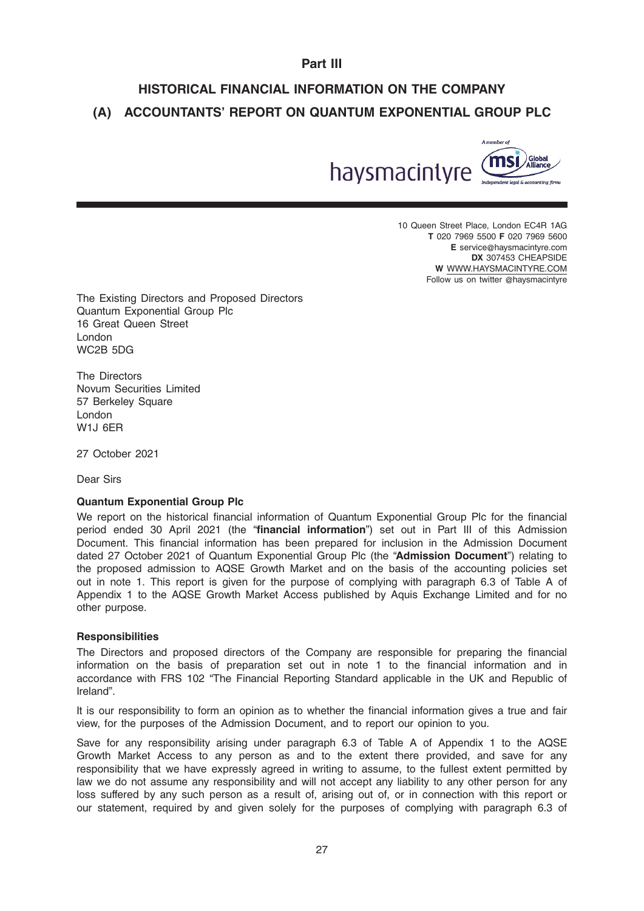# Part III

# HISTORICAL FINANCIAL INFORMATION ON THE COMPANY (A) ACCOUNTANTS' REPORT ON QUANTUM EXPONENTIAL GROUP PLC



10 Queen Street Place, London EC4R 1AG T 020 7969 5500 F 020 7969 5600 E service@haysmacintyre.com DX 307453 CHEAPSIDE W WWW.HAYSMACINTYRE.COM Follow us on twitter @haysmacintyre

The Existing Directors and Proposed Directors Quantum Exponential Group Plc 16 Great Queen Street London WC2B 5DG

The Directors Novum Securities Limited 57 Berkeley Square London W1J 6ER

27 October 2021

Dear Sirs

### Quantum Exponential Group Plc

We report on the historical financial information of Quantum Exponential Group Plc for the financial period ended 30 April 2021 (the "financial information") set out in Part III of this Admission Document. This financial information has been prepared for inclusion in the Admission Document dated 27 October 2021 of Quantum Exponential Group Plc (the "Admission Document") relating to the proposed admission to AQSE Growth Market and on the basis of the accounting policies set out in note 1. This report is given for the purpose of complying with paragraph 6.3 of Table A of Appendix 1 to the AQSE Growth Market Access published by Aquis Exchange Limited and for no other purpose.

### **Responsibilities**

The Directors and proposed directors of the Company are responsible for preparing the financial information on the basis of preparation set out in note 1 to the financial information and in accordance with FRS 102 "The Financial Reporting Standard applicable in the UK and Republic of Ireland".

It is our responsibility to form an opinion as to whether the financial information gives a true and fair view, for the purposes of the Admission Document, and to report our opinion to you.

Save for any responsibility arising under paragraph 6.3 of Table A of Appendix 1 to the AQSE Growth Market Access to any person as and to the extent there provided, and save for any responsibility that we have expressly agreed in writing to assume, to the fullest extent permitted by law we do not assume any responsibility and will not accept any liability to any other person for any loss suffered by any such person as a result of, arising out of, or in connection with this report or our statement, required by and given solely for the purposes of complying with paragraph 6.3 of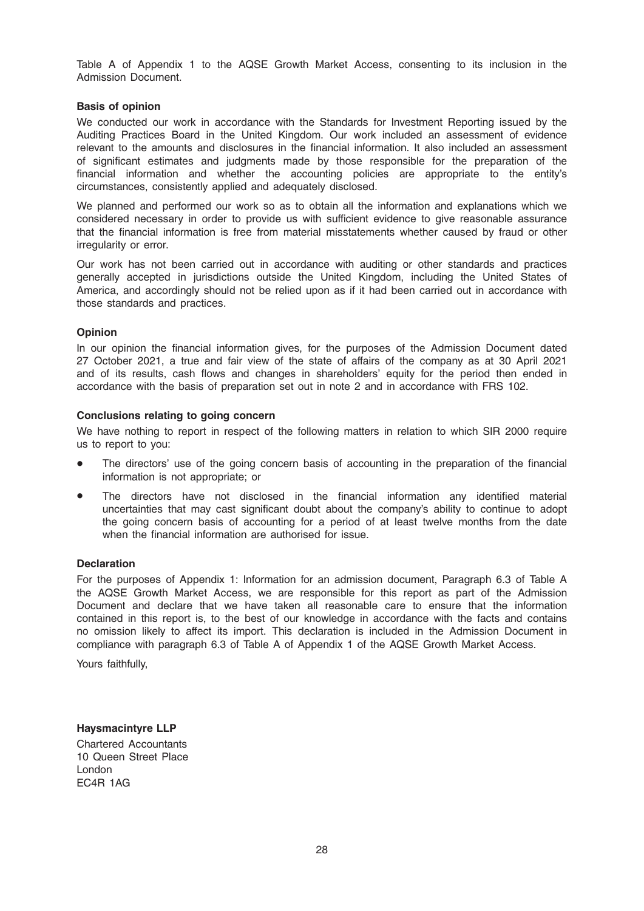Table A of Appendix 1 to the AQSE Growth Market Access, consenting to its inclusion in the Admission Document.

# Basis of opinion

We conducted our work in accordance with the Standards for Investment Reporting issued by the Auditing Practices Board in the United Kingdom. Our work included an assessment of evidence relevant to the amounts and disclosures in the financial information. It also included an assessment of significant estimates and judgments made by those responsible for the preparation of the financial information and whether the accounting policies are appropriate to the entity's circumstances, consistently applied and adequately disclosed.

We planned and performed our work so as to obtain all the information and explanations which we considered necessary in order to provide us with sufficient evidence to give reasonable assurance that the financial information is free from material misstatements whether caused by fraud or other irregularity or error.

Our work has not been carried out in accordance with auditing or other standards and practices generally accepted in jurisdictions outside the United Kingdom, including the United States of America, and accordingly should not be relied upon as if it had been carried out in accordance with those standards and practices.

# **Opinion**

In our opinion the financial information gives, for the purposes of the Admission Document dated 27 October 2021, a true and fair view of the state of affairs of the company as at 30 April 2021 and of its results, cash flows and changes in shareholders' equity for the period then ended in accordance with the basis of preparation set out in note 2 and in accordance with FRS 102.

### Conclusions relating to going concern

We have nothing to report in respect of the following matters in relation to which SIR 2000 require us to report to you:

- The directors' use of the going concern basis of accounting in the preparation of the financial information is not appropriate; or
- The directors have not disclosed in the financial information any identified material uncertainties that may cast significant doubt about the company's ability to continue to adopt the going concern basis of accounting for a period of at least twelve months from the date when the financial information are authorised for issue.

### **Declaration**

For the purposes of Appendix 1: Information for an admission document, Paragraph 6.3 of Table A the AQSE Growth Market Access, we are responsible for this report as part of the Admission Document and declare that we have taken all reasonable care to ensure that the information contained in this report is, to the best of our knowledge in accordance with the facts and contains no omission likely to affect its import. This declaration is included in the Admission Document in compliance with paragraph 6.3 of Table A of Appendix 1 of the AQSE Growth Market Access.

Yours faithfully,

Haysmacintyre LLP Chartered Accountants 10 Queen Street Place London EC4R 1AG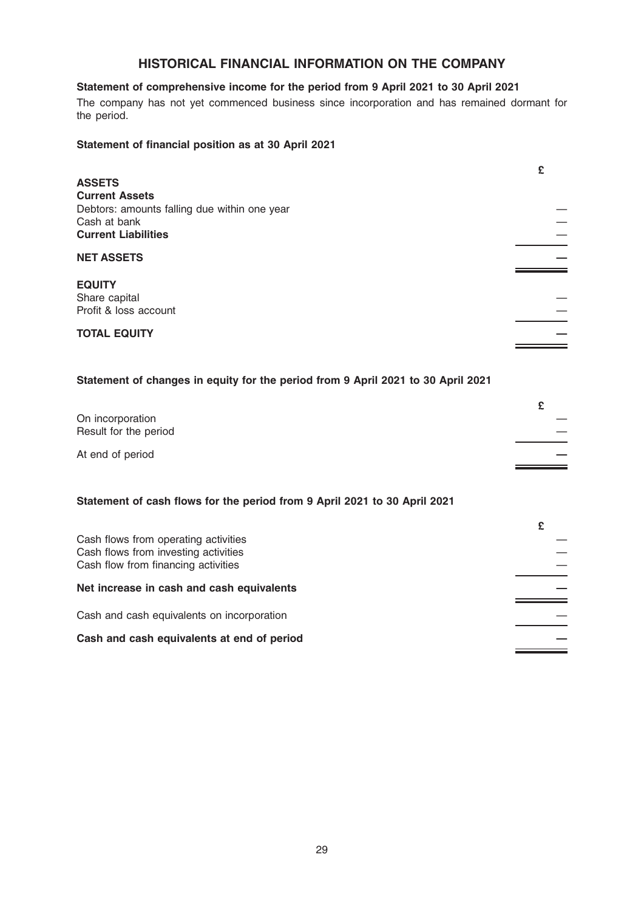# HISTORICAL FINANCIAL INFORMATION ON THE COMPANY

# Statement of comprehensive income for the period from 9 April 2021 to 30 April 2021

The company has not yet commenced business since incorporation and has remained dormant for the period.

# Statement of financial position as at 30 April 2021

|                                              | £ |
|----------------------------------------------|---|
| <b>ASSETS</b>                                |   |
| <b>Current Assets</b>                        |   |
| Debtors: amounts falling due within one year |   |
| Cash at bank                                 |   |
| <b>Current Liabilities</b>                   |   |
|                                              |   |
| <b>NET ASSETS</b>                            |   |
|                                              |   |
| <b>EQUITY</b>                                |   |
| Share capital                                |   |
| Profit & loss account                        |   |
|                                              |   |
| <b>TOTAL EQUITY</b>                          |   |
|                                              |   |

# Statement of changes in equity for the period from 9 April 2021 to 30 April 2021

| On incorporation      |  |
|-----------------------|--|
| Result for the period |  |
| At end of period      |  |

# Statement of cash flows for the period from 9 April 2021 to 30 April 2021

| Cash flows from operating activities<br>Cash flows from investing activities<br>Cash flow from financing activities |  |
|---------------------------------------------------------------------------------------------------------------------|--|
| Net increase in cash and cash equivalents                                                                           |  |
| Cash and cash equivalents on incorporation                                                                          |  |
| Cash and cash equivalents at end of period                                                                          |  |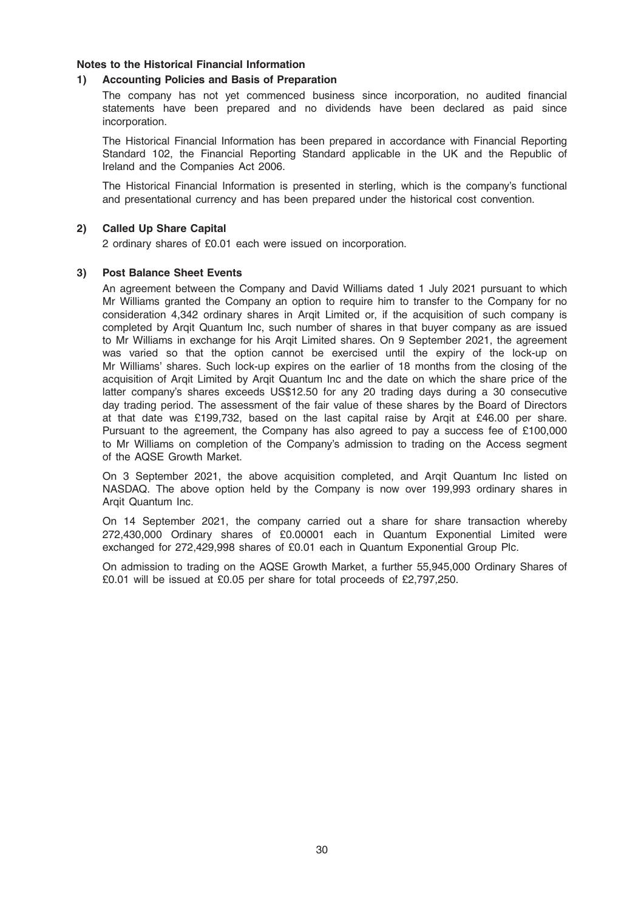# Notes to the Historical Financial Information

# 1) Accounting Policies and Basis of Preparation

The company has not yet commenced business since incorporation, no audited financial statements have been prepared and no dividends have been declared as paid since incorporation.

The Historical Financial Information has been prepared in accordance with Financial Reporting Standard 102, the Financial Reporting Standard applicable in the UK and the Republic of Ireland and the Companies Act 2006.

The Historical Financial Information is presented in sterling, which is the company's functional and presentational currency and has been prepared under the historical cost convention.

# 2) Called Up Share Capital

2 ordinary shares of £0.01 each were issued on incorporation.

# 3) Post Balance Sheet Events

An agreement between the Company and David Williams dated 1 July 2021 pursuant to which Mr Williams granted the Company an option to require him to transfer to the Company for no consideration 4,342 ordinary shares in Arqit Limited or, if the acquisition of such company is completed by Arqit Quantum Inc, such number of shares in that buyer company as are issued to Mr Williams in exchange for his Arqit Limited shares. On 9 September 2021, the agreement was varied so that the option cannot be exercised until the expiry of the lock-up on Mr Williams' shares. Such lock-up expires on the earlier of 18 months from the closing of the acquisition of Arqit Limited by Arqit Quantum Inc and the date on which the share price of the latter company's shares exceeds US\$12.50 for any 20 trading days during a 30 consecutive day trading period. The assessment of the fair value of these shares by the Board of Directors at that date was £199,732, based on the last capital raise by Arqit at £46.00 per share. Pursuant to the agreement, the Company has also agreed to pay a success fee of £100,000 to Mr Williams on completion of the Company's admission to trading on the Access segment of the AQSE Growth Market.

On 3 September 2021, the above acquisition completed, and Arqit Quantum Inc listed on NASDAQ. The above option held by the Company is now over 199,993 ordinary shares in Arqit Quantum Inc.

On 14 September 2021, the company carried out a share for share transaction whereby 272,430,000 Ordinary shares of £0.00001 each in Quantum Exponential Limited were exchanged for 272,429,998 shares of £0.01 each in Quantum Exponential Group Plc.

On admission to trading on the AQSE Growth Market, a further 55,945,000 Ordinary Shares of £0.01 will be issued at £0.05 per share for total proceeds of £2,797,250.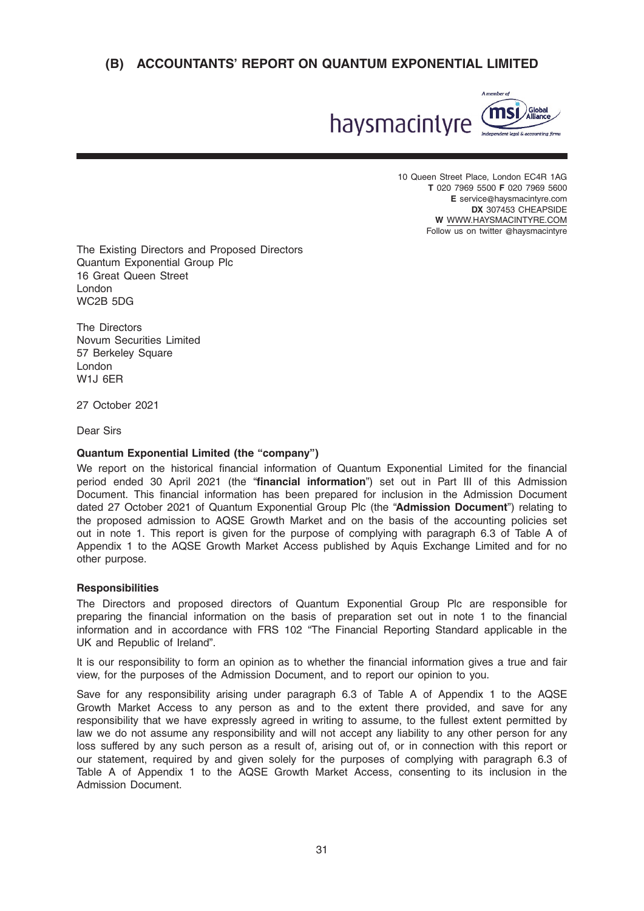

10 Queen Street Place, London EC4R 1AG T 020 7969 5500 F 020 7969 5600 E service@haysmacintyre.com DX 307453 CHEAPSIDE W WWW.HAYSMACINTYRE.COM Follow us on twitter @haysmacintyre

The Existing Directors and Proposed Directors Quantum Exponential Group Plc 16 Great Queen Street London WC2B 5DG

The Directors Novum Securities Limited 57 Berkeley Square London W1J 6ER

27 October 2021

Dear Sirs

# Quantum Exponential Limited (the "company")

We report on the historical financial information of Quantum Exponential Limited for the financial period ended 30 April 2021 (the "financial information") set out in Part III of this Admission Document. This financial information has been prepared for inclusion in the Admission Document dated 27 October 2021 of Quantum Exponential Group Plc (the "Admission Document") relating to the proposed admission to AQSE Growth Market and on the basis of the accounting policies set out in note 1. This report is given for the purpose of complying with paragraph 6.3 of Table A of Appendix 1 to the AQSE Growth Market Access published by Aquis Exchange Limited and for no other purpose.

### **Responsibilities**

The Directors and proposed directors of Quantum Exponential Group Plc are responsible for preparing the financial information on the basis of preparation set out in note 1 to the financial information and in accordance with FRS 102 "The Financial Reporting Standard applicable in the UK and Republic of Ireland".

It is our responsibility to form an opinion as to whether the financial information gives a true and fair view, for the purposes of the Admission Document, and to report our opinion to you.

Save for any responsibility arising under paragraph 6.3 of Table A of Appendix 1 to the AQSE Growth Market Access to any person as and to the extent there provided, and save for any responsibility that we have expressly agreed in writing to assume, to the fullest extent permitted by law we do not assume any responsibility and will not accept any liability to any other person for any loss suffered by any such person as a result of, arising out of, or in connection with this report or our statement, required by and given solely for the purposes of complying with paragraph 6.3 of Table A of Appendix 1 to the AQSE Growth Market Access, consenting to its inclusion in the Admission Document.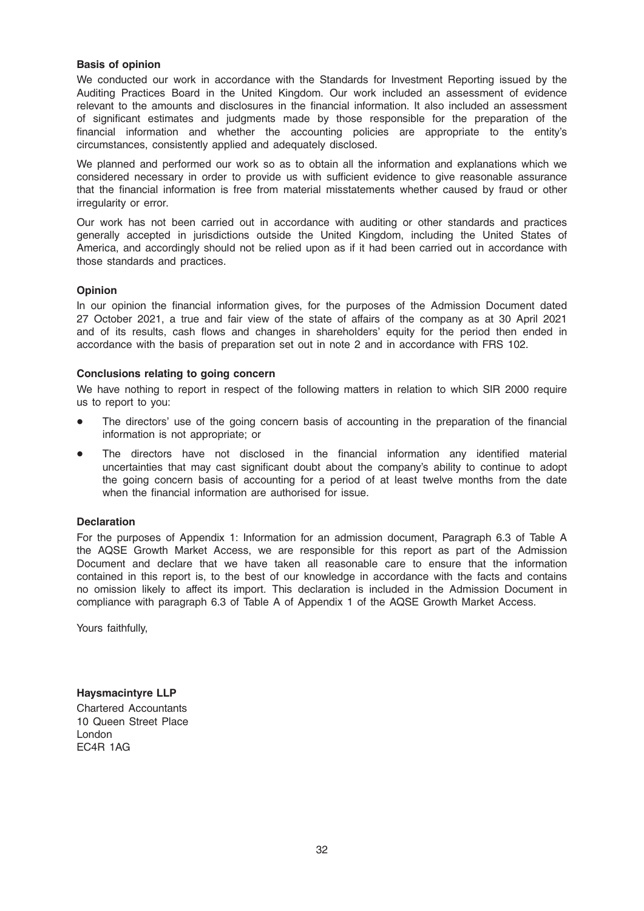# Basis of opinion

We conducted our work in accordance with the Standards for Investment Reporting issued by the Auditing Practices Board in the United Kingdom. Our work included an assessment of evidence relevant to the amounts and disclosures in the financial information. It also included an assessment of significant estimates and judgments made by those responsible for the preparation of the financial information and whether the accounting policies are appropriate to the entity's circumstances, consistently applied and adequately disclosed.

We planned and performed our work so as to obtain all the information and explanations which we considered necessary in order to provide us with sufficient evidence to give reasonable assurance that the financial information is free from material misstatements whether caused by fraud or other irregularity or error.

Our work has not been carried out in accordance with auditing or other standards and practices generally accepted in jurisdictions outside the United Kingdom, including the United States of America, and accordingly should not be relied upon as if it had been carried out in accordance with those standards and practices.

# Opinion

In our opinion the financial information gives, for the purposes of the Admission Document dated 27 October 2021, a true and fair view of the state of affairs of the company as at 30 April 2021 and of its results, cash flows and changes in shareholders' equity for the period then ended in accordance with the basis of preparation set out in note 2 and in accordance with FRS 102.

# Conclusions relating to going concern

We have nothing to report in respect of the following matters in relation to which SIR 2000 require us to report to you:

- The directors' use of the going concern basis of accounting in the preparation of the financial information is not appropriate; or
- The directors have not disclosed in the financial information any identified material uncertainties that may cast significant doubt about the company's ability to continue to adopt the going concern basis of accounting for a period of at least twelve months from the date when the financial information are authorised for issue.

### **Declaration**

For the purposes of Appendix 1: Information for an admission document, Paragraph 6.3 of Table A the AQSE Growth Market Access, we are responsible for this report as part of the Admission Document and declare that we have taken all reasonable care to ensure that the information contained in this report is, to the best of our knowledge in accordance with the facts and contains no omission likely to affect its import. This declaration is included in the Admission Document in compliance with paragraph 6.3 of Table A of Appendix 1 of the AQSE Growth Market Access.

Yours faithfully,

Haysmacintyre LLP Chartered Accountants 10 Queen Street Place London EC4R 1AG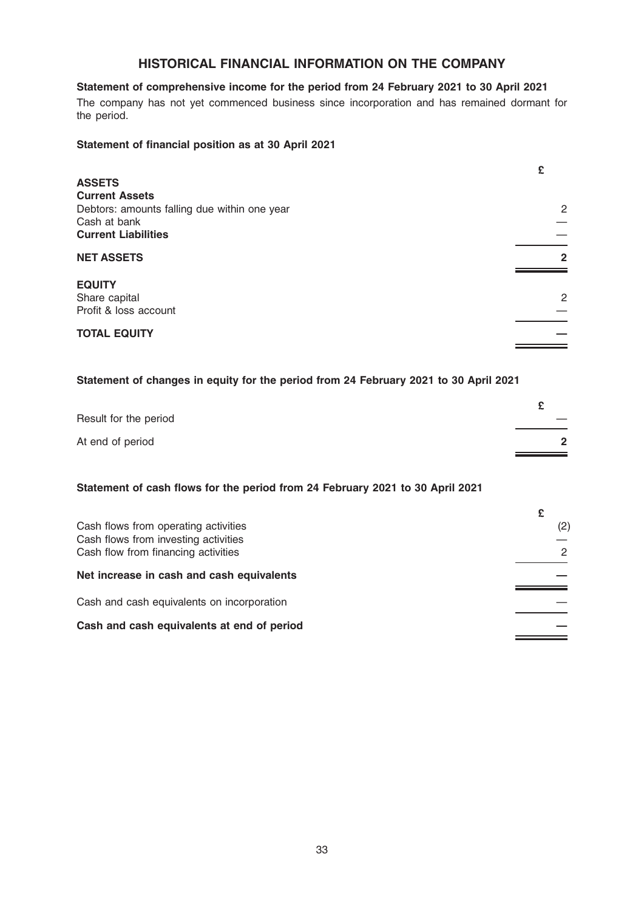# HISTORICAL FINANCIAL INFORMATION ON THE COMPANY

# Statement of comprehensive income for the period from 24 February 2021 to 30 April 2021

The company has not yet commenced business since incorporation and has remained dormant for the period.

### Statement of financial position as at 30 April 2021

|                                                              | £              |
|--------------------------------------------------------------|----------------|
| <b>ASSETS</b>                                                |                |
| <b>Current Assets</b>                                        |                |
| Debtors: amounts falling due within one year<br>Cash at bank | $\overline{2}$ |
| <b>Current Liabilities</b>                                   |                |
| <b>NET ASSETS</b>                                            | $\mathbf{2}$   |
| <b>EQUITY</b>                                                |                |
| Share capital                                                | $\mathbf{2}$   |
| Profit & loss account                                        |                |
| <b>TOTAL EQUITY</b>                                          |                |
|                                                              |                |

# Statement of changes in equity for the period from 24 February 2021 to 30 April 2021

| Result for the period |  |
|-----------------------|--|
| At end of period      |  |

# Statement of cash flows for the period from 24 February 2021 to 30 April 2021

| Cash flows from operating activities       | (2) |
|--------------------------------------------|-----|
| Cash flows from investing activities       |     |
| Cash flow from financing activities        | 2   |
| Net increase in cash and cash equivalents  |     |
| Cash and cash equivalents on incorporation |     |
| Cash and cash equivalents at end of period |     |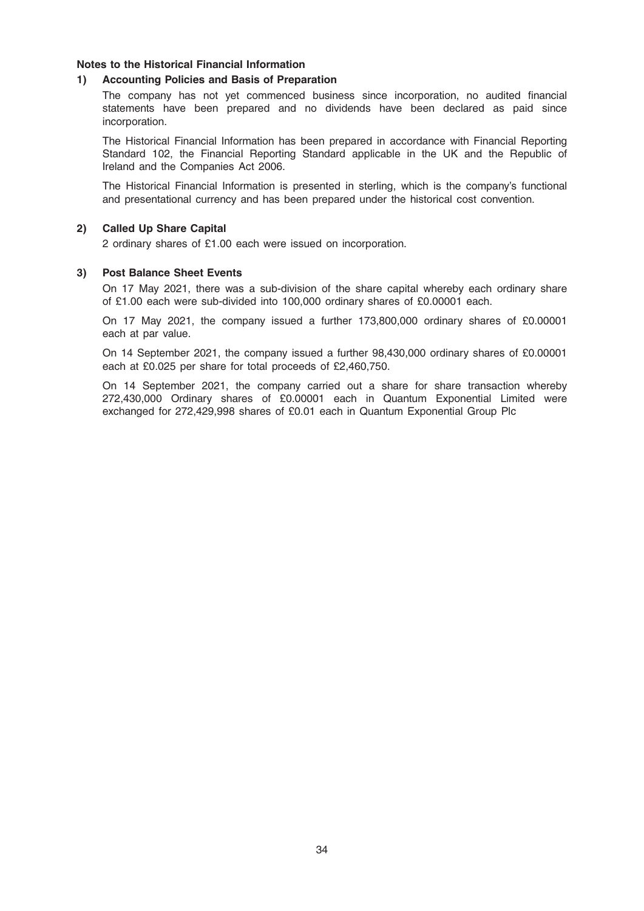# Notes to the Historical Financial Information

### 1) Accounting Policies and Basis of Preparation

The company has not yet commenced business since incorporation, no audited financial statements have been prepared and no dividends have been declared as paid since incorporation.

The Historical Financial Information has been prepared in accordance with Financial Reporting Standard 102, the Financial Reporting Standard applicable in the UK and the Republic of Ireland and the Companies Act 2006.

The Historical Financial Information is presented in sterling, which is the company's functional and presentational currency and has been prepared under the historical cost convention.

### 2) Called Up Share Capital

2 ordinary shares of £1.00 each were issued on incorporation.

#### 3) Post Balance Sheet Events

On 17 May 2021, there was a sub-division of the share capital whereby each ordinary share of £1.00 each were sub-divided into 100,000 ordinary shares of £0.00001 each.

On 17 May 2021, the company issued a further 173,800,000 ordinary shares of £0.00001 each at par value.

On 14 September 2021, the company issued a further 98,430,000 ordinary shares of £0.00001 each at £0.025 per share for total proceeds of £2,460,750.

On 14 September 2021, the company carried out a share for share transaction whereby 272,430,000 Ordinary shares of £0.00001 each in Quantum Exponential Limited were exchanged for 272,429,998 shares of £0.01 each in Quantum Exponential Group Plc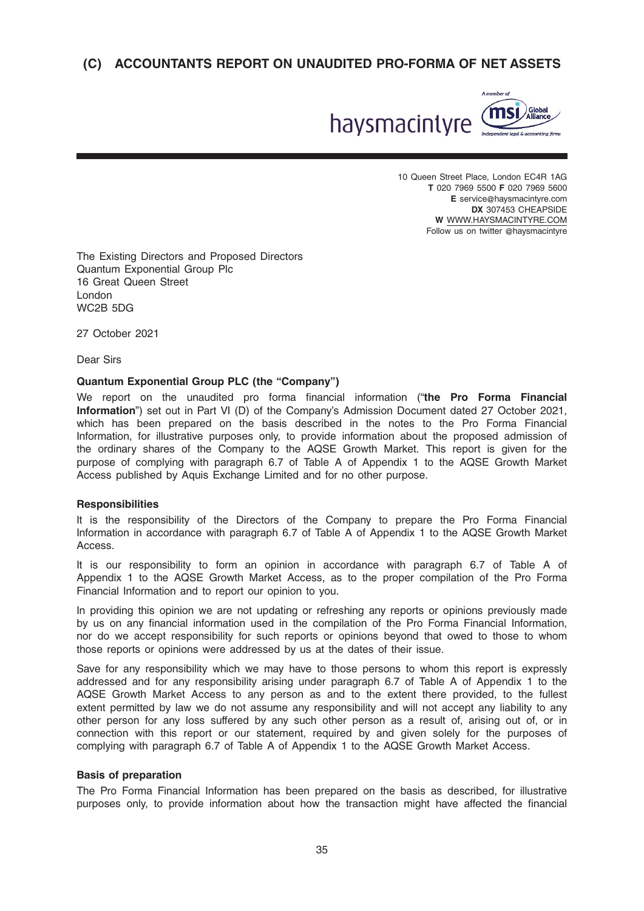

10 Queen Street Place, London EC4R 1AG T 020 7969 5500 F 020 7969 5600 E service@haysmacintyre.com DX 307453 CHEAPSIDE W WWW.HAYSMACINTYRE.COM Follow us on twitter @haysmacintyre

The Existing Directors and Proposed Directors Quantum Exponential Group Plc 16 Great Queen Street London WC2B 5DG

27 October 2021

Dear Sirs

# Quantum Exponential Group PLC (the "Company")

We report on the unaudited pro forma financial information ("the Pro Forma Financial Information") set out in Part VI (D) of the Company's Admission Document dated 27 October 2021, which has been prepared on the basis described in the notes to the Pro Forma Financial Information, for illustrative purposes only, to provide information about the proposed admission of the ordinary shares of the Company to the AQSE Growth Market. This report is given for the purpose of complying with paragraph 6.7 of Table A of Appendix 1 to the AQSE Growth Market Access published by Aquis Exchange Limited and for no other purpose.

### **Responsibilities**

It is the responsibility of the Directors of the Company to prepare the Pro Forma Financial Information in accordance with paragraph 6.7 of Table A of Appendix 1 to the AQSE Growth Market Access.

It is our responsibility to form an opinion in accordance with paragraph 6.7 of Table A of Appendix 1 to the AQSE Growth Market Access, as to the proper compilation of the Pro Forma Financial Information and to report our opinion to you.

In providing this opinion we are not updating or refreshing any reports or opinions previously made by us on any financial information used in the compilation of the Pro Forma Financial Information, nor do we accept responsibility for such reports or opinions beyond that owed to those to whom those reports or opinions were addressed by us at the dates of their issue.

Save for any responsibility which we may have to those persons to whom this report is expressly addressed and for any responsibility arising under paragraph 6.7 of Table A of Appendix 1 to the AQSE Growth Market Access to any person as and to the extent there provided, to the fullest extent permitted by law we do not assume any responsibility and will not accept any liability to any other person for any loss suffered by any such other person as a result of, arising out of, or in connection with this report or our statement, required by and given solely for the purposes of complying with paragraph 6.7 of Table A of Appendix 1 to the AQSE Growth Market Access.

# Basis of preparation

The Pro Forma Financial Information has been prepared on the basis as described, for illustrative purposes only, to provide information about how the transaction might have affected the financial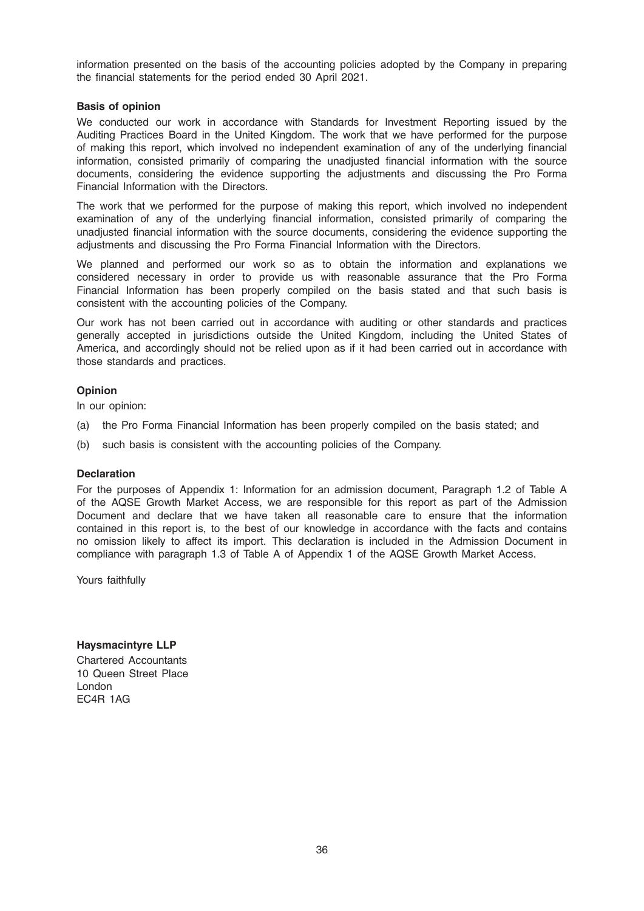information presented on the basis of the accounting policies adopted by the Company in preparing the financial statements for the period ended 30 April 2021.

# Basis of opinion

We conducted our work in accordance with Standards for Investment Reporting issued by the Auditing Practices Board in the United Kingdom. The work that we have performed for the purpose of making this report, which involved no independent examination of any of the underlying financial information, consisted primarily of comparing the unadjusted financial information with the source documents, considering the evidence supporting the adjustments and discussing the Pro Forma Financial Information with the Directors.

The work that we performed for the purpose of making this report, which involved no independent examination of any of the underlying financial information, consisted primarily of comparing the unadjusted financial information with the source documents, considering the evidence supporting the adjustments and discussing the Pro Forma Financial Information with the Directors.

We planned and performed our work so as to obtain the information and explanations we considered necessary in order to provide us with reasonable assurance that the Pro Forma Financial Information has been properly compiled on the basis stated and that such basis is consistent with the accounting policies of the Company.

Our work has not been carried out in accordance with auditing or other standards and practices generally accepted in jurisdictions outside the United Kingdom, including the United States of America, and accordingly should not be relied upon as if it had been carried out in accordance with those standards and practices.

# Opinion

In our opinion:

- (a) the Pro Forma Financial Information has been properly compiled on the basis stated; and
- (b) such basis is consistent with the accounting policies of the Company.

### **Declaration**

For the purposes of Appendix 1: Information for an admission document, Paragraph 1.2 of Table A of the AQSE Growth Market Access, we are responsible for this report as part of the Admission Document and declare that we have taken all reasonable care to ensure that the information contained in this report is, to the best of our knowledge in accordance with the facts and contains no omission likely to affect its import. This declaration is included in the Admission Document in compliance with paragraph 1.3 of Table A of Appendix 1 of the AQSE Growth Market Access.

Yours faithfully

Haysmacintyre LLP Chartered Accountants 10 Queen Street Place London EC4R 1AG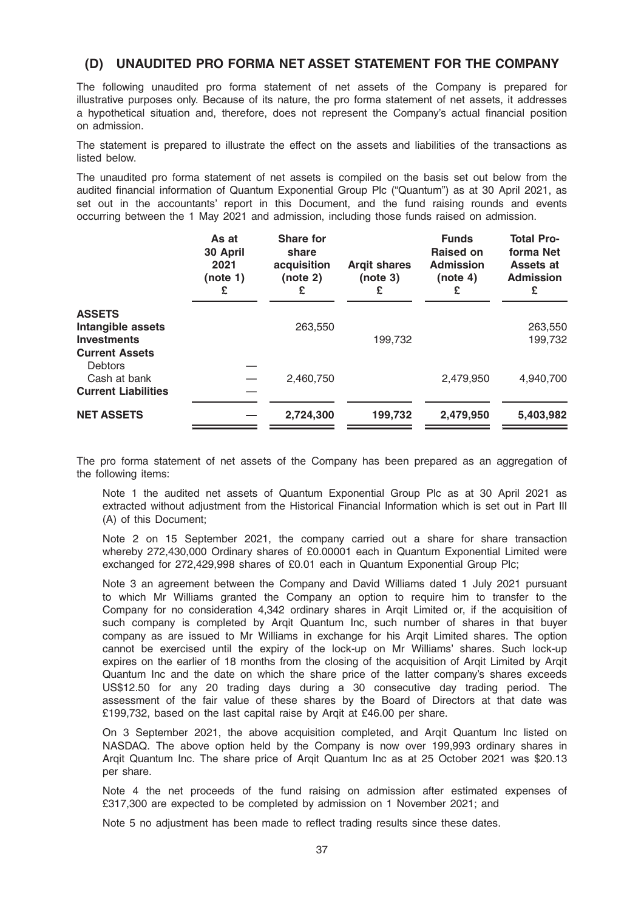# (D) UNAUDITED PRO FORMA NET ASSET STATEMENT FOR THE COMPANY

The following unaudited pro forma statement of net assets of the Company is prepared for illustrative purposes only. Because of its nature, the pro forma statement of net assets, it addresses a hypothetical situation and, therefore, does not represent the Company's actual financial position on admission.

The statement is prepared to illustrate the effect on the assets and liabilities of the transactions as listed below.

The unaudited pro forma statement of net assets is compiled on the basis set out below from the audited financial information of Quantum Exponential Group Plc ("Quantum") as at 30 April 2021, as set out in the accountants' report in this Document, and the fund raising rounds and events occurring between the 1 May 2021 and admission, including those funds raised on admission.

|                                                                                   | As at<br>30 April<br>2021<br>(note 1)<br>£ | <b>Share for</b><br>share<br>acquisition<br>(note 2)<br>£ | <b>Argit shares</b><br>(note 3)<br>£ | <b>Funds</b><br><b>Raised on</b><br><b>Admission</b><br>(note 4)<br>£ | <b>Total Pro-</b><br>forma Net<br>Assets at<br><b>Admission</b><br>£ |
|-----------------------------------------------------------------------------------|--------------------------------------------|-----------------------------------------------------------|--------------------------------------|-----------------------------------------------------------------------|----------------------------------------------------------------------|
| <b>ASSETS</b><br>Intangible assets<br><b>Investments</b><br><b>Current Assets</b> |                                            | 263,550                                                   | 199,732                              |                                                                       | 263,550<br>199,732                                                   |
| Debtors<br>Cash at bank<br><b>Current Liabilities</b>                             |                                            | 2,460,750                                                 |                                      | 2,479,950                                                             | 4,940,700                                                            |
| <b>NET ASSETS</b>                                                                 |                                            | 2,724,300                                                 | 199,732                              | 2,479,950                                                             | 5,403,982                                                            |

The pro forma statement of net assets of the Company has been prepared as an aggregation of the following items:

Note 1 the audited net assets of Quantum Exponential Group Plc as at 30 April 2021 as extracted without adjustment from the Historical Financial Information which is set out in Part III (A) of this Document;

Note 2 on 15 September 2021, the company carried out a share for share transaction whereby 272,430,000 Ordinary shares of £0.00001 each in Quantum Exponential Limited were exchanged for 272,429,998 shares of £0.01 each in Quantum Exponential Group Plc;

Note 3 an agreement between the Company and David Williams dated 1 July 2021 pursuant to which Mr Williams granted the Company an option to require him to transfer to the Company for no consideration 4,342 ordinary shares in Arqit Limited or, if the acquisition of such company is completed by Argit Quantum Inc, such number of shares in that buyer company as are issued to Mr Williams in exchange for his Arqit Limited shares. The option cannot be exercised until the expiry of the lock-up on Mr Williams' shares. Such lock-up expires on the earlier of 18 months from the closing of the acquisition of Arqit Limited by Arqit Quantum Inc and the date on which the share price of the latter company's shares exceeds US\$12.50 for any 20 trading days during a 30 consecutive day trading period. The assessment of the fair value of these shares by the Board of Directors at that date was £199,732, based on the last capital raise by Arqit at £46.00 per share.

On 3 September 2021, the above acquisition completed, and Arqit Quantum Inc listed on NASDAQ. The above option held by the Company is now over 199,993 ordinary shares in Arqit Quantum Inc. The share price of Arqit Quantum Inc as at 25 October 2021 was \$20.13 per share.

Note 4 the net proceeds of the fund raising on admission after estimated expenses of £317,300 are expected to be completed by admission on 1 November 2021; and

Note 5 no adjustment has been made to reflect trading results since these dates.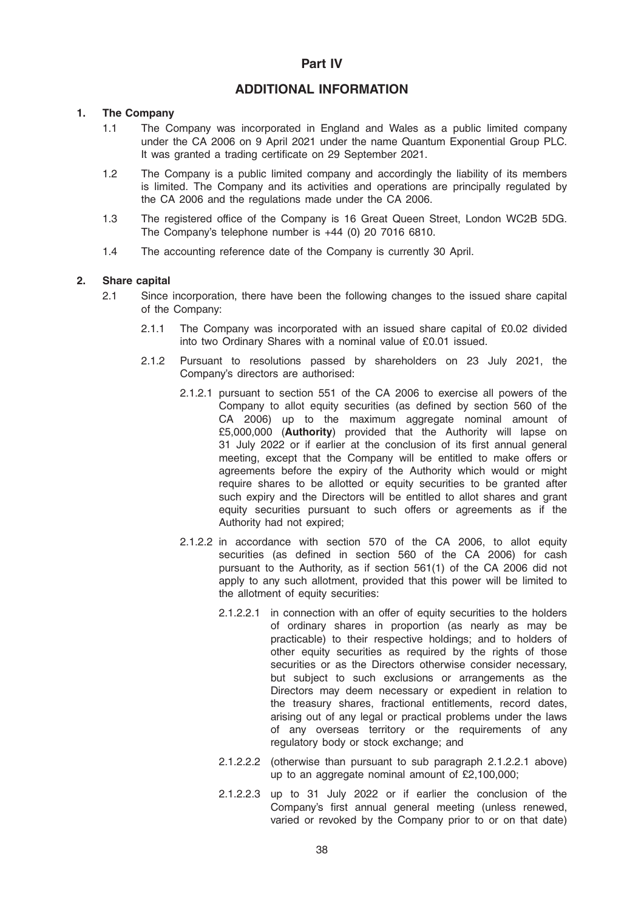# Part IV

# ADDITIONAL INFORMATION

# 1. The Company

- 1.1 The Company was incorporated in England and Wales as a public limited company under the CA 2006 on 9 April 2021 under the name Quantum Exponential Group PLC. It was granted a trading certificate on 29 September 2021.
- 1.2 The Company is a public limited company and accordingly the liability of its members is limited. The Company and its activities and operations are principally regulated by the CA 2006 and the regulations made under the CA 2006.
- 1.3 The registered office of the Company is 16 Great Queen Street, London WC2B 5DG. The Company's telephone number is +44 (0) 20 7016 6810.
- 1.4 The accounting reference date of the Company is currently 30 April.

### 2. Share capital

- 2.1 Since incorporation, there have been the following changes to the issued share capital of the Company:
	- 2.1.1 The Company was incorporated with an issued share capital of £0.02 divided into two Ordinary Shares with a nominal value of £0.01 issued.
	- 2.1.2 Pursuant to resolutions passed by shareholders on 23 July 2021, the Company's directors are authorised:
		- 2.1.2.1 pursuant to section 551 of the CA 2006 to exercise all powers of the Company to allot equity securities (as defined by section 560 of the CA 2006) up to the maximum aggregate nominal amount of £5,000,000 (Authority) provided that the Authority will lapse on 31 July 2022 or if earlier at the conclusion of its first annual general meeting, except that the Company will be entitled to make offers or agreements before the expiry of the Authority which would or might require shares to be allotted or equity securities to be granted after such expiry and the Directors will be entitled to allot shares and grant equity securities pursuant to such offers or agreements as if the Authority had not expired;
		- 2.1.2.2 in accordance with section 570 of the CA 2006, to allot equity securities (as defined in section 560 of the CA 2006) for cash pursuant to the Authority, as if section 561(1) of the CA 2006 did not apply to any such allotment, provided that this power will be limited to the allotment of equity securities:
			- 2.1.2.2.1 in connection with an offer of equity securities to the holders of ordinary shares in proportion (as nearly as may be practicable) to their respective holdings; and to holders of other equity securities as required by the rights of those securities or as the Directors otherwise consider necessary, but subject to such exclusions or arrangements as the Directors may deem necessary or expedient in relation to the treasury shares, fractional entitlements, record dates, arising out of any legal or practical problems under the laws of any overseas territory or the requirements of any regulatory body or stock exchange; and
			- 2.1.2.2.2 (otherwise than pursuant to sub paragraph 2.1.2.2.1 above) up to an aggregate nominal amount of £2,100,000;
			- 2.1.2.2.3 up to 31 July 2022 or if earlier the conclusion of the Company's first annual general meeting (unless renewed, varied or revoked by the Company prior to or on that date)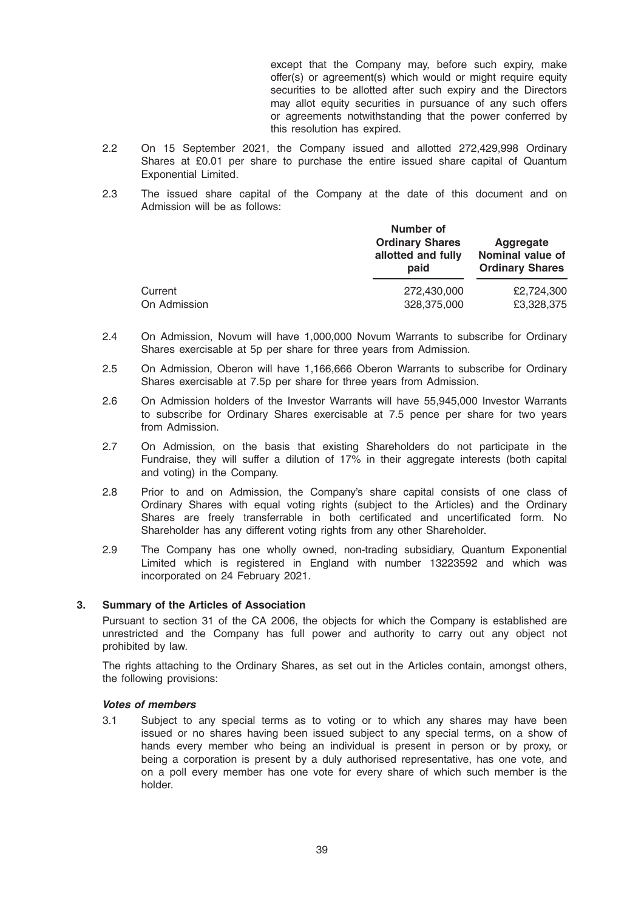except that the Company may, before such expiry, make offer(s) or agreement(s) which would or might require equity securities to be allotted after such expiry and the Directors may allot equity securities in pursuance of any such offers or agreements notwithstanding that the power conferred by this resolution has expired.

- 2.2 On 15 September 2021, the Company issued and allotted 272,429,998 Ordinary Shares at £0.01 per share to purchase the entire issued share capital of Quantum Exponential Limited.
- 2.3 The issued share capital of the Company at the date of this document and on Admission will be as follows:

|              | Number of<br><b>Ordinary Shares</b><br>allotted and fully<br>paid | Aggregate<br><b>Nominal value of</b><br><b>Ordinary Shares</b> |  |
|--------------|-------------------------------------------------------------------|----------------------------------------------------------------|--|
| Current      | 272,430,000                                                       | £2.724.300                                                     |  |
| On Admission | 328,375,000                                                       | £3,328,375                                                     |  |

- 2.4 On Admission, Novum will have 1,000,000 Novum Warrants to subscribe for Ordinary Shares exercisable at 5p per share for three years from Admission.
- 2.5 On Admission, Oberon will have 1,166,666 Oberon Warrants to subscribe for Ordinary Shares exercisable at 7.5p per share for three years from Admission.
- 2.6 On Admission holders of the Investor Warrants will have 55,945,000 Investor Warrants to subscribe for Ordinary Shares exercisable at 7.5 pence per share for two years from Admission.
- 2.7 On Admission, on the basis that existing Shareholders do not participate in the Fundraise, they will suffer a dilution of 17% in their aggregate interests (both capital and voting) in the Company.
- 2.8 Prior to and on Admission, the Company's share capital consists of one class of Ordinary Shares with equal voting rights (subject to the Articles) and the Ordinary Shares are freely transferrable in both certificated and uncertificated form. No Shareholder has any different voting rights from any other Shareholder.
- 2.9 The Company has one wholly owned, non-trading subsidiary, Quantum Exponential Limited which is registered in England with number 13223592 and which was incorporated on 24 February 2021.

### 3. Summary of the Articles of Association

Pursuant to section 31 of the CA 2006, the objects for which the Company is established are unrestricted and the Company has full power and authority to carry out any object not prohibited by law.

The rights attaching to the Ordinary Shares, as set out in the Articles contain, amongst others, the following provisions:

### Votes of members

3.1 Subject to any special terms as to voting or to which any shares may have been issued or no shares having been issued subject to any special terms, on a show of hands every member who being an individual is present in person or by proxy, or being a corporation is present by a duly authorised representative, has one vote, and on a poll every member has one vote for every share of which such member is the holder.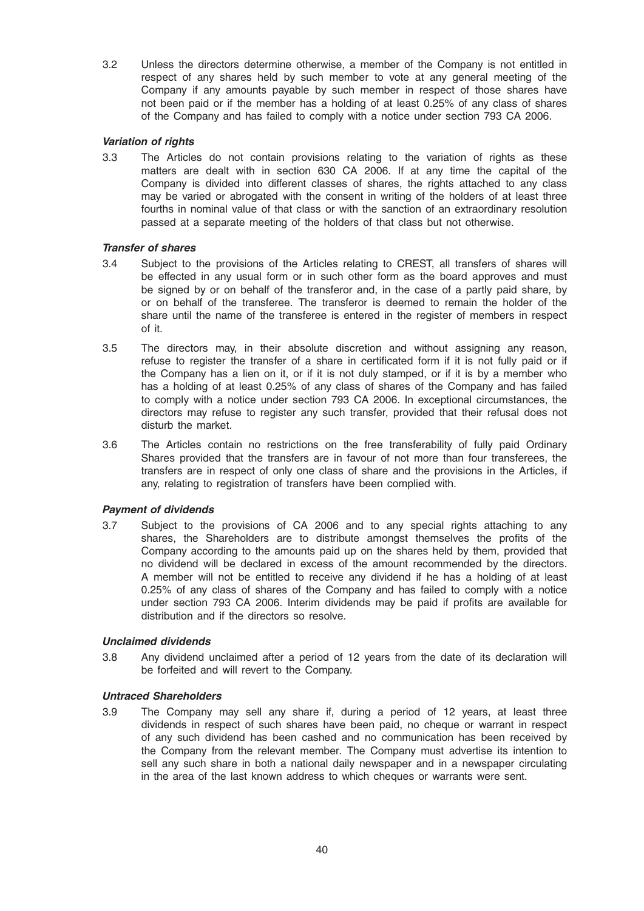3.2 Unless the directors determine otherwise, a member of the Company is not entitled in respect of any shares held by such member to vote at any general meeting of the Company if any amounts payable by such member in respect of those shares have not been paid or if the member has a holding of at least 0.25% of any class of shares of the Company and has failed to comply with a notice under section 793 CA 2006.

# Variation of rights

3.3 The Articles do not contain provisions relating to the variation of rights as these matters are dealt with in section 630 CA 2006. If at any time the capital of the Company is divided into different classes of shares, the rights attached to any class may be varied or abrogated with the consent in writing of the holders of at least three fourths in nominal value of that class or with the sanction of an extraordinary resolution passed at a separate meeting of the holders of that class but not otherwise.

# Transfer of shares

- 3.4 Subject to the provisions of the Articles relating to CREST, all transfers of shares will be effected in any usual form or in such other form as the board approves and must be signed by or on behalf of the transferor and, in the case of a partly paid share, by or on behalf of the transferee. The transferor is deemed to remain the holder of the share until the name of the transferee is entered in the register of members in respect of it.
- 3.5 The directors may, in their absolute discretion and without assigning any reason, refuse to register the transfer of a share in certificated form if it is not fully paid or if the Company has a lien on it, or if it is not duly stamped, or if it is by a member who has a holding of at least 0.25% of any class of shares of the Company and has failed to comply with a notice under section 793 CA 2006. In exceptional circumstances, the directors may refuse to register any such transfer, provided that their refusal does not disturb the market.
- 3.6 The Articles contain no restrictions on the free transferability of fully paid Ordinary Shares provided that the transfers are in favour of not more than four transferees, the transfers are in respect of only one class of share and the provisions in the Articles, if any, relating to registration of transfers have been complied with.

# Payment of dividends

3.7 Subject to the provisions of CA 2006 and to any special rights attaching to any shares, the Shareholders are to distribute amongst themselves the profits of the Company according to the amounts paid up on the shares held by them, provided that no dividend will be declared in excess of the amount recommended by the directors. A member will not be entitled to receive any dividend if he has a holding of at least 0.25% of any class of shares of the Company and has failed to comply with a notice under section 793 CA 2006. Interim dividends may be paid if profits are available for distribution and if the directors so resolve.

### Unclaimed dividends

3.8 Any dividend unclaimed after a period of 12 years from the date of its declaration will be forfeited and will revert to the Company.

### Untraced Shareholders

3.9 The Company may sell any share if, during a period of 12 years, at least three dividends in respect of such shares have been paid, no cheque or warrant in respect of any such dividend has been cashed and no communication has been received by the Company from the relevant member. The Company must advertise its intention to sell any such share in both a national daily newspaper and in a newspaper circulating in the area of the last known address to which cheques or warrants were sent.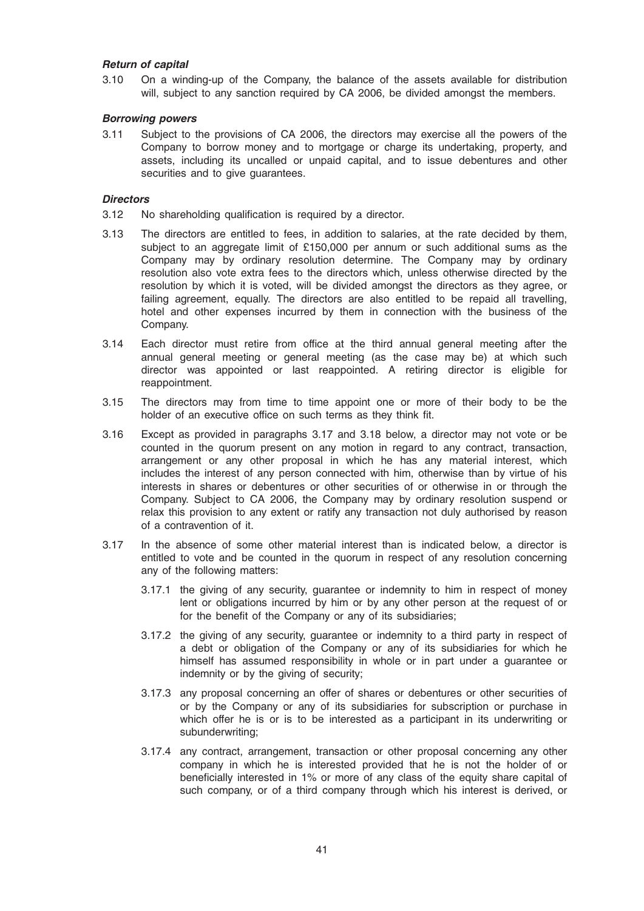# Return of capital

3.10 On a winding-up of the Company, the balance of the assets available for distribution will, subject to any sanction required by CA 2006, be divided amongst the members.

### Borrowing powers

3.11 Subject to the provisions of CA 2006, the directors may exercise all the powers of the Company to borrow money and to mortgage or charge its undertaking, property, and assets, including its uncalled or unpaid capital, and to issue debentures and other securities and to give guarantees.

#### **Directors**

- 3.12 No shareholding qualification is required by a director.
- 3.13 The directors are entitled to fees, in addition to salaries, at the rate decided by them, subject to an aggregate limit of £150,000 per annum or such additional sums as the Company may by ordinary resolution determine. The Company may by ordinary resolution also vote extra fees to the directors which, unless otherwise directed by the resolution by which it is voted, will be divided amongst the directors as they agree, or failing agreement, equally. The directors are also entitled to be repaid all travelling, hotel and other expenses incurred by them in connection with the business of the Company.
- 3.14 Each director must retire from office at the third annual general meeting after the annual general meeting or general meeting (as the case may be) at which such director was appointed or last reappointed. A retiring director is eligible for reappointment.
- 3.15 The directors may from time to time appoint one or more of their body to be the holder of an executive office on such terms as they think fit.
- 3.16 Except as provided in paragraphs 3.17 and 3.18 below, a director may not vote or be counted in the quorum present on any motion in regard to any contract, transaction, arrangement or any other proposal in which he has any material interest, which includes the interest of any person connected with him, otherwise than by virtue of his interests in shares or debentures or other securities of or otherwise in or through the Company. Subject to CA 2006, the Company may by ordinary resolution suspend or relax this provision to any extent or ratify any transaction not duly authorised by reason of a contravention of it.
- 3.17 In the absence of some other material interest than is indicated below, a director is entitled to vote and be counted in the quorum in respect of any resolution concerning any of the following matters:
	- 3.17.1 the giving of any security, guarantee or indemnity to him in respect of money lent or obligations incurred by him or by any other person at the request of or for the benefit of the Company or any of its subsidiaries;
	- 3.17.2 the giving of any security, guarantee or indemnity to a third party in respect of a debt or obligation of the Company or any of its subsidiaries for which he himself has assumed responsibility in whole or in part under a guarantee or indemnity or by the giving of security;
	- 3.17.3 any proposal concerning an offer of shares or debentures or other securities of or by the Company or any of its subsidiaries for subscription or purchase in which offer he is or is to be interested as a participant in its underwriting or subunderwriting;
	- 3.17.4 any contract, arrangement, transaction or other proposal concerning any other company in which he is interested provided that he is not the holder of or beneficially interested in 1% or more of any class of the equity share capital of such company, or of a third company through which his interest is derived, or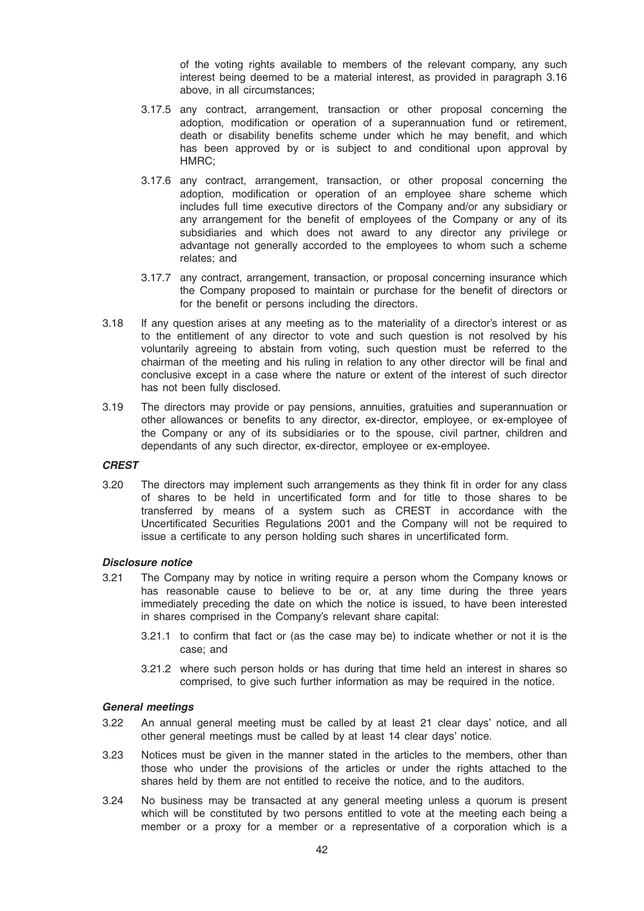of the voting rights available to members of the relevant company, any such interest being deemed to be a material interest, as provided in paragraph 3.16 above, in all circumstances;

- 3.17.5 any contract, arrangement, transaction or other proposal concerning the adoption, modification or operation of a superannuation fund or retirement, death or disability benefits scheme under which he may benefit, and which has been approved by or is subject to and conditional upon approval by HMRC;
- 3.17.6 any contract, arrangement, transaction, or other proposal concerning the adoption, modification or operation of an employee share scheme which includes full time executive directors of the Company and/or any subsidiary or any arrangement for the benefit of employees of the Company or any of its subsidiaries and which does not award to any director any privilege or advantage not generally accorded to the employees to whom such a scheme relates; and
- 3.17.7 any contract, arrangement, transaction, or proposal concerning insurance which the Company proposed to maintain or purchase for the benefit of directors or for the benefit or persons including the directors.
- 3.18 If any question arises at any meeting as to the materiality of a director's interest or as to the entitlement of any director to vote and such question is not resolved by his voluntarily agreeing to abstain from voting, such question must be referred to the chairman of the meeting and his ruling in relation to any other director will be final and conclusive except in a case where the nature or extent of the interest of such director has not been fully disclosed.
- 3.19 The directors may provide or pay pensions, annuities, gratuities and superannuation or other allowances or benefits to any director, ex-director, employee, or ex-employee of the Company or any of its subsidiaries or to the spouse, civil partner, children and dependants of any such director, ex-director, employee or ex-employee.

### **CREST**

3.20 The directors may implement such arrangements as they think fit in order for any class of shares to be held in uncertificated form and for title to those shares to be transferred by means of a system such as CREST in accordance with the Uncertificated Securities Regulations 2001 and the Company will not be required to issue a certificate to any person holding such shares in uncertificated form.

### Disclosure notice

- 3.21 The Company may by notice in writing require a person whom the Company knows or has reasonable cause to believe to be or, at any time during the three years immediately preceding the date on which the notice is issued, to have been interested in shares comprised in the Company's relevant share capital:
	- 3.21.1 to confirm that fact or (as the case may be) to indicate whether or not it is the case; and
	- 3.21.2 where such person holds or has during that time held an interest in shares so comprised, to give such further information as may be required in the notice.

### General meetings

- 3.22 An annual general meeting must be called by at least 21 clear days' notice, and all other general meetings must be called by at least 14 clear days' notice.
- 3.23 Notices must be given in the manner stated in the articles to the members, other than those who under the provisions of the articles or under the rights attached to the shares held by them are not entitled to receive the notice, and to the auditors.
- 3.24 No business may be transacted at any general meeting unless a quorum is present which will be constituted by two persons entitled to vote at the meeting each being a member or a proxy for a member or a representative of a corporation which is a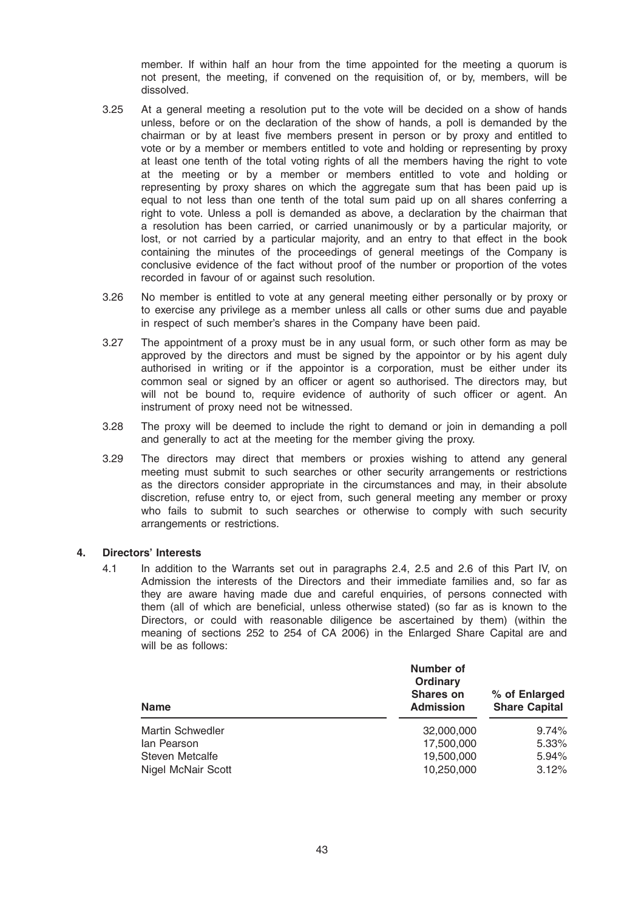member. If within half an hour from the time appointed for the meeting a quorum is not present, the meeting, if convened on the requisition of, or by, members, will be dissolved.

- 3.25 At a general meeting a resolution put to the vote will be decided on a show of hands unless, before or on the declaration of the show of hands, a poll is demanded by the chairman or by at least five members present in person or by proxy and entitled to vote or by a member or members entitled to vote and holding or representing by proxy at least one tenth of the total voting rights of all the members having the right to vote at the meeting or by a member or members entitled to vote and holding or representing by proxy shares on which the aggregate sum that has been paid up is equal to not less than one tenth of the total sum paid up on all shares conferring a right to vote. Unless a poll is demanded as above, a declaration by the chairman that a resolution has been carried, or carried unanimously or by a particular majority, or lost, or not carried by a particular majority, and an entry to that effect in the book containing the minutes of the proceedings of general meetings of the Company is conclusive evidence of the fact without proof of the number or proportion of the votes recorded in favour of or against such resolution.
- 3.26 No member is entitled to vote at any general meeting either personally or by proxy or to exercise any privilege as a member unless all calls or other sums due and payable in respect of such member's shares in the Company have been paid.
- 3.27 The appointment of a proxy must be in any usual form, or such other form as may be approved by the directors and must be signed by the appointor or by his agent duly authorised in writing or if the appointor is a corporation, must be either under its common seal or signed by an officer or agent so authorised. The directors may, but will not be bound to, require evidence of authority of such officer or agent. An instrument of proxy need not be witnessed.
- 3.28 The proxy will be deemed to include the right to demand or join in demanding a poll and generally to act at the meeting for the member giving the proxy.
- 3.29 The directors may direct that members or proxies wishing to attend any general meeting must submit to such searches or other security arrangements or restrictions as the directors consider appropriate in the circumstances and may, in their absolute discretion, refuse entry to, or eject from, such general meeting any member or proxy who fails to submit to such searches or otherwise to comply with such security arrangements or restrictions.

### 4. Directors' Interests

4.1 In addition to the Warrants set out in paragraphs 2.4, 2.5 and 2.6 of this Part IV, on Admission the interests of the Directors and their immediate families and, so far as they are aware having made due and careful enquiries, of persons connected with them (all of which are beneficial, unless otherwise stated) (so far as is known to the Directors, or could with reasonable diligence be ascertained by them) (within the meaning of sections 252 to 254 of CA 2006) in the Enlarged Share Capital are and will be as follows:

| <b>Name</b>             | <b>Number of</b><br>Ordinary<br><b>Shares on</b><br><b>Admission</b> | % of Enlarged<br><b>Share Capital</b> |
|-------------------------|----------------------------------------------------------------------|---------------------------------------|
| <b>Martin Schwedler</b> | 32,000,000                                                           | 9.74%                                 |
| lan Pearson             | 17,500,000                                                           | 5.33%                                 |
| <b>Steven Metcalfe</b>  | 19,500,000                                                           | 5.94%                                 |
| Nigel McNair Scott      | 10,250,000                                                           | 3.12%                                 |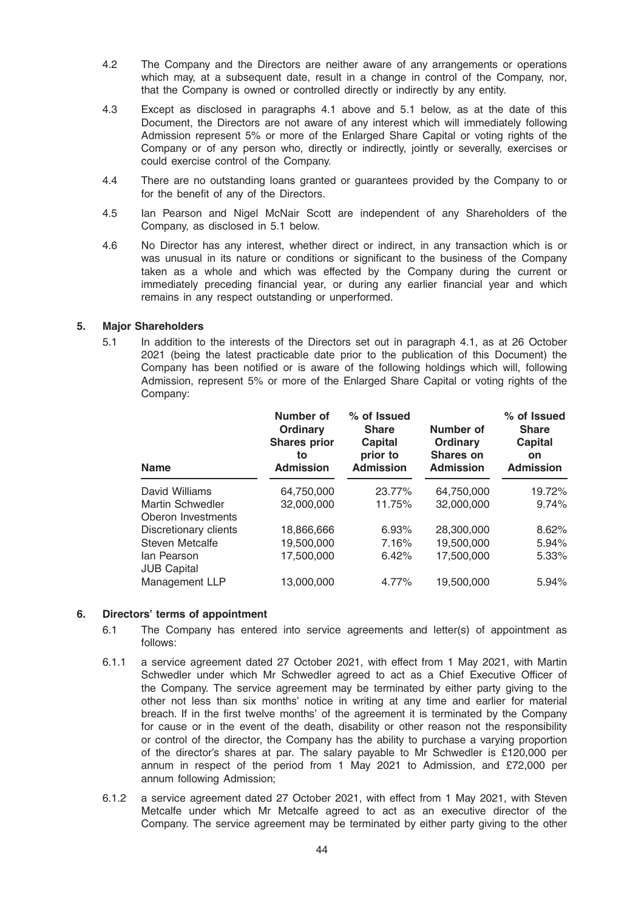- 4.2 The Company and the Directors are neither aware of any arrangements or operations which may, at a subsequent date, result in a change in control of the Company, nor, that the Company is owned or controlled directly or indirectly by any entity.
- 4.3 Except as disclosed in paragraphs 4.1 above and 5.1 below, as at the date of this Document, the Directors are not aware of any interest which will immediately following Admission represent 5% or more of the Enlarged Share Capital or voting rights of the Company or of any person who, directly or indirectly, jointly or severally, exercises or could exercise control of the Company.
- 4.4 There are no outstanding loans granted or guarantees provided by the Company to or for the benefit of any of the Directors.
- 4.5 Ian Pearson and Nigel McNair Scott are independent of any Shareholders of the Company, as disclosed in 5.1 below.
- 4.6 No Director has any interest, whether direct or indirect, in any transaction which is or was unusual in its nature or conditions or significant to the business of the Company taken as a whole and which was effected by the Company during the current or immediately preceding financial year, or during any earlier financial year and which remains in any respect outstanding or unperformed.

# 5. Major Shareholders

5.1 In addition to the interests of the Directors set out in paragraph 4.1, as at 26 October 2021 (being the latest practicable date prior to the publication of this Document) the Company has been notified or is aware of the following holdings which will, following Admission, represent 5% or more of the Enlarged Share Capital or voting rights of the Company:

| <b>Name</b>                       | Number of<br>Ordinary<br><b>Shares prior</b><br>to<br><b>Admission</b> | % of Issued<br><b>Share</b><br><b>Capital</b><br>prior to<br><b>Admission</b> | Number of<br>Ordinary<br><b>Shares on</b><br><b>Admission</b> | % of Issued<br><b>Share</b><br><b>Capital</b><br><b>on</b><br><b>Admission</b> |
|-----------------------------------|------------------------------------------------------------------------|-------------------------------------------------------------------------------|---------------------------------------------------------------|--------------------------------------------------------------------------------|
| David Williams                    | 64.750.000                                                             | 23.77%                                                                        | 64.750.000                                                    | 19.72%                                                                         |
| Martin Schwedler                  | 32,000,000                                                             | 11.75%                                                                        | 32,000,000                                                    | 9.74%                                                                          |
| Oberon Investments                |                                                                        |                                                                               |                                                               |                                                                                |
| Discretionary clients             | 18,866,666                                                             | 6.93%                                                                         | 28,300,000                                                    | 8.62%                                                                          |
| Steven Metcalfe                   | 19,500,000                                                             | 7.16%                                                                         | 19,500,000                                                    | 5.94%                                                                          |
| lan Pearson<br><b>JUB Capital</b> | 17.500.000                                                             | 6.42%                                                                         | 17.500.000                                                    | 5.33%                                                                          |
| Management LLP                    | 13,000,000                                                             | 4.77%                                                                         | 19,500,000                                                    | 5.94%                                                                          |

# 6. Directors' terms of appointment

- 6.1 The Company has entered into service agreements and letter(s) of appointment as follows:
- 6.1.1 a service agreement dated 27 October 2021, with effect from 1 May 2021, with Martin Schwedler under which Mr Schwedler agreed to act as a Chief Executive Officer of the Company. The service agreement may be terminated by either party giving to the other not less than six months' notice in writing at any time and earlier for material breach. If in the first twelve months' of the agreement it is terminated by the Company for cause or in the event of the death, disability or other reason not the responsibility or control of the director, the Company has the ability to purchase a varying proportion of the director's shares at par. The salary payable to Mr Schwedler is £120,000 per annum in respect of the period from 1 May 2021 to Admission, and £72,000 per annum following Admission;
- 6.1.2 a service agreement dated 27 October 2021, with effect from 1 May 2021, with Steven Metcalfe under which Mr Metcalfe agreed to act as an executive director of the Company. The service agreement may be terminated by either party giving to the other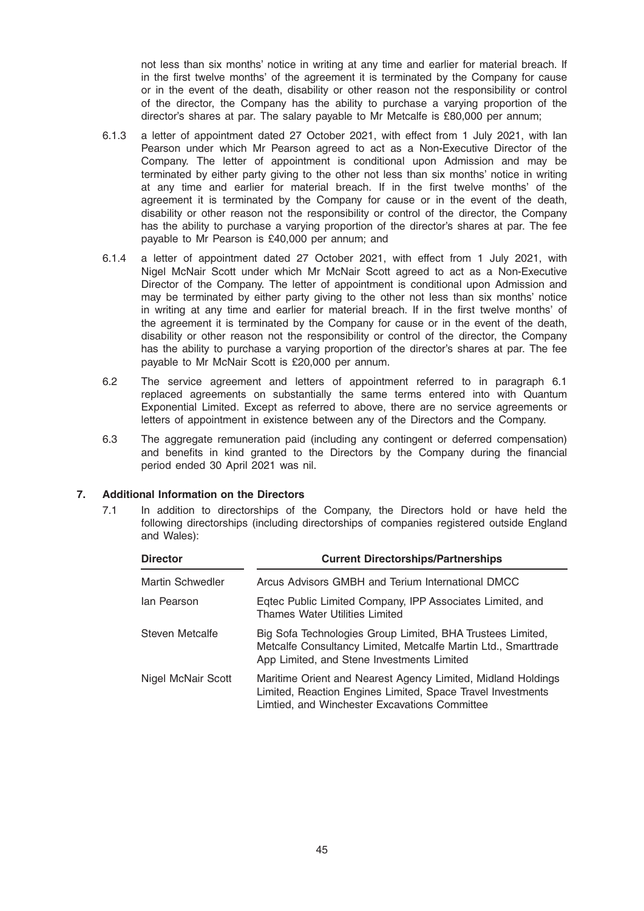not less than six months' notice in writing at any time and earlier for material breach. If in the first twelve months' of the agreement it is terminated by the Company for cause or in the event of the death, disability or other reason not the responsibility or control of the director, the Company has the ability to purchase a varying proportion of the director's shares at par. The salary payable to Mr Metcalfe is £80,000 per annum;

- 6.1.3 a letter of appointment dated 27 October 2021, with effect from 1 July 2021, with Ian Pearson under which Mr Pearson agreed to act as a Non-Executive Director of the Company. The letter of appointment is conditional upon Admission and may be terminated by either party giving to the other not less than six months' notice in writing at any time and earlier for material breach. If in the first twelve months' of the agreement it is terminated by the Company for cause or in the event of the death, disability or other reason not the responsibility or control of the director, the Company has the ability to purchase a varying proportion of the director's shares at par. The fee payable to Mr Pearson is £40,000 per annum; and
- 6.1.4 a letter of appointment dated 27 October 2021, with effect from 1 July 2021, with Nigel McNair Scott under which Mr McNair Scott agreed to act as a Non-Executive Director of the Company. The letter of appointment is conditional upon Admission and may be terminated by either party giving to the other not less than six months' notice in writing at any time and earlier for material breach. If in the first twelve months' of the agreement it is terminated by the Company for cause or in the event of the death, disability or other reason not the responsibility or control of the director, the Company has the ability to purchase a varying proportion of the director's shares at par. The fee payable to Mr McNair Scott is £20,000 per annum.
- 6.2 The service agreement and letters of appointment referred to in paragraph 6.1 replaced agreements on substantially the same terms entered into with Quantum Exponential Limited. Except as referred to above, there are no service agreements or letters of appointment in existence between any of the Directors and the Company.
- 6.3 The aggregate remuneration paid (including any contingent or deferred compensation) and benefits in kind granted to the Directors by the Company during the financial period ended 30 April 2021 was nil.

# 7. Additional Information on the Directors

7.1 In addition to directorships of the Company, the Directors hold or have held the following directorships (including directorships of companies registered outside England and Wales):

| <b>Director</b>    | <b>Current Directorships/Partnerships</b>                                                                                                                                    |
|--------------------|------------------------------------------------------------------------------------------------------------------------------------------------------------------------------|
| Martin Schwedler   | Arcus Advisors GMBH and Terium International DMCC                                                                                                                            |
| lan Pearson        | Eqtec Public Limited Company, IPP Associates Limited, and<br><b>Thames Water Utilities Limited</b>                                                                           |
| Steven Metcalfe    | Big Sofa Technologies Group Limited, BHA Trustees Limited,<br>Metcalfe Consultancy Limited, Metcalfe Martin Ltd., Smarttrade<br>App Limited, and Stene Investments Limited   |
| Nigel McNair Scott | Maritime Orient and Nearest Agency Limited, Midland Holdings<br>Limited, Reaction Engines Limited, Space Travel Investments<br>Limtied, and Winchester Excavations Committee |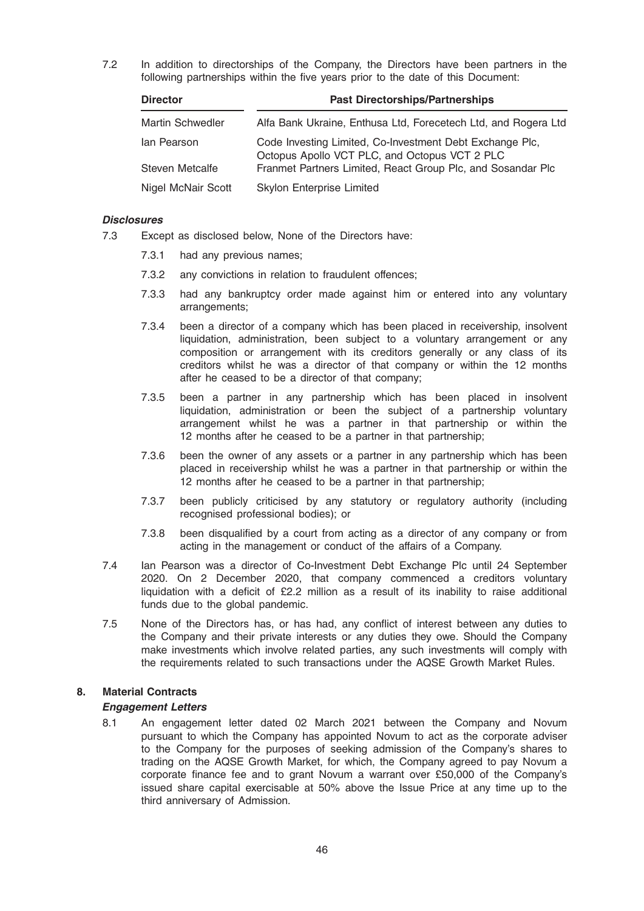7.2 In addition to directorships of the Company, the Directors have been partners in the following partnerships within the five years prior to the date of this Document:

| <b>Director</b>         | <b>Past Directorships/Partnerships</b>                                                                    |  |  |
|-------------------------|-----------------------------------------------------------------------------------------------------------|--|--|
| <b>Martin Schwedler</b> | Alfa Bank Ukraine, Enthusa Ltd, Forecetech Ltd, and Rogera Ltd                                            |  |  |
| lan Pearson             | Code Investing Limited, Co-Investment Debt Exchange Plc,<br>Octopus Apollo VCT PLC, and Octopus VCT 2 PLC |  |  |
| Steven Metcalfe         | Franmet Partners Limited, React Group Plc, and Sosandar Plc                                               |  |  |
| Nigel McNair Scott      | <b>Skylon Enterprise Limited</b>                                                                          |  |  |

# **Disclosures**

- 7.3 Except as disclosed below, None of the Directors have:
	- 7.3.1 had any previous names;
	- 7.3.2 any convictions in relation to fraudulent offences;
	- 7.3.3 had any bankruptcy order made against him or entered into any voluntary arrangements;
	- 7.3.4 been a director of a company which has been placed in receivership, insolvent liquidation, administration, been subject to a voluntary arrangement or any composition or arrangement with its creditors generally or any class of its creditors whilst he was a director of that company or within the 12 months after he ceased to be a director of that company;
	- 7.3.5 been a partner in any partnership which has been placed in insolvent liquidation, administration or been the subject of a partnership voluntary arrangement whilst he was a partner in that partnership or within the 12 months after he ceased to be a partner in that partnership;
	- 7.3.6 been the owner of any assets or a partner in any partnership which has been placed in receivership whilst he was a partner in that partnership or within the 12 months after he ceased to be a partner in that partnership;
	- 7.3.7 been publicly criticised by any statutory or regulatory authority (including recognised professional bodies); or
	- 7.3.8 been disqualified by a court from acting as a director of any company or from acting in the management or conduct of the affairs of a Company.
- 7.4 Ian Pearson was a director of Co-Investment Debt Exchange Plc until 24 September 2020. On 2 December 2020, that company commenced a creditors voluntary liquidation with a deficit of £2.2 million as a result of its inability to raise additional funds due to the global pandemic.
- 7.5 None of the Directors has, or has had, any conflict of interest between any duties to the Company and their private interests or any duties they owe. Should the Company make investments which involve related parties, any such investments will comply with the requirements related to such transactions under the AQSE Growth Market Rules.

# 8. Material Contracts

### Engagement Letters

8.1 An engagement letter dated 02 March 2021 between the Company and Novum pursuant to which the Company has appointed Novum to act as the corporate adviser to the Company for the purposes of seeking admission of the Company's shares to trading on the AQSE Growth Market, for which, the Company agreed to pay Novum a corporate finance fee and to grant Novum a warrant over £50,000 of the Company's issued share capital exercisable at 50% above the Issue Price at any time up to the third anniversary of Admission.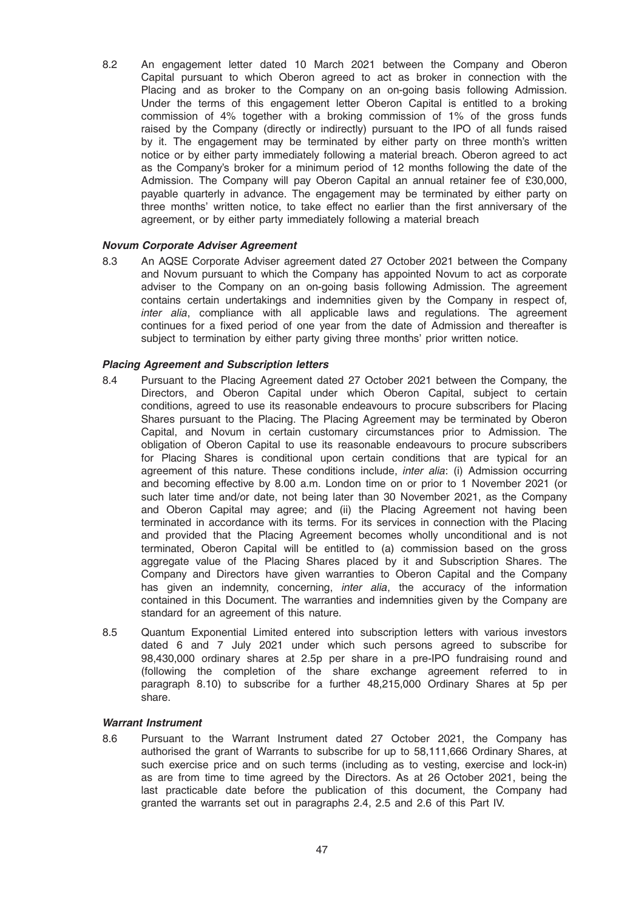8.2 An engagement letter dated 10 March 2021 between the Company and Oberon Capital pursuant to which Oberon agreed to act as broker in connection with the Placing and as broker to the Company on an on-going basis following Admission. Under the terms of this engagement letter Oberon Capital is entitled to a broking commission of 4% together with a broking commission of 1% of the gross funds raised by the Company (directly or indirectly) pursuant to the IPO of all funds raised by it. The engagement may be terminated by either party on three month's written notice or by either party immediately following a material breach. Oberon agreed to act as the Company's broker for a minimum period of 12 months following the date of the Admission. The Company will pay Oberon Capital an annual retainer fee of £30,000, payable quarterly in advance. The engagement may be terminated by either party on three months' written notice, to take effect no earlier than the first anniversary of the agreement, or by either party immediately following a material breach

# Novum Corporate Adviser Agreement

8.3 An AQSE Corporate Adviser agreement dated 27 October 2021 between the Company and Novum pursuant to which the Company has appointed Novum to act as corporate adviser to the Company on an on-going basis following Admission. The agreement contains certain undertakings and indemnities given by the Company in respect of, inter alia, compliance with all applicable laws and regulations. The agreement continues for a fixed period of one year from the date of Admission and thereafter is subject to termination by either party giving three months' prior written notice.

# Placing Agreement and Subscription letters

- 8.4 Pursuant to the Placing Agreement dated 27 October 2021 between the Company, the Directors, and Oberon Capital under which Oberon Capital, subject to certain conditions, agreed to use its reasonable endeavours to procure subscribers for Placing Shares pursuant to the Placing. The Placing Agreement may be terminated by Oberon Capital, and Novum in certain customary circumstances prior to Admission. The obligation of Oberon Capital to use its reasonable endeavours to procure subscribers for Placing Shares is conditional upon certain conditions that are typical for an agreement of this nature. These conditions include, *inter alia*: (i) Admission occurring and becoming effective by 8.00 a.m. London time on or prior to 1 November 2021 (or such later time and/or date, not being later than 30 November 2021, as the Company and Oberon Capital may agree; and (ii) the Placing Agreement not having been terminated in accordance with its terms. For its services in connection with the Placing and provided that the Placing Agreement becomes wholly unconditional and is not terminated, Oberon Capital will be entitled to (a) commission based on the gross aggregate value of the Placing Shares placed by it and Subscription Shares. The Company and Directors have given warranties to Oberon Capital and the Company has given an indemnity, concerning, *inter alia*, the accuracy of the information contained in this Document. The warranties and indemnities given by the Company are standard for an agreement of this nature.
- 8.5 Quantum Exponential Limited entered into subscription letters with various investors dated 6 and 7 July 2021 under which such persons agreed to subscribe for 98,430,000 ordinary shares at 2.5p per share in a pre-IPO fundraising round and (following the completion of the share exchange agreement referred to in paragraph 8.10) to subscribe for a further 48,215,000 Ordinary Shares at 5p per share.

### Warrant Instrument

8.6 Pursuant to the Warrant Instrument dated 27 October 2021, the Company has authorised the grant of Warrants to subscribe for up to 58,111,666 Ordinary Shares, at such exercise price and on such terms (including as to vesting, exercise and lock-in) as are from time to time agreed by the Directors. As at 26 October 2021, being the last practicable date before the publication of this document, the Company had granted the warrants set out in paragraphs 2.4, 2.5 and 2.6 of this Part IV.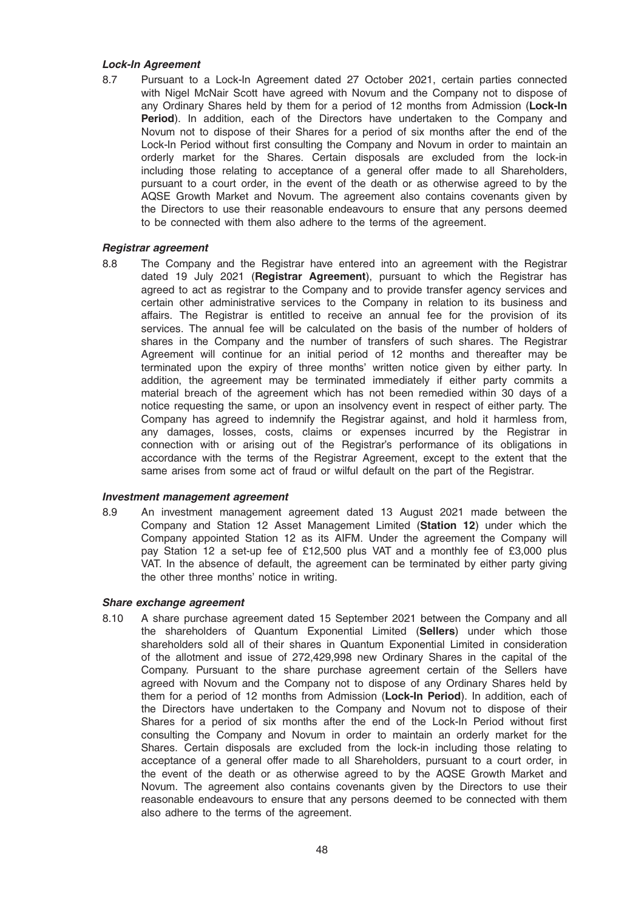# Lock-In Agreement

8.7 Pursuant to a Lock-In Agreement dated 27 October 2021, certain parties connected with Nigel McNair Scott have agreed with Novum and the Company not to dispose of any Ordinary Shares held by them for a period of 12 months from Admission (Lock-In Period). In addition, each of the Directors have undertaken to the Company and Novum not to dispose of their Shares for a period of six months after the end of the Lock-In Period without first consulting the Company and Novum in order to maintain an orderly market for the Shares. Certain disposals are excluded from the lock-in including those relating to acceptance of a general offer made to all Shareholders, pursuant to a court order, in the event of the death or as otherwise agreed to by the AQSE Growth Market and Novum. The agreement also contains covenants given by the Directors to use their reasonable endeavours to ensure that any persons deemed to be connected with them also adhere to the terms of the agreement.

# Registrar agreement

8.8 The Company and the Registrar have entered into an agreement with the Registrar dated 19 July 2021 (Registrar Agreement), pursuant to which the Registrar has agreed to act as registrar to the Company and to provide transfer agency services and certain other administrative services to the Company in relation to its business and affairs. The Registrar is entitled to receive an annual fee for the provision of its services. The annual fee will be calculated on the basis of the number of holders of shares in the Company and the number of transfers of such shares. The Registrar Agreement will continue for an initial period of 12 months and thereafter may be terminated upon the expiry of three months' written notice given by either party. In addition, the agreement may be terminated immediately if either party commits a material breach of the agreement which has not been remedied within 30 days of a notice requesting the same, or upon an insolvency event in respect of either party. The Company has agreed to indemnify the Registrar against, and hold it harmless from, any damages, losses, costs, claims or expenses incurred by the Registrar in connection with or arising out of the Registrar's performance of its obligations in accordance with the terms of the Registrar Agreement, except to the extent that the same arises from some act of fraud or wilful default on the part of the Registrar.

### Investment management agreement

8.9 An investment management agreement dated 13 August 2021 made between the Company and Station 12 Asset Management Limited (Station 12) under which the Company appointed Station 12 as its AIFM. Under the agreement the Company will pay Station 12 a set-up fee of £12,500 plus VAT and a monthly fee of £3,000 plus VAT. In the absence of default, the agreement can be terminated by either party giving the other three months' notice in writing.

### Share exchange agreement

8.10 A share purchase agreement dated 15 September 2021 between the Company and all the shareholders of Quantum Exponential Limited (Sellers) under which those shareholders sold all of their shares in Quantum Exponential Limited in consideration of the allotment and issue of 272,429,998 new Ordinary Shares in the capital of the Company. Pursuant to the share purchase agreement certain of the Sellers have agreed with Novum and the Company not to dispose of any Ordinary Shares held by them for a period of 12 months from Admission (Lock-In Period). In addition, each of the Directors have undertaken to the Company and Novum not to dispose of their Shares for a period of six months after the end of the Lock-In Period without first consulting the Company and Novum in order to maintain an orderly market for the Shares. Certain disposals are excluded from the lock-in including those relating to acceptance of a general offer made to all Shareholders, pursuant to a court order, in the event of the death or as otherwise agreed to by the AQSE Growth Market and Novum. The agreement also contains covenants given by the Directors to use their reasonable endeavours to ensure that any persons deemed to be connected with them also adhere to the terms of the agreement.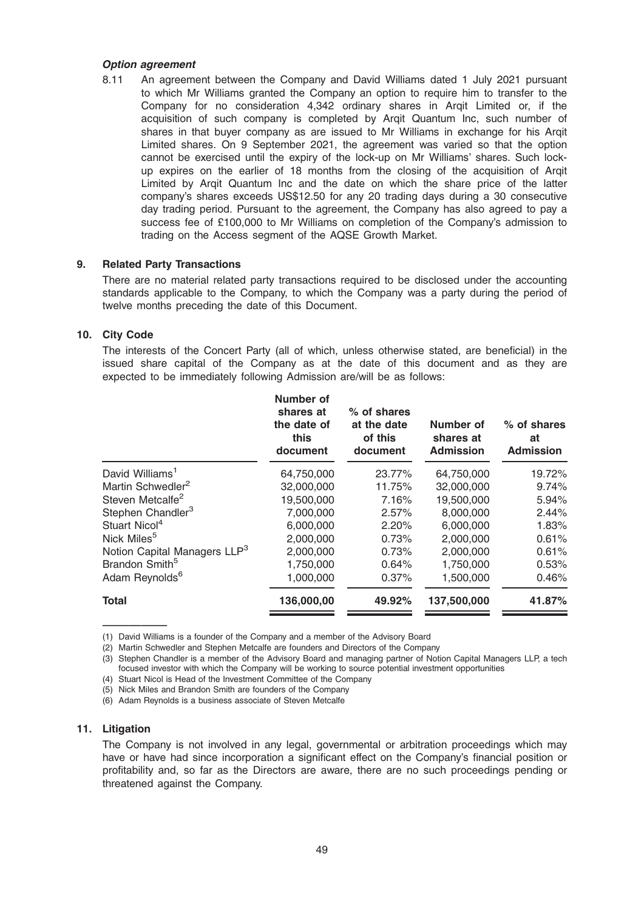### Option agreement

8.11 An agreement between the Company and David Williams dated 1 July 2021 pursuant to which Mr Williams granted the Company an option to require him to transfer to the Company for no consideration 4,342 ordinary shares in Arqit Limited or, if the acquisition of such company is completed by Arqit Quantum Inc, such number of shares in that buyer company as are issued to Mr Williams in exchange for his Arqit Limited shares. On 9 September 2021, the agreement was varied so that the option cannot be exercised until the expiry of the lock-up on Mr Williams' shares. Such lockup expires on the earlier of 18 months from the closing of the acquisition of Arqit Limited by Arqit Quantum Inc and the date on which the share price of the latter company's shares exceeds US\$12.50 for any 20 trading days during a 30 consecutive day trading period. Pursuant to the agreement, the Company has also agreed to pay a success fee of £100,000 to Mr Williams on completion of the Company's admission to trading on the Access segment of the AQSE Growth Market.

### 9. Related Party Transactions

There are no material related party transactions required to be disclosed under the accounting standards applicable to the Company, to which the Company was a party during the period of twelve months preceding the date of this Document.

# 10. City Code

The interests of the Concert Party (all of which, unless otherwise stated, are beneficial) in the issued share capital of the Company as at the date of this document and as they are expected to be immediately following Admission are/will be as follows:

|                                          | Number of<br>shares at<br>the date of<br>this<br>document | % of shares<br>at the date<br>of this<br>document | Number of<br>shares at<br><b>Admission</b> | % of shares<br>at<br><b>Admission</b> |
|------------------------------------------|-----------------------------------------------------------|---------------------------------------------------|--------------------------------------------|---------------------------------------|
| David Williams <sup>1</sup>              | 64,750,000                                                | 23.77%                                            | 64,750,000                                 | 19.72%                                |
| Martin Schwedler <sup>2</sup>            | 32,000,000                                                | 11.75%                                            | 32,000,000                                 | 9.74%                                 |
| Steven Metcalfe <sup>2</sup>             | 19,500,000                                                | 7.16%                                             | 19,500,000                                 | 5.94%                                 |
| Stephen Chandler <sup>3</sup>            | 7,000,000                                                 | 2.57%                                             | 8,000,000                                  | 2.44%                                 |
| Stuart Nicol <sup>4</sup>                | 6,000,000                                                 | 2.20%                                             | 6,000,000                                  | 1.83%                                 |
| Nick Miles <sup>5</sup>                  | 2,000,000                                                 | 0.73%                                             | 2,000,000                                  | 0.61%                                 |
| Notion Capital Managers LLP <sup>3</sup> | 2,000,000                                                 | 0.73%                                             | 2.000.000                                  | 0.61%                                 |
| Brandon Smith <sup>5</sup>               | 1,750,000                                                 | 0.64%                                             | 1,750,000                                  | 0.53%                                 |
| Adam Reynolds <sup>6</sup>               | 1,000,000                                                 | 0.37%                                             | 1,500,000                                  | 0.46%                                 |
| <b>Total</b>                             | 136,000,00                                                | 49.92%                                            | 137,500,000                                | 41.87%                                |
|                                          |                                                           |                                                   |                                            |                                       |

————— (1) David Williams is a founder of the Company and a member of the Advisory Board

(2) Martin Schwedler and Stephen Metcalfe are founders and Directors of the Company

(3) Stephen Chandler is a member of the Advisory Board and managing partner of Notion Capital Managers LLP, a tech focused investor with which the Company will be working to source potential investment opportunities

(4) Stuart Nicol is Head of the Investment Committee of the Company

(5) Nick Miles and Brandon Smith are founders of the Company

(6) Adam Reynolds is a business associate of Steven Metcalfe

# 11. Litigation

The Company is not involved in any legal, governmental or arbitration proceedings which may have or have had since incorporation a significant effect on the Company's financial position or profitability and, so far as the Directors are aware, there are no such proceedings pending or threatened against the Company.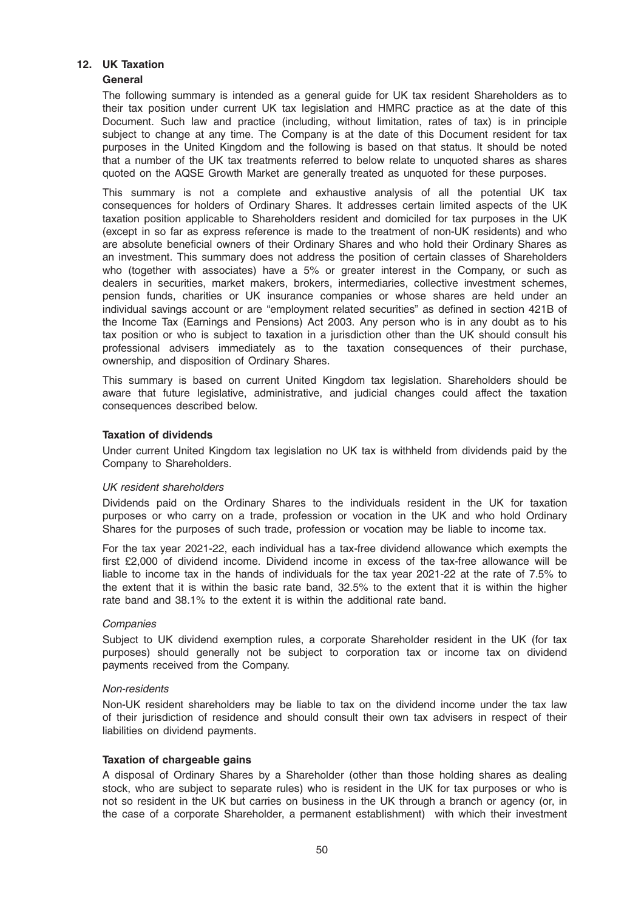# 12. UK Taxation

# General

The following summary is intended as a general guide for UK tax resident Shareholders as to their tax position under current UK tax legislation and HMRC practice as at the date of this Document. Such law and practice (including, without limitation, rates of tax) is in principle subject to change at any time. The Company is at the date of this Document resident for tax purposes in the United Kingdom and the following is based on that status. It should be noted that a number of the UK tax treatments referred to below relate to unquoted shares as shares quoted on the AQSE Growth Market are generally treated as unquoted for these purposes.

This summary is not a complete and exhaustive analysis of all the potential UK tax consequences for holders of Ordinary Shares. It addresses certain limited aspects of the UK taxation position applicable to Shareholders resident and domiciled for tax purposes in the UK (except in so far as express reference is made to the treatment of non-UK residents) and who are absolute beneficial owners of their Ordinary Shares and who hold their Ordinary Shares as an investment. This summary does not address the position of certain classes of Shareholders who (together with associates) have a 5% or greater interest in the Company, or such as dealers in securities, market makers, brokers, intermediaries, collective investment schemes, pension funds, charities or UK insurance companies or whose shares are held under an individual savings account or are "employment related securities" as defined in section 421B of the Income Tax (Earnings and Pensions) Act 2003. Any person who is in any doubt as to his tax position or who is subject to taxation in a jurisdiction other than the UK should consult his professional advisers immediately as to the taxation consequences of their purchase, ownership, and disposition of Ordinary Shares.

This summary is based on current United Kingdom tax legislation. Shareholders should be aware that future legislative, administrative, and judicial changes could affect the taxation consequences described below.

# Taxation of dividends

Under current United Kingdom tax legislation no UK tax is withheld from dividends paid by the Company to Shareholders.

### UK resident shareholders

Dividends paid on the Ordinary Shares to the individuals resident in the UK for taxation purposes or who carry on a trade, profession or vocation in the UK and who hold Ordinary Shares for the purposes of such trade, profession or vocation may be liable to income tax.

For the tax year 2021-22, each individual has a tax-free dividend allowance which exempts the first £2,000 of dividend income. Dividend income in excess of the tax-free allowance will be liable to income tax in the hands of individuals for the tax year 2021-22 at the rate of 7.5% to the extent that it is within the basic rate band, 32.5% to the extent that it is within the higher rate band and 38.1% to the extent it is within the additional rate band.

### **Companies**

Subject to UK dividend exemption rules, a corporate Shareholder resident in the UK (for tax purposes) should generally not be subject to corporation tax or income tax on dividend payments received from the Company.

### Non-residents

Non-UK resident shareholders may be liable to tax on the dividend income under the tax law of their jurisdiction of residence and should consult their own tax advisers in respect of their liabilities on dividend payments.

### Taxation of chargeable gains

A disposal of Ordinary Shares by a Shareholder (other than those holding shares as dealing stock, who are subject to separate rules) who is resident in the UK for tax purposes or who is not so resident in the UK but carries on business in the UK through a branch or agency (or, in the case of a corporate Shareholder, a permanent establishment) with which their investment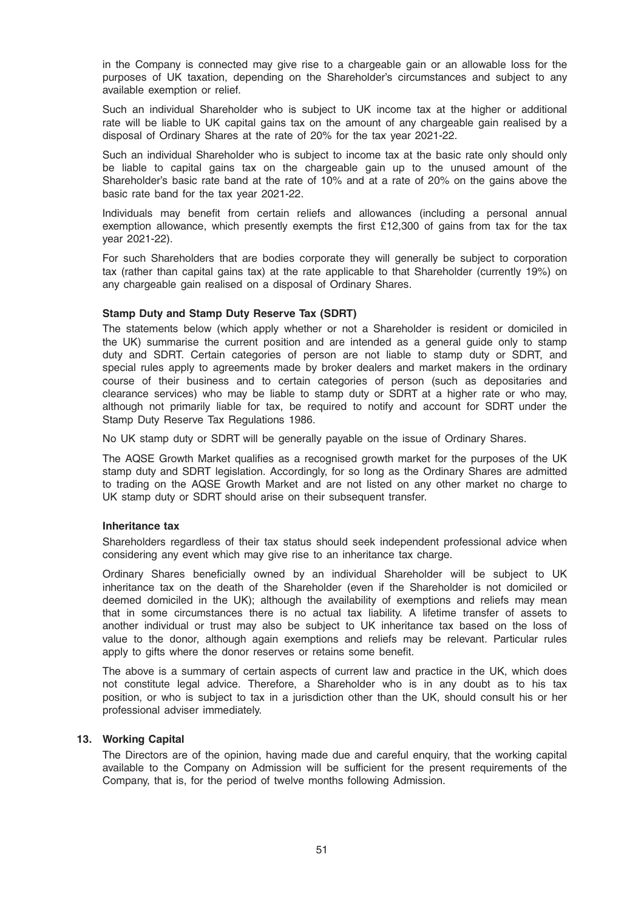in the Company is connected may give rise to a chargeable gain or an allowable loss for the purposes of UK taxation, depending on the Shareholder's circumstances and subject to any available exemption or relief.

Such an individual Shareholder who is subject to UK income tax at the higher or additional rate will be liable to UK capital gains tax on the amount of any chargeable gain realised by a disposal of Ordinary Shares at the rate of 20% for the tax year 2021-22.

Such an individual Shareholder who is subject to income tax at the basic rate only should only be liable to capital gains tax on the chargeable gain up to the unused amount of the Shareholder's basic rate band at the rate of 10% and at a rate of 20% on the gains above the basic rate band for the tax year 2021-22.

Individuals may benefit from certain reliefs and allowances (including a personal annual exemption allowance, which presently exempts the first £12,300 of gains from tax for the tax year 2021-22).

For such Shareholders that are bodies corporate they will generally be subject to corporation tax (rather than capital gains tax) at the rate applicable to that Shareholder (currently 19%) on any chargeable gain realised on a disposal of Ordinary Shares.

### Stamp Duty and Stamp Duty Reserve Tax (SDRT)

The statements below (which apply whether or not a Shareholder is resident or domiciled in the UK) summarise the current position and are intended as a general guide only to stamp duty and SDRT. Certain categories of person are not liable to stamp duty or SDRT, and special rules apply to agreements made by broker dealers and market makers in the ordinary course of their business and to certain categories of person (such as depositaries and clearance services) who may be liable to stamp duty or SDRT at a higher rate or who may, although not primarily liable for tax, be required to notify and account for SDRT under the Stamp Duty Reserve Tax Regulations 1986.

No UK stamp duty or SDRT will be generally payable on the issue of Ordinary Shares.

The AQSE Growth Market qualifies as a recognised growth market for the purposes of the UK stamp duty and SDRT legislation. Accordingly, for so long as the Ordinary Shares are admitted to trading on the AQSE Growth Market and are not listed on any other market no charge to UK stamp duty or SDRT should arise on their subsequent transfer.

### Inheritance tax

Shareholders regardless of their tax status should seek independent professional advice when considering any event which may give rise to an inheritance tax charge.

Ordinary Shares beneficially owned by an individual Shareholder will be subject to UK inheritance tax on the death of the Shareholder (even if the Shareholder is not domiciled or deemed domiciled in the UK); although the availability of exemptions and reliefs may mean that in some circumstances there is no actual tax liability. A lifetime transfer of assets to another individual or trust may also be subject to UK inheritance tax based on the loss of value to the donor, although again exemptions and reliefs may be relevant. Particular rules apply to gifts where the donor reserves or retains some benefit.

The above is a summary of certain aspects of current law and practice in the UK, which does not constitute legal advice. Therefore, a Shareholder who is in any doubt as to his tax position, or who is subject to tax in a jurisdiction other than the UK, should consult his or her professional adviser immediately.

# 13. Working Capital

The Directors are of the opinion, having made due and careful enquiry, that the working capital available to the Company on Admission will be sufficient for the present requirements of the Company, that is, for the period of twelve months following Admission.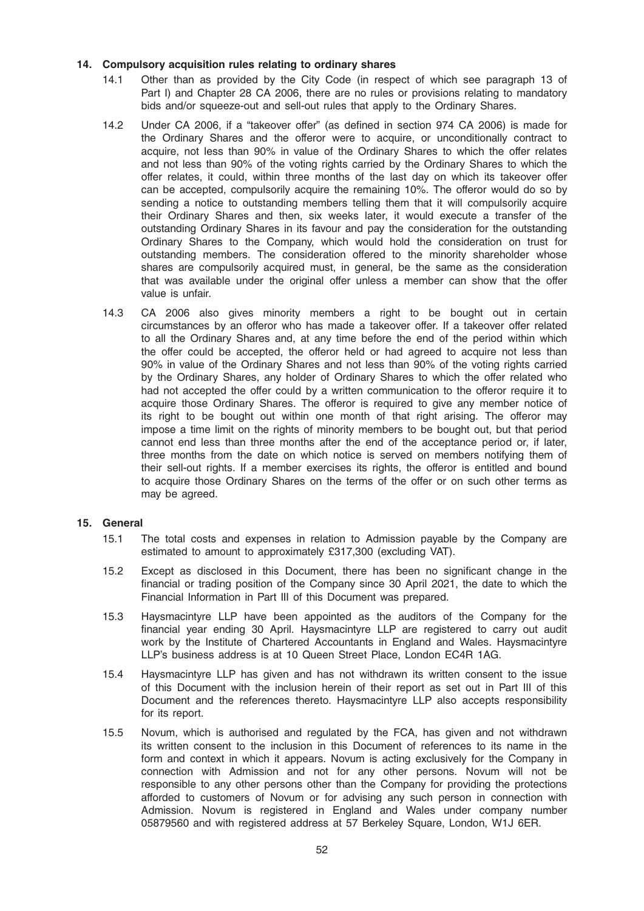# 14. Compulsory acquisition rules relating to ordinary shares

- 14.1 Other than as provided by the City Code (in respect of which see paragraph 13 of Part I) and Chapter 28 CA 2006, there are no rules or provisions relating to mandatory bids and/or squeeze-out and sell-out rules that apply to the Ordinary Shares.
- 14.2 Under CA 2006, if a "takeover offer" (as defined in section 974 CA 2006) is made for the Ordinary Shares and the offeror were to acquire, or unconditionally contract to acquire, not less than 90% in value of the Ordinary Shares to which the offer relates and not less than 90% of the voting rights carried by the Ordinary Shares to which the offer relates, it could, within three months of the last day on which its takeover offer can be accepted, compulsorily acquire the remaining 10%. The offeror would do so by sending a notice to outstanding members telling them that it will compulsorily acquire their Ordinary Shares and then, six weeks later, it would execute a transfer of the outstanding Ordinary Shares in its favour and pay the consideration for the outstanding Ordinary Shares to the Company, which would hold the consideration on trust for outstanding members. The consideration offered to the minority shareholder whose shares are compulsorily acquired must, in general, be the same as the consideration that was available under the original offer unless a member can show that the offer value is unfair.
- 14.3 CA 2006 also gives minority members a right to be bought out in certain circumstances by an offeror who has made a takeover offer. If a takeover offer related to all the Ordinary Shares and, at any time before the end of the period within which the offer could be accepted, the offeror held or had agreed to acquire not less than 90% in value of the Ordinary Shares and not less than 90% of the voting rights carried by the Ordinary Shares, any holder of Ordinary Shares to which the offer related who had not accepted the offer could by a written communication to the offeror require it to acquire those Ordinary Shares. The offeror is required to give any member notice of its right to be bought out within one month of that right arising. The offeror may impose a time limit on the rights of minority members to be bought out, but that period cannot end less than three months after the end of the acceptance period or, if later, three months from the date on which notice is served on members notifying them of their sell-out rights. If a member exercises its rights, the offeror is entitled and bound to acquire those Ordinary Shares on the terms of the offer or on such other terms as may be agreed.

### 15. General

- 15.1 The total costs and expenses in relation to Admission payable by the Company are estimated to amount to approximately £317,300 (excluding VAT).
- 15.2 Except as disclosed in this Document, there has been no significant change in the financial or trading position of the Company since 30 April 2021, the date to which the Financial Information in Part III of this Document was prepared.
- 15.3 Haysmacintyre LLP have been appointed as the auditors of the Company for the financial year ending 30 April. Haysmacintyre LLP are registered to carry out audit work by the Institute of Chartered Accountants in England and Wales. Haysmacintyre LLP's business address is at 10 Queen Street Place, London EC4R 1AG.
- 15.4 Haysmacintyre LLP has given and has not withdrawn its written consent to the issue of this Document with the inclusion herein of their report as set out in Part III of this Document and the references thereto. Haysmacintyre LLP also accepts responsibility for its report.
- 15.5 Novum, which is authorised and regulated by the FCA, has given and not withdrawn its written consent to the inclusion in this Document of references to its name in the form and context in which it appears. Novum is acting exclusively for the Company in connection with Admission and not for any other persons. Novum will not be responsible to any other persons other than the Company for providing the protections afforded to customers of Novum or for advising any such person in connection with Admission. Novum is registered in England and Wales under company number 05879560 and with registered address at 57 Berkeley Square, London, W1J 6ER.